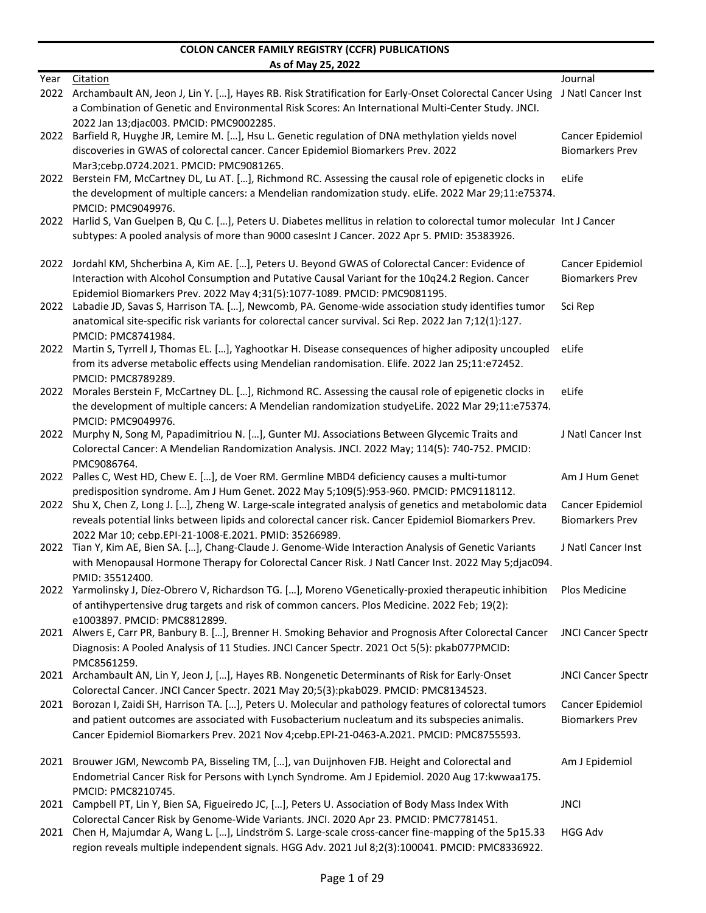|      | <u>AS ULIVIAY 23, ZUZZ</u>                                                                                                                                                                                    |                                            |
|------|---------------------------------------------------------------------------------------------------------------------------------------------------------------------------------------------------------------|--------------------------------------------|
| Year | Citation<br>2022 Archambault AN, Jeon J, Lin Y. [], Hayes RB. Risk Stratification for Early-Onset Colorectal Cancer Using J Natl Cancer Inst                                                                  | Journal                                    |
|      | a Combination of Genetic and Environmental Risk Scores: An International Multi-Center Study. JNCI.                                                                                                            |                                            |
|      | 2022 Jan 13; diac003. PMCID: PMC9002285.                                                                                                                                                                      |                                            |
| 2022 | Barfield R, Huyghe JR, Lemire M. [], Hsu L. Genetic regulation of DNA methylation yields novel                                                                                                                | Cancer Epidemiol                           |
|      | discoveries in GWAS of colorectal cancer. Cancer Epidemiol Biomarkers Prev. 2022                                                                                                                              | <b>Biomarkers Prev</b>                     |
| 2022 | Mar3;cebp.0724.2021. PMCID: PMC9081265.<br>Berstein FM, McCartney DL, Lu AT. [], Richmond RC. Assessing the causal role of epigenetic clocks in                                                               | eLife                                      |
|      | the development of multiple cancers: a Mendelian randomization study. eLife. 2022 Mar 29;11:e75374.                                                                                                           |                                            |
|      | PMCID: PMC9049976.                                                                                                                                                                                            |                                            |
|      | 2022 Harlid S, Van Guelpen B, Qu C. [], Peters U. Diabetes mellitus in relation to colorectal tumor molecular Int J Cancer                                                                                    |                                            |
|      | subtypes: A pooled analysis of more than 9000 casesInt J Cancer. 2022 Apr 5. PMID: 35383926.                                                                                                                  |                                            |
| 2022 | Jordahl KM, Shcherbina A, Kim AE. [], Peters U. Beyond GWAS of Colorectal Cancer: Evidence of                                                                                                                 | Cancer Epidemiol                           |
|      | Interaction with Alcohol Consumption and Putative Causal Variant for the 10q24.2 Region. Cancer                                                                                                               | <b>Biomarkers Prev</b>                     |
|      | Epidemiol Biomarkers Prev. 2022 May 4;31(5):1077-1089. PMCID: PMC9081195.                                                                                                                                     |                                            |
| 2022 | Labadie JD, Savas S, Harrison TA. [], Newcomb, PA. Genome-wide association study identifies tumor<br>anatomical site-specific risk variants for colorectal cancer survival. Sci Rep. 2022 Jan 7;12(1):127.    | Sci Rep                                    |
|      | PMCID: PMC8741984.                                                                                                                                                                                            |                                            |
| 2022 | Martin S, Tyrrell J, Thomas EL. [], Yaghootkar H. Disease consequences of higher adiposity uncoupled                                                                                                          | eLife                                      |
|      | from its adverse metabolic effects using Mendelian randomisation. Elife. 2022 Jan 25;11:e72452.                                                                                                               |                                            |
| 2022 | PMCID: PMC8789289.<br>Morales Berstein F, McCartney DL. [], Richmond RC. Assessing the causal role of epigenetic clocks in                                                                                    | eLife                                      |
|      | the development of multiple cancers: A Mendelian randomization studyeLife. 2022 Mar 29;11:e75374.                                                                                                             |                                            |
|      | PMCID: PMC9049976.                                                                                                                                                                                            |                                            |
| 2022 | Murphy N, Song M, Papadimitriou N. [], Gunter MJ. Associations Between Glycemic Traits and                                                                                                                    | J Natl Cancer Inst                         |
|      | Colorectal Cancer: A Mendelian Randomization Analysis. JNCI. 2022 May; 114(5): 740-752. PMCID:                                                                                                                |                                            |
| 2022 | PMC9086764.<br>Palles C, West HD, Chew E. [], de Voer RM. Germline MBD4 deficiency causes a multi-tumor                                                                                                       | Am J Hum Genet                             |
|      | predisposition syndrome. Am J Hum Genet. 2022 May 5;109(5):953-960. PMCID: PMC9118112.                                                                                                                        |                                            |
|      | 2022 Shu X, Chen Z, Long J. [], Zheng W. Large-scale integrated analysis of genetics and metabolomic data                                                                                                     | Cancer Epidemiol                           |
|      | reveals potential links between lipids and colorectal cancer risk. Cancer Epidemiol Biomarkers Prev.                                                                                                          | <b>Biomarkers Prev</b>                     |
|      | 2022 Mar 10: cebp.EPI-21-1008-E.2021. PMID: 35266989.                                                                                                                                                         | J Natl Cancer Inst                         |
|      | 2022 Tian Y, Kim AE, Bien SA. [], Chang-Claude J. Genome-Wide Interaction Analysis of Genetic Variants<br>with Menopausal Hormone Therapy for Colorectal Cancer Risk. J Natl Cancer Inst. 2022 May 5;djac094. |                                            |
|      | PMID: 35512400.                                                                                                                                                                                               |                                            |
|      | 2022 Yarmolinsky J, Díez-Obrero V, Richardson TG. [], Moreno VGenetically-proxied therapeutic inhibition                                                                                                      | Plos Medicine                              |
|      | of antihypertensive drug targets and risk of common cancers. Plos Medicine. 2022 Feb; 19(2):                                                                                                                  |                                            |
|      | e1003897. PMCID: PMC8812899.<br>2021 Alwers E, Carr PR, Banbury B. [], Brenner H. Smoking Behavior and Prognosis After Colorectal Cancer                                                                      | <b>JNCI Cancer Spectr</b>                  |
|      | Diagnosis: A Pooled Analysis of 11 Studies. JNCI Cancer Spectr. 2021 Oct 5(5): pkab077PMCID:                                                                                                                  |                                            |
|      | PMC8561259.                                                                                                                                                                                                   |                                            |
|      | 2021 Archambault AN, Lin Y, Jeon J, [], Hayes RB. Nongenetic Determinants of Risk for Early-Onset                                                                                                             | <b>JNCI Cancer Spectr</b>                  |
|      | Colorectal Cancer. JNCI Cancer Spectr. 2021 May 20;5(3):pkab029. PMCID: PMC8134523.                                                                                                                           |                                            |
| 2021 | Borozan I, Zaidi SH, Harrison TA. [], Peters U. Molecular and pathology features of colorectal tumors<br>and patient outcomes are associated with Fusobacterium nucleatum and its subspecies animalis.        | Cancer Epidemiol<br><b>Biomarkers Prev</b> |
|      | Cancer Epidemiol Biomarkers Prev. 2021 Nov 4;cebp.EPI-21-0463-A.2021. PMCID: PMC8755593.                                                                                                                      |                                            |
|      |                                                                                                                                                                                                               |                                            |
|      | 2021 Brouwer JGM, Newcomb PA, Bisseling TM, [], van Duijnhoven FJB. Height and Colorectal and                                                                                                                 | Am J Epidemiol                             |
|      | Endometrial Cancer Risk for Persons with Lynch Syndrome. Am J Epidemiol. 2020 Aug 17: kwwaa175.                                                                                                               |                                            |
|      | PMCID: PMC8210745.<br>2021 Campbell PT, Lin Y, Bien SA, Figueiredo JC, [], Peters U. Association of Body Mass Index With                                                                                      | <b>JNCI</b>                                |
|      | Colorectal Cancer Risk by Genome-Wide Variants. JNCl. 2020 Apr 23. PMCID: PMC7781451.                                                                                                                         |                                            |
|      | 2021 Chen H, Majumdar A, Wang L. [], Lindström S. Large-scale cross-cancer fine-mapping of the 5p15.33                                                                                                        | <b>HGG Adv</b>                             |
|      | region reveals multiple independent signals. HGG Adv. 2021 Jul 8;2(3):100041. PMCID: PMC8336922.                                                                                                              |                                            |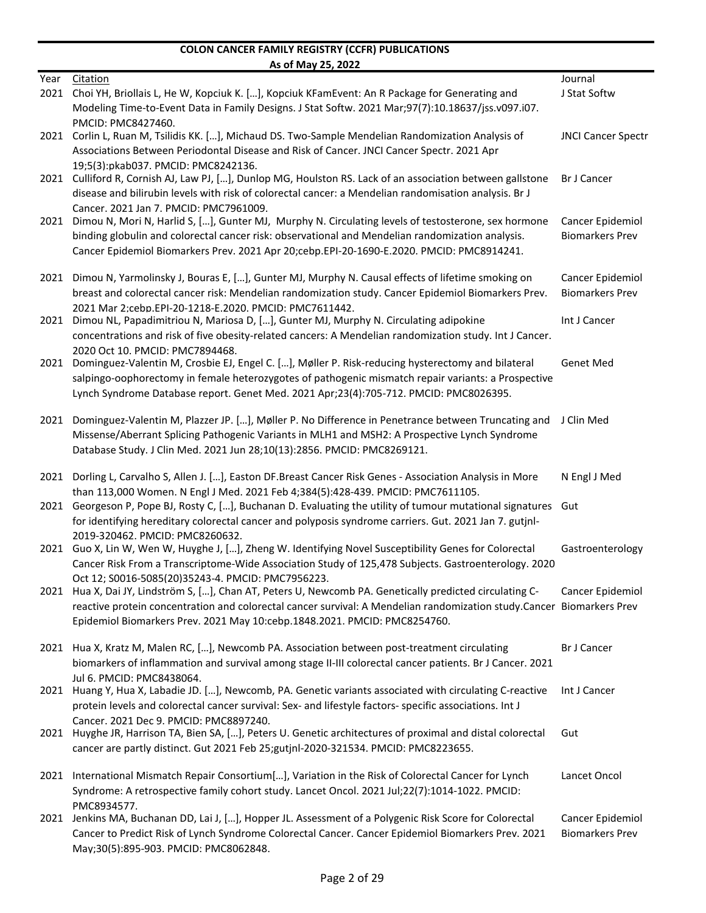|      | <u>AS ULIVIAY 23, ZUZZ</u>                                                                                                                                                                                                                                                                                |                                            |
|------|-----------------------------------------------------------------------------------------------------------------------------------------------------------------------------------------------------------------------------------------------------------------------------------------------------------|--------------------------------------------|
| Year | Citation<br>2021 Choi YH, Briollais L, He W, Kopciuk K. [], Kopciuk KFamEvent: An R Package for Generating and                                                                                                                                                                                            | Journal<br>J Stat Softw                    |
|      | Modeling Time-to-Event Data in Family Designs. J Stat Softw. 2021 Mar;97(7):10.18637/jss.v097.i07.                                                                                                                                                                                                        |                                            |
| 2021 | PMCID: PMC8427460.<br>Corlin L, Ruan M, Tsilidis KK. [], Michaud DS. Two-Sample Mendelian Randomization Analysis of<br>Associations Between Periodontal Disease and Risk of Cancer. JNCI Cancer Spectr. 2021 Apr                                                                                          | <b>JNCI Cancer Spectr</b>                  |
|      | 19;5(3):pkab037. PMCID: PMC8242136.<br>2021 Culliford R, Cornish AJ, Law PJ, [], Dunlop MG, Houlston RS. Lack of an association between gallstone<br>disease and bilirubin levels with risk of colorectal cancer: a Mendelian randomisation analysis. Br J                                                | <b>Br J Cancer</b>                         |
|      | Cancer, 2021 Jan 7, PMCID: PMC7961009.                                                                                                                                                                                                                                                                    |                                            |
|      | 2021 Dimou N, Mori N, Harlid S, [], Gunter MJ, Murphy N. Circulating levels of testosterone, sex hormone<br>binding globulin and colorectal cancer risk: observational and Mendelian randomization analysis.<br>Cancer Epidemiol Biomarkers Prev. 2021 Apr 20;cebp.EPI-20-1690-E.2020. PMCID: PMC8914241. | Cancer Epidemiol<br><b>Biomarkers Prev</b> |
| 2021 | Dimou N, Yarmolinsky J, Bouras E, [], Gunter MJ, Murphy N. Causal effects of lifetime smoking on                                                                                                                                                                                                          | Cancer Epidemiol                           |
|      | breast and colorectal cancer risk: Mendelian randomization study. Cancer Epidemiol Biomarkers Prev.                                                                                                                                                                                                       | <b>Biomarkers Prev</b>                     |
| 2021 | 2021 Mar 2;cebp.EPI-20-1218-E.2020. PMCID: PMC7611442.<br>Dimou NL, Papadimitriou N, Mariosa D, [], Gunter MJ, Murphy N. Circulating adipokine                                                                                                                                                            | Int J Cancer                               |
|      | concentrations and risk of five obesity-related cancers: A Mendelian randomization study. Int J Cancer.<br>2020 Oct 10. PMCID: PMC7894468.                                                                                                                                                                |                                            |
| 2021 | Dominguez-Valentin M, Crosbie EJ, Engel C. [], Møller P. Risk-reducing hysterectomy and bilateral<br>salpingo-oophorectomy in female heterozygotes of pathogenic mismatch repair variants: a Prospective                                                                                                  | <b>Genet Med</b>                           |
|      | Lynch Syndrome Database report. Genet Med. 2021 Apr;23(4):705-712. PMCID: PMC8026395.                                                                                                                                                                                                                     |                                            |
| 2021 | Dominguez-Valentin M, Plazzer JP. [], Møller P. No Difference in Penetrance between Truncating and<br>Missense/Aberrant Splicing Pathogenic Variants in MLH1 and MSH2: A Prospective Lynch Syndrome<br>Database Study. J Clin Med. 2021 Jun 28;10(13):2856. PMCID: PMC8269121.                            | J Clin Med                                 |
|      | 2021 Dorling L, Carvalho S, Allen J. [], Easton DF.Breast Cancer Risk Genes - Association Analysis in More                                                                                                                                                                                                | N Engl J Med                               |
|      | than 113,000 Women. N Engl J Med. 2021 Feb 4;384(5):428-439. PMCID: PMC7611105.                                                                                                                                                                                                                           |                                            |
|      | 2021 Georgeson P, Pope BJ, Rosty C, [], Buchanan D. Evaluating the utility of tumour mutational signatures Gut<br>for identifying hereditary colorectal cancer and polyposis syndrome carriers. Gut. 2021 Jan 7. gutjnl-                                                                                  |                                            |
|      | 2019-320462. PMCID: PMC8260632.<br>2021 Guo X, Lin W, Wen W, Huyghe J, [], Zheng W. Identifying Novel Susceptibility Genes for Colorectal                                                                                                                                                                 | Gastroenterology                           |
|      | Cancer Risk From a Transcriptome-Wide Association Study of 125,478 Subjects. Gastroenterology. 2020<br>Oct 12; S0016-5085(20)35243-4. PMCID: PMC7956223.                                                                                                                                                  |                                            |
|      | 2021 Hua X, Dai JY, Lindström S, [], Chan AT, Peters U, Newcomb PA. Genetically predicted circulating C-<br>reactive protein concentration and colorectal cancer survival: A Mendelian randomization study.Cancer Biomarkers Prev                                                                         | Cancer Epidemiol                           |
|      | Epidemiol Biomarkers Prev. 2021 May 10:cebp.1848.2021. PMCID: PMC8254760.                                                                                                                                                                                                                                 |                                            |
|      | 2021 Hua X, Kratz M, Malen RC, [], Newcomb PA. Association between post-treatment circulating<br>biomarkers of inflammation and survival among stage II-III colorectal cancer patients. Br J Cancer. 2021                                                                                                 | Br J Cancer                                |
| 2021 | Jul 6. PMCID: PMC8438064.<br>Huang Y, Hua X, Labadie JD. [], Newcomb, PA. Genetic variants associated with circulating C-reactive                                                                                                                                                                         | Int J Cancer                               |
|      | protein levels and colorectal cancer survival: Sex- and lifestyle factors- specific associations. Int J<br>Cancer. 2021 Dec 9. PMCID: PMC8897240.                                                                                                                                                         |                                            |
|      | 2021 Huyghe JR, Harrison TA, Bien SA, [], Peters U. Genetic architectures of proximal and distal colorectal<br>cancer are partly distinct. Gut 2021 Feb 25;gutjnl-2020-321534. PMCID: PMC8223655.                                                                                                         | Gut                                        |
|      | 2021 International Mismatch Repair Consortium[], Variation in the Risk of Colorectal Cancer for Lynch                                                                                                                                                                                                     | Lancet Oncol                               |
|      | Syndrome: A retrospective family cohort study. Lancet Oncol. 2021 Jul;22(7):1014-1022. PMCID:<br>PMC8934577.                                                                                                                                                                                              |                                            |
|      | 2021 Jenkins MA, Buchanan DD, Lai J, [], Hopper JL. Assessment of a Polygenic Risk Score for Colorectal<br>Cancer to Predict Risk of Lynch Syndrome Colorectal Cancer. Cancer Epidemiol Biomarkers Prev. 2021<br>May:30(5):895-903. PMCID: PMC8062848.                                                    | Cancer Epidemiol<br><b>Biomarkers Prev</b> |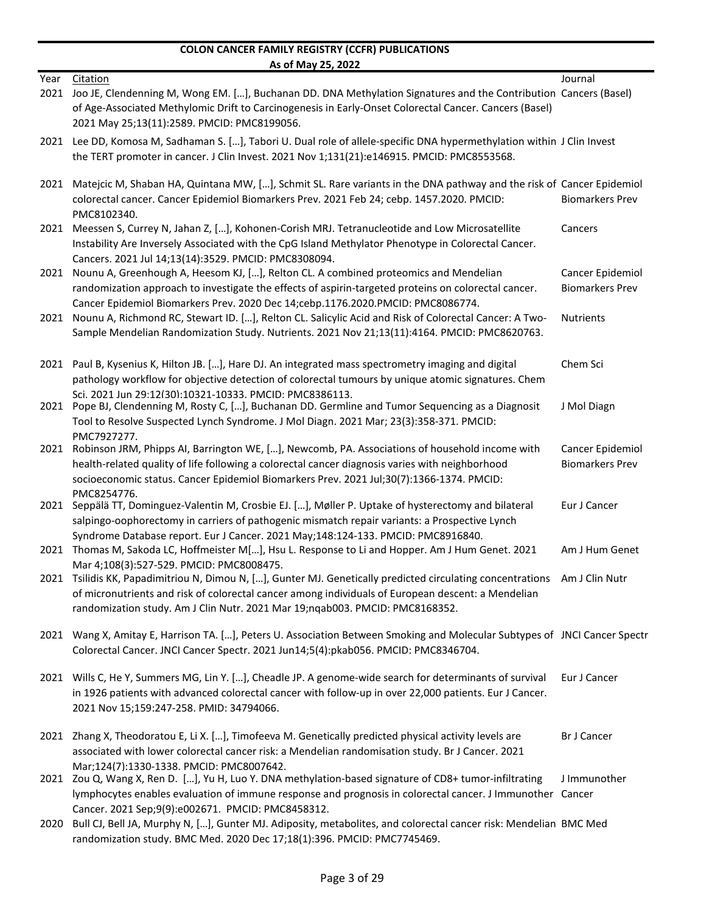| Year | Citation                                                                                                                                                                                                                                                                                      | Journal                                    |
|------|-----------------------------------------------------------------------------------------------------------------------------------------------------------------------------------------------------------------------------------------------------------------------------------------------|--------------------------------------------|
| 2021 | Joo JE, Clendenning M, Wong EM. [], Buchanan DD. DNA Methylation Signatures and the Contribution Cancers (Basel)<br>of Age-Associated Methylomic Drift to Carcinogenesis in Early-Onset Colorectal Cancer. Cancers (Basel)                                                                    |                                            |
|      | 2021 May 25;13(11):2589. PMCID: PMC8199056.                                                                                                                                                                                                                                                   |                                            |
|      | 2021 Lee DD, Komosa M, Sadhaman S. [], Tabori U. Dual role of allele-specific DNA hypermethylation within J Clin Invest<br>the TERT promoter in cancer. J Clin Invest. 2021 Nov 1;131(21):e146915. PMCID: PMC8553568.                                                                         |                                            |
| 2021 | Matejcic M, Shaban HA, Quintana MW, [], Schmit SL. Rare variants in the DNA pathway and the risk of Cancer Epidemiol                                                                                                                                                                          |                                            |
|      | colorectal cancer. Cancer Epidemiol Biomarkers Prev. 2021 Feb 24; cebp. 1457.2020. PMCID:<br>PMC8102340.                                                                                                                                                                                      | <b>Biomarkers Prev</b>                     |
| 2021 | Meessen S, Currey N, Jahan Z, [], Kohonen-Corish MRJ. Tetranucleotide and Low Microsatellite<br>Instability Are Inversely Associated with the CpG Island Methylator Phenotype in Colorectal Cancer.<br>Cancers. 2021 Jul 14;13(14):3529. PMCID: PMC8308094.                                   | Cancers                                    |
| 2021 | Nounu A, Greenhough A, Heesom KJ, [], Relton CL. A combined proteomics and Mendelian<br>randomization approach to investigate the effects of aspirin-targeted proteins on colorectal cancer.                                                                                                  | Cancer Epidemiol<br><b>Biomarkers Prev</b> |
|      | Cancer Epidemiol Biomarkers Prev. 2020 Dec 14;cebp.1176.2020.PMCID: PMC8086774.<br>2021 Nounu A, Richmond RC, Stewart ID. [], Relton CL. Salicylic Acid and Risk of Colorectal Cancer: A Two-<br>Sample Mendelian Randomization Study. Nutrients. 2021 Nov 21;13(11):4164. PMCID: PMC8620763. | <b>Nutrients</b>                           |
|      |                                                                                                                                                                                                                                                                                               |                                            |
|      | 2021 Paul B, Kysenius K, Hilton JB. [], Hare DJ. An integrated mass spectrometry imaging and digital<br>pathology workflow for objective detection of colorectal tumours by unique atomic signatures. Chem                                                                                    | Chem Sci                                   |
|      | Sci. 2021 Jun 29:12(30):10321-10333. PMCID: PMC8386113.<br>2021 Pope BJ, Clendenning M, Rosty C, [], Buchanan DD. Germline and Tumor Sequencing as a Diagnosit                                                                                                                                | J Mol Diagn                                |
|      | Tool to Resolve Suspected Lynch Syndrome. J Mol Diagn. 2021 Mar; 23(3):358-371. PMCID:                                                                                                                                                                                                        |                                            |
| 2021 | PMC7927277.<br>Robinson JRM, Phipps AI, Barrington WE, [], Newcomb, PA. Associations of household income with                                                                                                                                                                                 | Cancer Epidemiol                           |
|      | health-related quality of life following a colorectal cancer diagnosis varies with neighborhood<br>socioeconomic status. Cancer Epidemiol Biomarkers Prev. 2021 Jul;30(7):1366-1374. PMCID:                                                                                                   | <b>Biomarkers Prev</b>                     |
| 2021 | PMC8254776.<br>Seppälä TT, Dominguez-Valentin M, Crosbie EJ. [], Møller P. Uptake of hysterectomy and bilateral                                                                                                                                                                               | Eur J Cancer                               |
|      | salpingo-oophorectomy in carriers of pathogenic mismatch repair variants: a Prospective Lynch<br>Syndrome Database report. Eur J Cancer. 2021 May;148:124-133. PMCID: PMC8916840.                                                                                                             |                                            |
| 2021 | Thomas M, Sakoda LC, Hoffmeister M[], Hsu L. Response to Li and Hopper. Am J Hum Genet. 2021                                                                                                                                                                                                  | Am J Hum Genet                             |
|      | Mar 4;108(3):527-529. PMCID: PMC8008475.<br>2021 Tsilidis KK, Papadimitriou N, Dimou N, [], Gunter MJ. Genetically predicted circulating concentrations                                                                                                                                       | Am J Clin Nutr                             |
|      | of micronutrients and risk of colorectal cancer among individuals of European descent: a Mendelian<br>randomization study. Am J Clin Nutr. 2021 Mar 19;nqab003. PMCID: PMC8168352.                                                                                                            |                                            |
|      | 2021 Wang X, Amitay E, Harrison TA. [], Peters U. Association Between Smoking and Molecular Subtypes of JNCI Cancer Spectr<br>Colorectal Cancer. JNCI Cancer Spectr. 2021 Jun14;5(4):pkab056. PMCID: PMC8346704.                                                                              |                                            |
|      | 2021 Wills C, He Y, Summers MG, Lin Y. [], Cheadle JP. A genome-wide search for determinants of survival<br>in 1926 patients with advanced colorectal cancer with follow-up in over 22,000 patients. Eur J Cancer.<br>2021 Nov 15;159:247-258. PMID: 34794066.                                | Eur J Cancer                               |
|      |                                                                                                                                                                                                                                                                                               |                                            |
|      | 2021 Zhang X, Theodoratou E, Li X. [], Timofeeva M. Genetically predicted physical activity levels are<br>associated with lower colorectal cancer risk: a Mendelian randomisation study. Br J Cancer. 2021                                                                                    | <b>Br J Cancer</b>                         |
|      | Mar;124(7):1330-1338. PMCID: PMC8007642.<br>2021 Zou Q, Wang X, Ren D. [], Yu H, Luo Y. DNA methylation-based signature of CD8+ tumor-infiltrating                                                                                                                                            | J Immunother                               |
|      | lymphocytes enables evaluation of immune response and prognosis in colorectal cancer. J Immunother Cancer<br>Cancer. 2021 Sep;9(9):e002671. PMCID: PMC8458312.                                                                                                                                |                                            |
|      | 2020 Bull CJ, Bell JA, Murphy N, [], Gunter MJ. Adiposity, metabolites, and colorectal cancer risk: Mendelian BMC Med<br>randomization study. BMC Med. 2020 Dec 17;18(1):396. PMCID: PMC7745469.                                                                                              |                                            |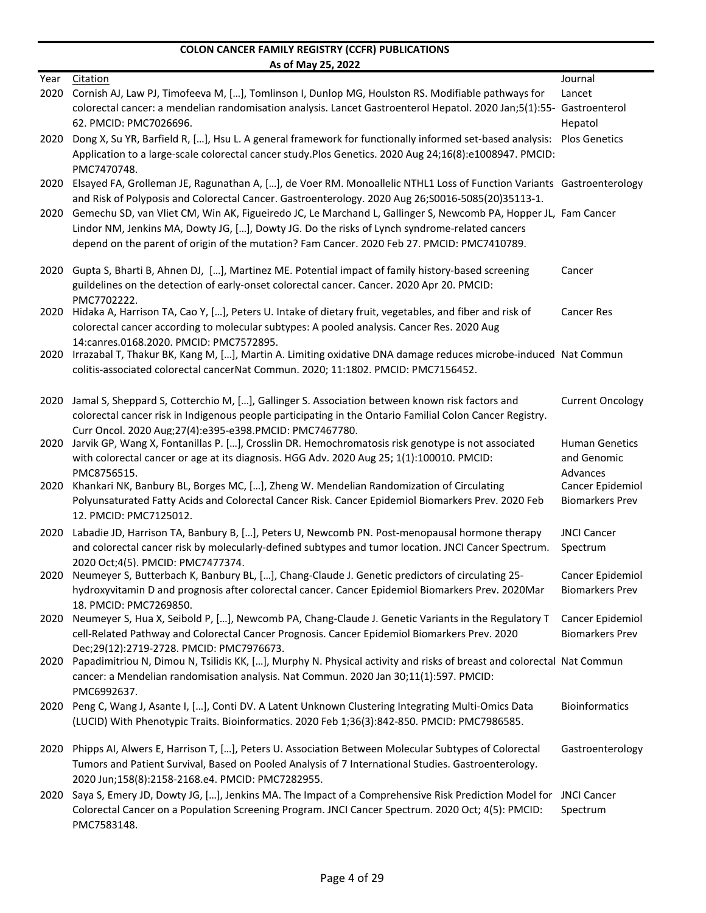|      | AS OF MIDY 25, ZUZZ                                                                                                                                                                                                                                                                                            |                                |
|------|----------------------------------------------------------------------------------------------------------------------------------------------------------------------------------------------------------------------------------------------------------------------------------------------------------------|--------------------------------|
| Year | Citation                                                                                                                                                                                                                                                                                                       | Journal                        |
| 2020 | Cornish AJ, Law PJ, Timofeeva M, [], Tomlinson I, Dunlop MG, Houlston RS. Modifiable pathways for                                                                                                                                                                                                              | Lancet                         |
|      | colorectal cancer: a mendelian randomisation analysis. Lancet Gastroenterol Hepatol. 2020 Jan;5(1):55- Gastroenterol                                                                                                                                                                                           |                                |
|      | 62. PMCID: PMC7026696.                                                                                                                                                                                                                                                                                         | Hepatol                        |
| 2020 | Dong X, Su YR, Barfield R, [], Hsu L. A general framework for functionally informed set-based analysis:<br>Application to a large-scale colorectal cancer study.Plos Genetics. 2020 Aug 24;16(8):e1008947. PMCID:<br>PMC7470748.                                                                               | <b>Plos Genetics</b>           |
| 2020 | Elsayed FA, Grolleman JE, Ragunathan A, [], de Voer RM. Monoallelic NTHL1 Loss of Function Variants Gastroenterology<br>and Risk of Polyposis and Colorectal Cancer. Gastroenterology. 2020 Aug 26; S0016-5085(20)35113-1.                                                                                     |                                |
| 2020 | Gemechu SD, van Vliet CM, Win AK, Figueiredo JC, Le Marchand L, Gallinger S, Newcomb PA, Hopper JL, Fam Cancer<br>Lindor NM, Jenkins MA, Dowty JG, [], Dowty JG. Do the risks of Lynch syndrome-related cancers<br>depend on the parent of origin of the mutation? Fam Cancer. 2020 Feb 27. PMCID: PMC7410789. |                                |
| 2020 | Gupta S, Bharti B, Ahnen DJ, [], Martinez ME. Potential impact of family history-based screening                                                                                                                                                                                                               | Cancer                         |
|      | guildelines on the detection of early-onset colorectal cancer. Cancer. 2020 Apr 20. PMCID:<br>PMC7702222.                                                                                                                                                                                                      |                                |
| 2020 | Hidaka A, Harrison TA, Cao Y, [], Peters U. Intake of dietary fruit, vegetables, and fiber and risk of<br>colorectal cancer according to molecular subtypes: A pooled analysis. Cancer Res. 2020 Aug                                                                                                           | <b>Cancer Res</b>              |
| 2020 | 14:canres.0168.2020. PMCID: PMC7572895.<br>Irrazabal T, Thakur BK, Kang M, [], Martin A. Limiting oxidative DNA damage reduces microbe-induced Nat Commun<br>colitis-associated colorectal cancerNat Commun. 2020; 11:1802. PMCID: PMC7156452.                                                                 |                                |
| 2020 | Jamal S, Sheppard S, Cotterchio M, [], Gallinger S. Association between known risk factors and                                                                                                                                                                                                                 | <b>Current Oncology</b>        |
|      | colorectal cancer risk in Indigenous people participating in the Ontario Familial Colon Cancer Registry.                                                                                                                                                                                                       |                                |
| 2020 | Curr Oncol. 2020 Aug;27(4):e395-e398.PMCID: PMC7467780.<br>Jarvik GP, Wang X, Fontanillas P. [], Crosslin DR. Hemochromatosis risk genotype is not associated                                                                                                                                                  | <b>Human Genetics</b>          |
|      | with colorectal cancer or age at its diagnosis. HGG Adv. 2020 Aug 25; 1(1):100010. PMCID:<br>PMC8756515.                                                                                                                                                                                                       | and Genomic<br>Advances        |
| 2020 | Khankari NK, Banbury BL, Borges MC, [], Zheng W. Mendelian Randomization of Circulating                                                                                                                                                                                                                        | Cancer Epidemiol               |
|      | Polyunsaturated Fatty Acids and Colorectal Cancer Risk. Cancer Epidemiol Biomarkers Prev. 2020 Feb                                                                                                                                                                                                             | <b>Biomarkers Prev</b>         |
|      | 12. PMCID: PMC7125012.                                                                                                                                                                                                                                                                                         |                                |
| 2020 | Labadie JD, Harrison TA, Banbury B, [], Peters U, Newcomb PN. Post-menopausal hormone therapy<br>and colorectal cancer risk by molecularly-defined subtypes and tumor location. JNCI Cancer Spectrum.                                                                                                          | <b>JNCI Cancer</b><br>Spectrum |
|      | 2020 Oct;4(5). PMCID: PMC7477374.<br>2020 Neumeyer S, Butterbach K, Banbury BL, [], Chang-Claude J. Genetic predictors of circulating 25-                                                                                                                                                                      | Cancer Epidemiol               |
|      | hydroxyvitamin D and prognosis after colorectal cancer. Cancer Epidemiol Biomarkers Prev. 2020Mar                                                                                                                                                                                                              | <b>Biomarkers Prev</b>         |
| 2020 | 18. PMCID: PMC7269850.<br>Neumeyer S, Hua X, Seibold P, [], Newcomb PA, Chang-Claude J. Genetic Variants in the Regulatory T                                                                                                                                                                                   | Cancer Epidemiol               |
|      | cell-Related Pathway and Colorectal Cancer Prognosis. Cancer Epidemiol Biomarkers Prev. 2020                                                                                                                                                                                                                   | <b>Biomarkers Prev</b>         |
| 2020 | Dec;29(12):2719-2728. PMCID: PMC7976673.<br>Papadimitriou N, Dimou N, Tsilidis KK, [], Murphy N. Physical activity and risks of breast and colorectal Nat Commun                                                                                                                                               |                                |
|      | cancer: a Mendelian randomisation analysis. Nat Commun. 2020 Jan 30;11(1):597. PMCID:<br>PMC6992637.                                                                                                                                                                                                           |                                |
| 2020 | Peng C, Wang J, Asante I, [], Conti DV. A Latent Unknown Clustering Integrating Multi-Omics Data<br>(LUCID) With Phenotypic Traits. Bioinformatics. 2020 Feb 1;36(3):842-850. PMCID: PMC7986585.                                                                                                               | <b>Bioinformatics</b>          |
| 2020 | Phipps AI, Alwers E, Harrison T, [], Peters U. Association Between Molecular Subtypes of Colorectal                                                                                                                                                                                                            | Gastroenterology               |
|      | Tumors and Patient Survival, Based on Pooled Analysis of 7 International Studies. Gastroenterology.<br>2020 Jun;158(8):2158-2168.e4. PMCID: PMC7282955.                                                                                                                                                        |                                |
| 2020 | Saya S, Emery JD, Dowty JG, [], Jenkins MA. The Impact of a Comprehensive Risk Prediction Model for                                                                                                                                                                                                            | <b>JNCI Cancer</b>             |
|      | Colorectal Cancer on a Population Screening Program. JNCI Cancer Spectrum. 2020 Oct; 4(5): PMCID:<br>PMC7583148.                                                                                                                                                                                               | Spectrum                       |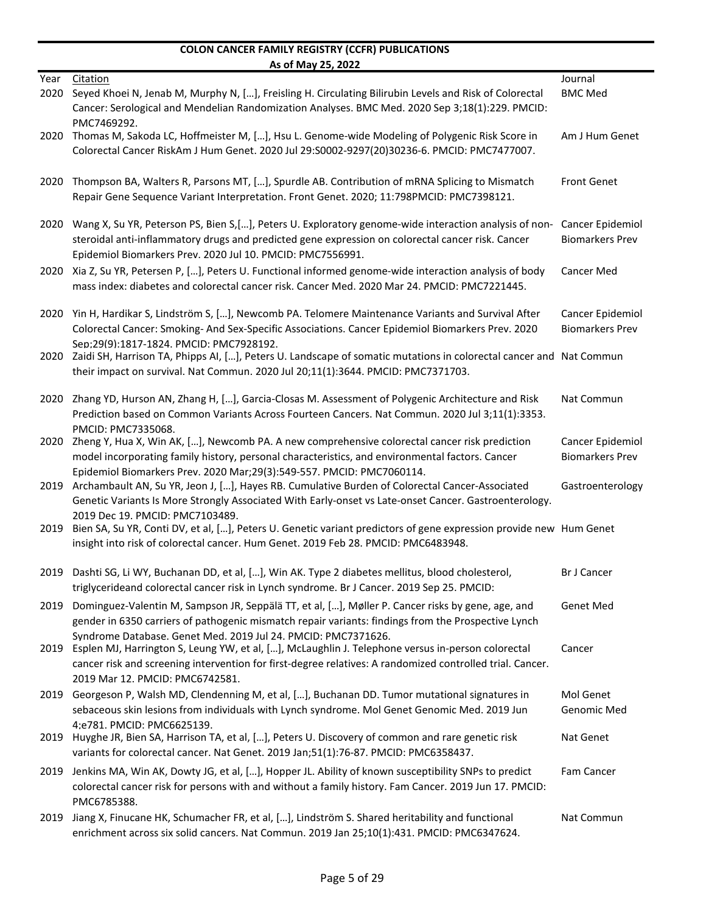|              | <u>AS UL IVIAY LY, LULL</u>                                                                                                                                                                                                                                                                                        |                                            |
|--------------|--------------------------------------------------------------------------------------------------------------------------------------------------------------------------------------------------------------------------------------------------------------------------------------------------------------------|--------------------------------------------|
| Year<br>2020 | Citation<br>Seyed Khoei N, Jenab M, Murphy N, [], Freisling H. Circulating Bilirubin Levels and Risk of Colorectal                                                                                                                                                                                                 | Journal<br><b>BMC Med</b>                  |
| 2020         | Cancer: Serological and Mendelian Randomization Analyses. BMC Med. 2020 Sep 3;18(1):229. PMCID:<br>PMC7469292.<br>Thomas M, Sakoda LC, Hoffmeister M, [], Hsu L. Genome-wide Modeling of Polygenic Risk Score in                                                                                                   | Am J Hum Genet                             |
|              | Colorectal Cancer RiskAm J Hum Genet. 2020 Jul 29:S0002-9297(20)30236-6. PMCID: PMC7477007.                                                                                                                                                                                                                        |                                            |
| 2020         | Thompson BA, Walters R, Parsons MT, [], Spurdle AB. Contribution of mRNA Splicing to Mismatch<br>Repair Gene Sequence Variant Interpretation. Front Genet. 2020; 11:798PMCID: PMC7398121.                                                                                                                          | <b>Front Genet</b>                         |
| 2020         | Wang X, Su YR, Peterson PS, Bien S, [], Peters U. Exploratory genome-wide interaction analysis of non-<br>steroidal anti-inflammatory drugs and predicted gene expression on colorectal cancer risk. Cancer<br>Epidemiol Biomarkers Prev. 2020 Jul 10. PMCID: PMC7556991.                                          | Cancer Epidemiol<br><b>Biomarkers Prev</b> |
| 2020         | Xia Z, Su YR, Petersen P, [], Peters U. Functional informed genome-wide interaction analysis of body<br>mass index: diabetes and colorectal cancer risk. Cancer Med. 2020 Mar 24. PMCID: PMC7221445.                                                                                                               | <b>Cancer Med</b>                          |
| 2020         | Yin H, Hardikar S, Lindström S, [], Newcomb PA. Telomere Maintenance Variants and Survival After<br>Colorectal Cancer: Smoking- And Sex-Specific Associations. Cancer Epidemiol Biomarkers Prev. 2020                                                                                                              | Cancer Epidemiol<br><b>Biomarkers Prev</b> |
|              | Sep:29(9):1817-1824. PMCID: PMC7928192.<br>2020 Zaidi SH, Harrison TA, Phipps AI, [], Peters U. Landscape of somatic mutations in colorectal cancer and Nat Commun<br>their impact on survival. Nat Commun. 2020 Jul 20;11(1):3644. PMCID: PMC7371703.                                                             |                                            |
| 2020         | Zhang YD, Hurson AN, Zhang H, [], Garcia-Closas M. Assessment of Polygenic Architecture and Risk<br>Prediction based on Common Variants Across Fourteen Cancers. Nat Commun. 2020 Jul 3;11(1):3353.<br>PMCID: PMC7335068.                                                                                          | Nat Commun                                 |
| 2020         | Zheng Y, Hua X, Win AK, [], Newcomb PA. A new comprehensive colorectal cancer risk prediction<br>model incorporating family history, personal characteristics, and environmental factors. Cancer<br>Epidemiol Biomarkers Prev. 2020 Mar;29(3):549-557. PMCID: PMC7060114.                                          | Cancer Epidemiol<br><b>Biomarkers Prev</b> |
| 2019         | Archambault AN, Su YR, Jeon J, [], Hayes RB. Cumulative Burden of Colorectal Cancer-Associated<br>Genetic Variants Is More Strongly Associated With Early-onset vs Late-onset Cancer. Gastroenterology.                                                                                                            | Gastroenterology                           |
| 2019         | 2019 Dec 19. PMCID: PMC7103489.<br>Bien SA, Su YR, Conti DV, et al, [], Peters U. Genetic variant predictors of gene expression provide new Hum Genet<br>insight into risk of colorectal cancer. Hum Genet. 2019 Feb 28. PMCID: PMC6483948.                                                                        |                                            |
| 2019         | Dashti SG, Li WY, Buchanan DD, et al, [], Win AK. Type 2 diabetes mellitus, blood cholesterol,<br>triglycerideand colorectal cancer risk in Lynch syndrome. Br J Cancer. 2019 Sep 25. PMCID:                                                                                                                       | <b>Br J Cancer</b>                         |
| 2019         | Dominguez-Valentin M, Sampson JR, Seppälä TT, et al, [], Møller P. Cancer risks by gene, age, and<br>gender in 6350 carriers of pathogenic mismatch repair variants: findings from the Prospective Lynch                                                                                                           | <b>Genet Med</b>                           |
| 2019         | Syndrome Database. Genet Med. 2019 Jul 24. PMCID: PMC7371626.<br>Esplen MJ, Harrington S, Leung YW, et al, [], McLaughlin J. Telephone versus in-person colorectal<br>cancer risk and screening intervention for first-degree relatives: A randomized controlled trial. Cancer.<br>2019 Mar 12. PMCID: PMC6742581. | Cancer                                     |
|              | 2019 Georgeson P, Walsh MD, Clendenning M, et al, [], Buchanan DD. Tumor mutational signatures in<br>sebaceous skin lesions from individuals with Lynch syndrome. Mol Genet Genomic Med. 2019 Jun                                                                                                                  | Mol Genet<br>Genomic Med                   |
|              | 4;e781. PMCID: PMC6625139.<br>2019 Huyghe JR, Bien SA, Harrison TA, et al, [], Peters U. Discovery of common and rare genetic risk<br>variants for colorectal cancer. Nat Genet. 2019 Jan;51(1):76-87. PMCID: PMC6358437.                                                                                          | Nat Genet                                  |
| 2019         | Jenkins MA, Win AK, Dowty JG, et al, [], Hopper JL. Ability of known susceptibility SNPs to predict<br>colorectal cancer risk for persons with and without a family history. Fam Cancer. 2019 Jun 17. PMCID:<br>PMC6785388.                                                                                        | Fam Cancer                                 |
| 2019         | Jiang X, Finucane HK, Schumacher FR, et al, [], Lindström S. Shared heritability and functional<br>enrichment across six solid cancers. Nat Commun. 2019 Jan 25;10(1):431. PMCID: PMC6347624.                                                                                                                      | Nat Commun                                 |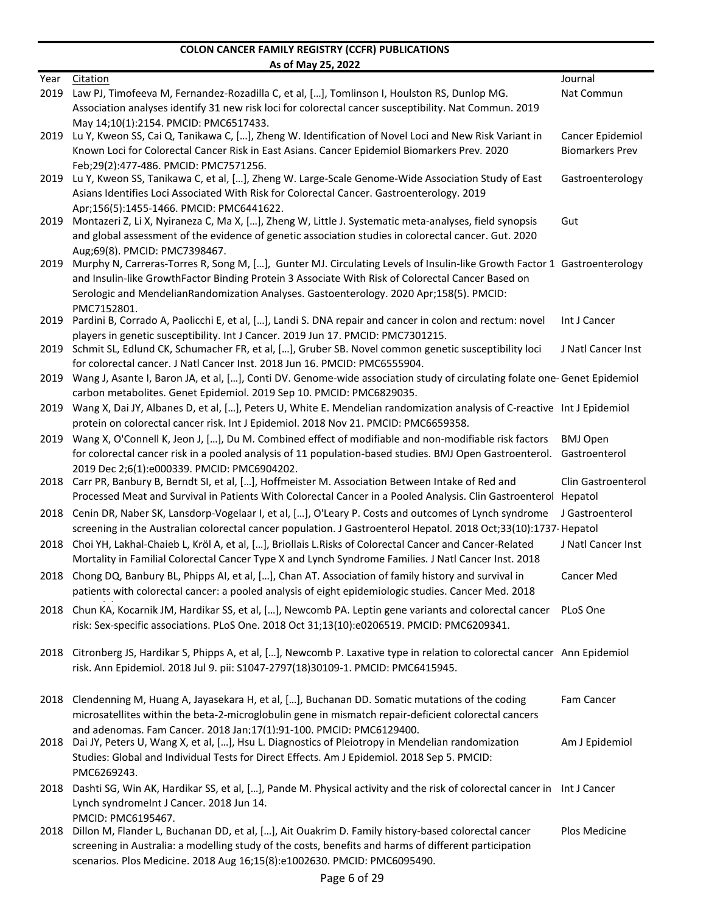|      | <u>AS ULIVIDY ZJ, ZUZZ</u>                                                                                                                                                                                     |                        |
|------|----------------------------------------------------------------------------------------------------------------------------------------------------------------------------------------------------------------|------------------------|
| Year | <b>Citation</b>                                                                                                                                                                                                | Journal                |
| 2019 | Law PJ, Timofeeva M, Fernandez-Rozadilla C, et al, [], Tomlinson I, Houlston RS, Dunlop MG.                                                                                                                    | Nat Commun             |
|      | Association analyses identify 31 new risk loci for colorectal cancer susceptibility. Nat Commun. 2019                                                                                                          |                        |
|      | Mav 14:10(1):2154. PMCID: PMC6517433.<br>Lu Y, Kweon SS, Cai Q, Tanikawa C, [], Zheng W. Identification of Novel Loci and New Risk Variant in                                                                  | Cancer Epidemiol       |
| 2019 | Known Loci for Colorectal Cancer Risk in East Asians. Cancer Epidemiol Biomarkers Prev. 2020                                                                                                                   | <b>Biomarkers Prev</b> |
|      | Feb;29(2):477-486. PMCID: PMC7571256.                                                                                                                                                                          |                        |
| 2019 | Lu Y, Kweon SS, Tanikawa C, et al, [], Zheng W. Large-Scale Genome-Wide Association Study of East                                                                                                              | Gastroenterology       |
|      | Asians Identifies Loci Associated With Risk for Colorectal Cancer. Gastroenterology. 2019                                                                                                                      |                        |
|      | Apr:156(5):1455-1466. PMCID: PMC6441622.                                                                                                                                                                       |                        |
| 2019 | Montazeri Z, Li X, Nyiraneza C, Ma X, [], Zheng W, Little J. Systematic meta-analyses, field synopsis                                                                                                          | Gut                    |
|      | and global assessment of the evidence of genetic association studies in colorectal cancer. Gut. 2020                                                                                                           |                        |
|      | Aug;69(8). PMCID: PMC7398467.                                                                                                                                                                                  |                        |
| 2019 | Murphy N, Carreras-Torres R, Song M, [], Gunter MJ. Circulating Levels of Insulin-like Growth Factor 1 Gastroenterology                                                                                        |                        |
|      | and Insulin-like GrowthFactor Binding Protein 3 Associate With Risk of Colorectal Cancer Based on                                                                                                              |                        |
|      | Serologic and MendelianRandomization Analyses. Gastoenterology. 2020 Apr;158(5). PMCID:                                                                                                                        |                        |
| 2019 | PMC7152801.<br>Pardini B, Corrado A, Paolicchi E, et al, [], Landi S. DNA repair and cancer in colon and rectum: novel                                                                                         | Int J Cancer           |
|      | players in genetic susceptibility. Int J Cancer. 2019 Jun 17. PMCID: PMC7301215.                                                                                                                               |                        |
| 2019 | Schmit SL, Edlund CK, Schumacher FR, et al, [], Gruber SB. Novel common genetic susceptibility loci                                                                                                            | J Natl Cancer Inst     |
|      | for colorectal cancer. J Natl Cancer Inst. 2018 Jun 16. PMCID: PMC6555904.                                                                                                                                     |                        |
| 2019 | Wang J, Asante I, Baron JA, et al, [], Conti DV. Genome-wide association study of circulating folate one- Genet Epidemiol                                                                                      |                        |
|      | carbon metabolites. Genet Epidemiol. 2019 Sep 10. PMCID: PMC6829035.                                                                                                                                           |                        |
| 2019 | Wang X, Dai JY, Albanes D, et al, [], Peters U, White E. Mendelian randomization analysis of C-reactive Int J Epidemiol                                                                                        |                        |
|      | protein on colorectal cancer risk. Int J Epidemiol. 2018 Nov 21. PMCID: PMC6659358.                                                                                                                            |                        |
|      | 2019 Wang X, O'Connell K, Jeon J, [], Du M. Combined effect of modifiable and non-modifiable risk factors                                                                                                      | <b>BMJ Open</b>        |
|      | for colorectal cancer risk in a pooled analysis of 11 population-based studies. BMJ Open Gastroenterol. Gastroenterol                                                                                          |                        |
|      | 2019 Dec 2:6(1):e000339. PMCID: PMC6904202.                                                                                                                                                                    |                        |
|      | 2018 Carr PR, Banbury B, Berndt SI, et al, [], Hoffmeister M. Association Between Intake of Red and                                                                                                            | Clin Gastroenterol     |
|      | Processed Meat and Survival in Patients With Colorectal Cancer in a Pooled Analysis. Clin Gastroenterol Hepatol                                                                                                |                        |
| 2018 | Cenin DR, Naber SK, Lansdorp-Vogelaar I, et al, [], O'Leary P. Costs and outcomes of Lynch syndrome                                                                                                            | J Gastroenterol        |
|      | screening in the Australian colorectal cancer population. J Gastroenterol Hepatol. 2018 Oct;33(10):1737-Hepatol                                                                                                |                        |
| 2018 | Choi YH, Lakhal-Chaieb L, Kröl A, et al, [], Briollais L.Risks of Colorectal Cancer and Cancer-Related<br>Mortality in Familial Colorectal Cancer Type X and Lynch Syndrome Families. J Natl Cancer Inst. 2018 | J Natl Cancer Inst     |
|      | 2018 Chong DQ, Banbury BL, Phipps AI, et al, [], Chan AT. Association of family history and survival in                                                                                                        | <b>Cancer Med</b>      |
|      | patients with colorectal cancer: a pooled analysis of eight epidemiologic studies. Cancer Med. 2018                                                                                                            |                        |
|      | 2018 Chun KA, Kocarnik JM, Hardikar SS, et al, [], Newcomb PA. Leptin gene variants and colorectal cancer PLoS One                                                                                             |                        |
|      | risk: Sex-specific associations. PLoS One. 2018 Oct 31;13(10):e0206519. PMCID: PMC6209341.                                                                                                                     |                        |
|      |                                                                                                                                                                                                                |                        |
|      | 2018 Citronberg JS, Hardikar S, Phipps A, et al, [], Newcomb P. Laxative type in relation to colorectal cancer Ann Epidemiol                                                                                   |                        |
|      | risk. Ann Epidemiol. 2018 Jul 9. pii: S1047-2797(18)30109-1. PMCID: PMC6415945.                                                                                                                                |                        |
|      |                                                                                                                                                                                                                |                        |
|      | 2018 Clendenning M, Huang A, Jayasekara H, et al, [], Buchanan DD. Somatic mutations of the coding                                                                                                             | Fam Cancer             |
|      | microsatellites within the beta-2-microglobulin gene in mismatch repair-deficient colorectal cancers<br>and adenomas. Fam Cancer. 2018 Jan:17(1):91-100. PMCID: PMC6129400.                                    |                        |
| 2018 | Dai JY, Peters U, Wang X, et al, [], Hsu L. Diagnostics of Pleiotropy in Mendelian randomization                                                                                                               | Am J Epidemiol         |
|      | Studies: Global and Individual Tests for Direct Effects. Am J Epidemiol. 2018 Sep 5. PMCID:                                                                                                                    |                        |
|      | PMC6269243.                                                                                                                                                                                                    |                        |
| 2018 | Dashti SG, Win AK, Hardikar SS, et al, [], Pande M. Physical activity and the risk of colorectal cancer in Int J Cancer                                                                                        |                        |
|      | Lynch syndromeInt J Cancer. 2018 Jun 14.                                                                                                                                                                       |                        |
|      | PMCID: PMC6195467.                                                                                                                                                                                             |                        |
|      | 2018 Dillon M, Flander L, Buchanan DD, et al, [], Ait Ouakrim D. Family history-based colorectal cancer                                                                                                        | Plos Medicine          |
|      | screening in Australia: a modelling study of the costs, benefits and harms of different participation                                                                                                          |                        |
|      | scenarios. Plos Medicine. 2018 Aug 16;15(8):e1002630. PMCID: PMC6095490.                                                                                                                                       |                        |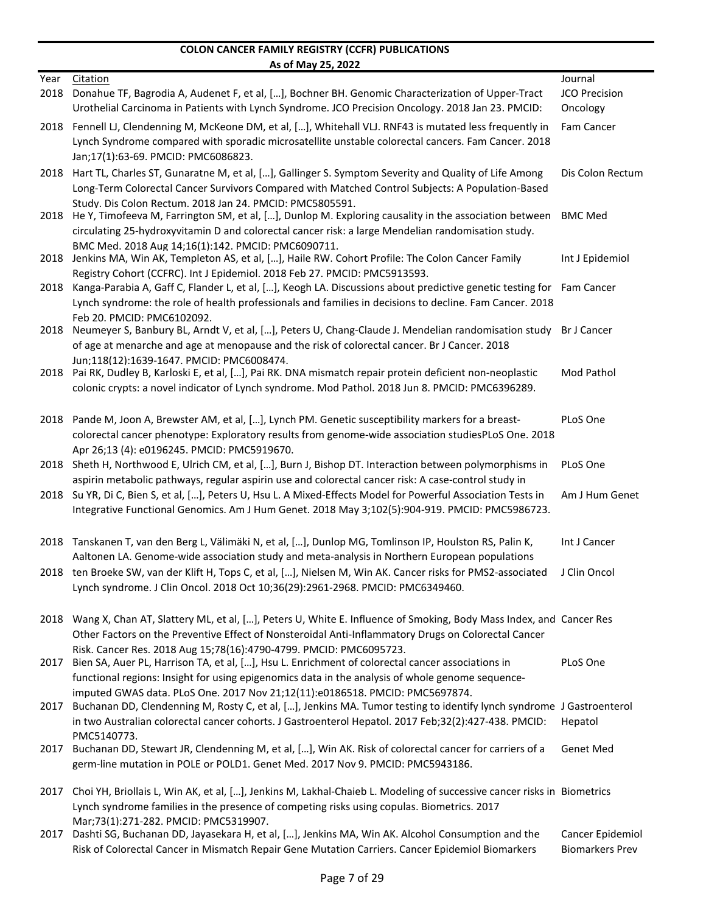|      | As of May 25, 2022                                                                                                                                                                                                   |                        |
|------|----------------------------------------------------------------------------------------------------------------------------------------------------------------------------------------------------------------------|------------------------|
| Year | <b>Citation</b>                                                                                                                                                                                                      | Journal                |
| 2018 | Donahue TF, Bagrodia A, Audenet F, et al, [], Bochner BH. Genomic Characterization of Upper-Tract                                                                                                                    | JCO Precision          |
|      | Urothelial Carcinoma in Patients with Lynch Syndrome. JCO Precision Oncology. 2018 Jan 23. PMCID:                                                                                                                    | Oncology               |
| 2018 | Fennell LJ, Clendenning M, McKeone DM, et al, [], Whitehall VLJ. RNF43 is mutated less frequently in                                                                                                                 | Fam Cancer             |
|      | Lynch Syndrome compared with sporadic microsatellite unstable colorectal cancers. Fam Cancer. 2018                                                                                                                   |                        |
|      | Jan;17(1):63-69. PMCID: PMC6086823.                                                                                                                                                                                  |                        |
| 2018 | Hart TL, Charles ST, Gunaratne M, et al, [], Gallinger S. Symptom Severity and Quality of Life Among                                                                                                                 | Dis Colon Rectum       |
|      | Long-Term Colorectal Cancer Survivors Compared with Matched Control Subjects: A Population-Based                                                                                                                     |                        |
| 2018 | Study. Dis Colon Rectum. 2018 Jan 24. PMCID: PMC5805591.<br>He Y, Timofeeva M, Farrington SM, et al, [], Dunlop M. Exploring causality in the association between                                                    | <b>BMC Med</b>         |
|      | circulating 25-hydroxyvitamin D and colorectal cancer risk: a large Mendelian randomisation study.                                                                                                                   |                        |
|      | BMC Med. 2018 Aug 14;16(1):142. PMCID: PMC6090711.                                                                                                                                                                   |                        |
| 2018 | Jenkins MA, Win AK, Templeton AS, et al, [], Haile RW. Cohort Profile: The Colon Cancer Family                                                                                                                       | Int J Epidemiol        |
|      | Registry Cohort (CCFRC). Int J Epidemiol. 2018 Feb 27. PMCID: PMC5913593.                                                                                                                                            |                        |
| 2018 | Kanga-Parabia A, Gaff C, Flander L, et al, [], Keogh LA. Discussions about predictive genetic testing for Fam Cancer                                                                                                 |                        |
|      | Lynch syndrome: the role of health professionals and families in decisions to decline. Fam Cancer. 2018                                                                                                              |                        |
|      | Feb 20. PMCID: PMC6102092.                                                                                                                                                                                           | Br J Cancer            |
| 2018 | Neumeyer S, Banbury BL, Arndt V, et al, [], Peters U, Chang-Claude J. Mendelian randomisation study<br>of age at menarche and age at menopause and the risk of colorectal cancer. Br J Cancer. 2018                  |                        |
|      | Jun;118(12):1639-1647. PMCID: PMC6008474.                                                                                                                                                                            |                        |
| 2018 | Pai RK, Dudley B, Karloski E, et al, [], Pai RK. DNA mismatch repair protein deficient non-neoplastic                                                                                                                | Mod Pathol             |
|      | colonic crypts: a novel indicator of Lynch syndrome. Mod Pathol. 2018 Jun 8. PMCID: PMC6396289.                                                                                                                      |                        |
|      |                                                                                                                                                                                                                      |                        |
| 2018 | Pande M, Joon A, Brewster AM, et al, [], Lynch PM. Genetic susceptibility markers for a breast-                                                                                                                      | PLoS One               |
|      | colorectal cancer phenotype: Exploratory results from genome-wide association studiesPLoS One. 2018                                                                                                                  |                        |
|      | Apr 26;13 (4): e0196245. PMCID: PMC5919670.                                                                                                                                                                          |                        |
| 2018 | Sheth H, Northwood E, Ulrich CM, et al, [], Burn J, Bishop DT. Interaction between polymorphisms in                                                                                                                  | PLoS One               |
|      | aspirin metabolic pathways, regular aspirin use and colorectal cancer risk: A case-control study in<br>2018 Su YR, Di C, Bien S, et al, [], Peters U, Hsu L. A Mixed-Effects Model for Powerful Association Tests in | Am J Hum Genet         |
|      | Integrative Functional Genomics. Am J Hum Genet. 2018 May 3;102(5):904-919. PMCID: PMC5986723.                                                                                                                       |                        |
|      |                                                                                                                                                                                                                      |                        |
| 2018 | Tanskanen T, van den Berg L, Välimäki N, et al, [], Dunlop MG, Tomlinson IP, Houlston RS, Palin K,                                                                                                                   | Int J Cancer           |
|      | Aaltonen LA. Genome-wide association study and meta-analysis in Northern European populations                                                                                                                        |                        |
|      | 2018 ten Broeke SW, van der Klift H, Tops C, et al, [], Nielsen M, Win AK. Cancer risks for PMS2-associated                                                                                                          | J Clin Oncol           |
|      | Lynch syndrome. J Clin Oncol. 2018 Oct 10;36(29):2961-2968. PMCID: PMC6349460.                                                                                                                                       |                        |
|      |                                                                                                                                                                                                                      |                        |
| 2018 | Wang X, Chan AT, Slattery ML, et al, [], Peters U, White E. Influence of Smoking, Body Mass Index, and Cancer Res                                                                                                    |                        |
|      | Other Factors on the Preventive Effect of Nonsteroidal Anti-Inflammatory Drugs on Colorectal Cancer                                                                                                                  |                        |
|      | Risk. Cancer Res. 2018 Aug 15;78(16):4790-4799. PMCID: PMC6095723.                                                                                                                                                   |                        |
| 2017 | Bien SA, Auer PL, Harrison TA, et al, [], Hsu L. Enrichment of colorectal cancer associations in<br>functional regions: Insight for using epigenomics data in the analysis of whole genome sequence-                 | PLoS One               |
|      | imputed GWAS data. PLoS One. 2017 Nov 21;12(11):e0186518. PMCID: PMC5697874.                                                                                                                                         |                        |
| 2017 | Buchanan DD, Clendenning M, Rosty C, et al, [], Jenkins MA. Tumor testing to identify lynch syndrome J Gastroenterol                                                                                                 |                        |
|      | in two Australian colorectal cancer cohorts. J Gastroenterol Hepatol. 2017 Feb;32(2):427-438. PMCID:                                                                                                                 | Hepatol                |
|      | PMC5140773.                                                                                                                                                                                                          |                        |
| 2017 | Buchanan DD, Stewart JR, Clendenning M, et al, [], Win AK. Risk of colorectal cancer for carriers of a                                                                                                               | <b>Genet Med</b>       |
|      | germ-line mutation in POLE or POLD1. Genet Med. 2017 Nov 9. PMCID: PMC5943186.                                                                                                                                       |                        |
| 2017 | Choi YH, Briollais L, Win AK, et al, [], Jenkins M, Lakhal-Chaieb L. Modeling of successive cancer risks in Biometrics                                                                                               |                        |
|      | Lynch syndrome families in the presence of competing risks using copulas. Biometrics. 2017                                                                                                                           |                        |
|      | Mar;73(1):271-282. PMCID: PMC5319907.                                                                                                                                                                                |                        |
| 2017 | Dashti SG, Buchanan DD, Jayasekara H, et al, [], Jenkins MA, Win AK. Alcohol Consumption and the                                                                                                                     | Cancer Epidemiol       |
|      | Risk of Colorectal Cancer in Mismatch Repair Gene Mutation Carriers. Cancer Epidemiol Biomarkers                                                                                                                     | <b>Biomarkers Prev</b> |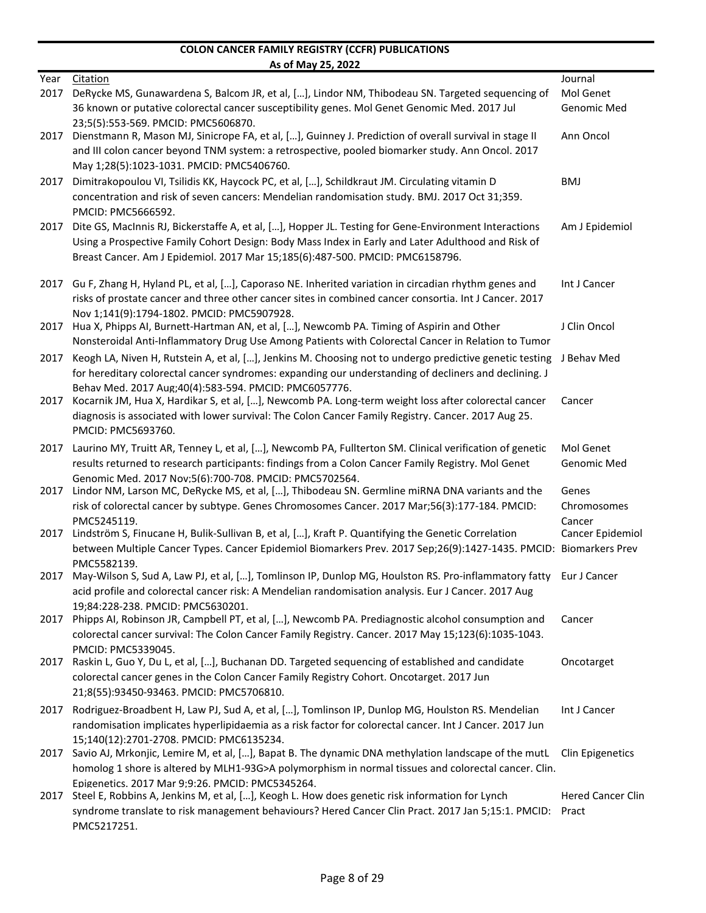|      | AS UI IVIAY 23, ZUZZ                                                                                                                                                                                                                                                                         |                          |
|------|----------------------------------------------------------------------------------------------------------------------------------------------------------------------------------------------------------------------------------------------------------------------------------------------|--------------------------|
| Year | Citation                                                                                                                                                                                                                                                                                     | Journal                  |
| 2017 | DeRycke MS, Gunawardena S, Balcom JR, et al, [], Lindor NM, Thibodeau SN. Targeted sequencing of                                                                                                                                                                                             | Mol Genet                |
|      | 36 known or putative colorectal cancer susceptibility genes. Mol Genet Genomic Med. 2017 Jul<br>23:5(5):553-569. PMCID: PMC5606870.                                                                                                                                                          | Genomic Med              |
| 2017 | Dienstmann R, Mason MJ, Sinicrope FA, et al, [], Guinney J. Prediction of overall survival in stage II<br>and III colon cancer beyond TNM system: a retrospective, pooled biomarker study. Ann Oncol. 2017                                                                                   | Ann Oncol                |
|      | May 1;28(5):1023-1031. PMCID: PMC5406760.                                                                                                                                                                                                                                                    |                          |
| 2017 | Dimitrakopoulou VI, Tsilidis KK, Haycock PC, et al, [], Schildkraut JM. Circulating vitamin D<br>concentration and risk of seven cancers: Mendelian randomisation study. BMJ. 2017 Oct 31;359.<br>PMCID: PMC5666592.                                                                         | <b>BMJ</b>               |
| 2017 | Dite GS, MacInnis RJ, Bickerstaffe A, et al, [], Hopper JL. Testing for Gene-Environment Interactions<br>Using a Prospective Family Cohort Design: Body Mass Index in Early and Later Adulthood and Risk of<br>Breast Cancer. Am J Epidemiol. 2017 Mar 15;185(6):487-500. PMCID: PMC6158796. | Am J Epidemiol           |
| 2017 | Gu F, Zhang H, Hyland PL, et al, [], Caporaso NE. Inherited variation in circadian rhythm genes and<br>risks of prostate cancer and three other cancer sites in combined cancer consortia. Int J Cancer. 2017<br>Nov 1:141(9):1794-1802. PMCID: PMC5907928.                                  | Int J Cancer             |
| 2017 | Hua X, Phipps AI, Burnett-Hartman AN, et al, [], Newcomb PA. Timing of Aspirin and Other<br>Nonsteroidal Anti-Inflammatory Drug Use Among Patients with Colorectal Cancer in Relation to Tumor                                                                                               | J Clin Oncol             |
| 2017 | Keogh LA, Niven H, Rutstein A, et al, [], Jenkins M. Choosing not to undergo predictive genetic testing<br>for hereditary colorectal cancer syndromes: expanding our understanding of decliners and declining. J                                                                             | J Behav Med              |
| 2017 | Behav Med. 2017 Aug; 40(4): 583-594. PMCID: PMC6057776.<br>Kocarnik JM, Hua X, Hardikar S, et al, [], Newcomb PA. Long-term weight loss after colorectal cancer<br>diagnosis is associated with lower survival: The Colon Cancer Family Registry. Cancer. 2017 Aug 25.                       | Cancer                   |
|      | PMCID: PMC5693760.                                                                                                                                                                                                                                                                           |                          |
| 2017 | Laurino MY, Truitt AR, Tenney L, et al, [], Newcomb PA, Fullterton SM. Clinical verification of genetic<br>results returned to research participants: findings from a Colon Cancer Family Registry. Mol Genet                                                                                | Mol Genet<br>Genomic Med |
| 2017 | Genomic Med. 2017 Nov;5(6):700-708. PMCID: PMC5702564.<br>Lindor NM, Larson MC, DeRycke MS, et al, [], Thibodeau SN. Germline miRNA DNA variants and the                                                                                                                                     | Genes                    |
|      | risk of colorectal cancer by subtype. Genes Chromosomes Cancer. 2017 Mar;56(3):177-184. PMCID:<br>PMC5245119.                                                                                                                                                                                | Chromosomes<br>Cancer    |
| 2017 | Lindström S, Finucane H, Bulik-Sullivan B, et al, [], Kraft P. Quantifying the Genetic Correlation<br>between Multiple Cancer Types. Cancer Epidemiol Biomarkers Prev. 2017 Sep;26(9):1427-1435. PMCID: Biomarkers Prev<br>PMC5582139.                                                       | Cancer Epidemiol         |
| 2017 | May-Wilson S, Sud A, Law PJ, et al, [], Tomlinson IP, Dunlop MG, Houlston RS. Pro-inflammatory fatty<br>acid profile and colorectal cancer risk: A Mendelian randomisation analysis. Eur J Cancer. 2017 Aug<br>19;84:228-238. PMCID: PMC5630201.                                             | Eur J Cancer             |
|      | 2017 Phipps AI, Robinson JR, Campbell PT, et al, [], Newcomb PA. Prediagnostic alcohol consumption and<br>colorectal cancer survival: The Colon Cancer Family Registry. Cancer. 2017 May 15;123(6):1035-1043.<br>PMCID: PMC5339045.                                                          | Cancer                   |
| 2017 | Raskin L, Guo Y, Du L, et al, [], Buchanan DD. Targeted sequencing of established and candidate<br>colorectal cancer genes in the Colon Cancer Family Registry Cohort. Oncotarget. 2017 Jun<br>21;8(55):93450-93463. PMCID: PMC5706810.                                                      | Oncotarget               |
| 2017 | Rodriguez-Broadbent H, Law PJ, Sud A, et al, [], Tomlinson IP, Dunlop MG, Houlston RS. Mendelian<br>randomisation implicates hyperlipidaemia as a risk factor for colorectal cancer. Int J Cancer. 2017 Jun<br>15;140(12):2701-2708. PMCID: PMC6135234.                                      | Int J Cancer             |
|      | 2017 Savio AJ, Mrkonjic, Lemire M, et al, [], Bapat B. The dynamic DNA methylation landscape of the mutL<br>homolog 1 shore is altered by MLH1-93G>A polymorphism in normal tissues and colorectal cancer. Clin.                                                                             | Clin Epigenetics         |
|      | Epigenetics. 2017 Mar 9:9:26. PMCID: PMC5345264.<br>2017 Steel E, Robbins A, Jenkins M, et al, [], Keogh L. How does genetic risk information for Lynch                                                                                                                                      | <b>Hered Cancer Clin</b> |
|      | syndrome translate to risk management behaviours? Hered Cancer Clin Pract. 2017 Jan 5;15:1. PMCID: Pract<br>PMC5217251.                                                                                                                                                                      |                          |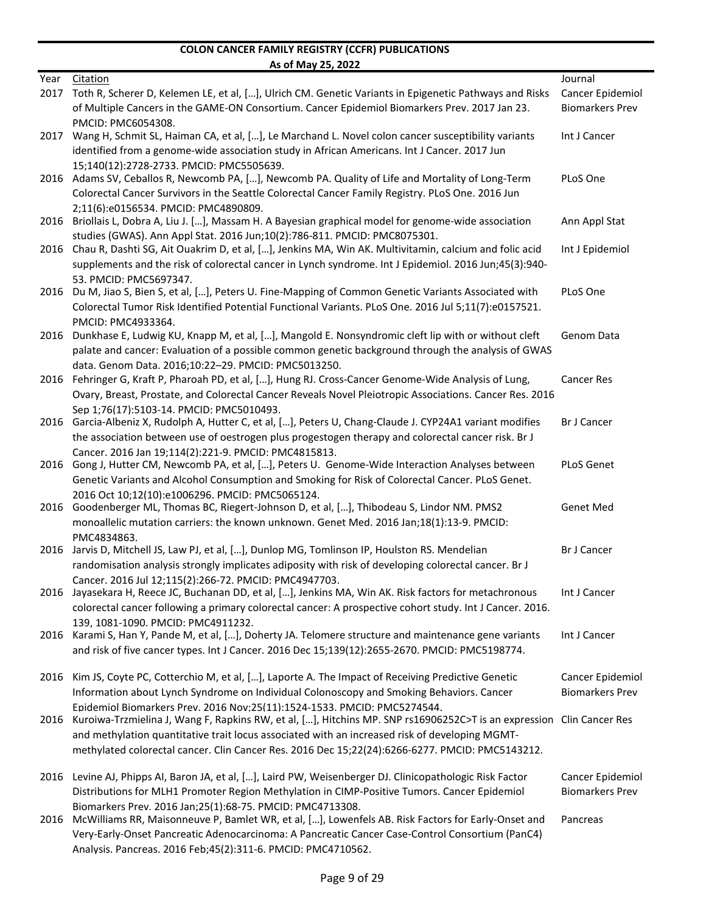|      | <u>AS ULIVIDY ZJ, ZUZZ</u>                                                                                                                                                                       |                        |
|------|--------------------------------------------------------------------------------------------------------------------------------------------------------------------------------------------------|------------------------|
| Year | Citation                                                                                                                                                                                         | Journal                |
| 2017 | Toth R, Scherer D, Kelemen LE, et al, [], Ulrich CM. Genetic Variants in Epigenetic Pathways and Risks                                                                                           | Cancer Epidemiol       |
|      | of Multiple Cancers in the GAME-ON Consortium. Cancer Epidemiol Biomarkers Prev. 2017 Jan 23.                                                                                                    | <b>Biomarkers Prev</b> |
|      | PMCID: PMC6054308.                                                                                                                                                                               |                        |
| 2017 | Wang H, Schmit SL, Haiman CA, et al, [], Le Marchand L. Novel colon cancer susceptibility variants                                                                                               | Int J Cancer           |
|      | identified from a genome-wide association study in African Americans. Int J Cancer. 2017 Jun                                                                                                     |                        |
| 2016 | 15;140(12):2728-2733. PMCID: PMC5505639.<br>Adams SV, Ceballos R, Newcomb PA, [], Newcomb PA. Quality of Life and Mortality of Long-Term                                                         | PLoS One               |
|      | Colorectal Cancer Survivors in the Seattle Colorectal Cancer Family Registry. PLoS One. 2016 Jun                                                                                                 |                        |
|      | 2:11(6):e0156534. PMCID: PMC4890809.                                                                                                                                                             |                        |
|      | 2016 Briollais L, Dobra A, Liu J. [], Massam H. A Bayesian graphical model for genome-wide association                                                                                           | Ann Appl Stat          |
|      | studies (GWAS). Ann Appl Stat. 2016 Jun;10(2):786-811. PMCID: PMC8075301.                                                                                                                        |                        |
| 2016 | Chau R, Dashti SG, Ait Ouakrim D, et al, [], Jenkins MA, Win AK. Multivitamin, calcium and folic acid                                                                                            | Int J Epidemiol        |
|      | supplements and the risk of colorectal cancer in Lynch syndrome. Int J Epidemiol. 2016 Jun;45(3):940-                                                                                            |                        |
|      | 53. PMCID: PMC5697347.                                                                                                                                                                           |                        |
| 2016 | Du M, Jiao S, Bien S, et al, [], Peters U. Fine-Mapping of Common Genetic Variants Associated with                                                                                               | PLoS One               |
|      | Colorectal Tumor Risk Identified Potential Functional Variants. PLoS One. 2016 Jul 5;11(7):e0157521.                                                                                             |                        |
|      | PMCID: PMC4933364.                                                                                                                                                                               |                        |
| 2016 | Dunkhase E, Ludwig KU, Knapp M, et al, [], Mangold E. Nonsyndromic cleft lip with or without cleft                                                                                               | Genom Data             |
|      | palate and cancer: Evaluation of a possible common genetic background through the analysis of GWAS                                                                                               |                        |
|      | data. Genom Data. 2016;10:22-29. PMCID: PMC5013250.                                                                                                                                              |                        |
| 2016 | Fehringer G, Kraft P, Pharoah PD, et al, [], Hung RJ. Cross-Cancer Genome-Wide Analysis of Lung,                                                                                                 | <b>Cancer Res</b>      |
|      | Ovary, Breast, Prostate, and Colorectal Cancer Reveals Novel Pleiotropic Associations. Cancer Res. 2016                                                                                          |                        |
|      | Sep 1;76(17):5103-14. PMCID: PMC5010493.                                                                                                                                                         |                        |
| 2016 | Garcia-Albeniz X, Rudolph A, Hutter C, et al, [], Peters U, Chang-Claude J. CYP24A1 variant modifies                                                                                             | <b>Br J Cancer</b>     |
|      | the association between use of oestrogen plus progestogen therapy and colorectal cancer risk. Br J                                                                                               |                        |
|      | Cancer. 2016 Jan 19;114(2):221-9. PMCID: PMC4815813.                                                                                                                                             |                        |
|      | 2016 Gong J, Hutter CM, Newcomb PA, et al, [], Peters U. Genome-Wide Interaction Analyses between                                                                                                | <b>PLoS Genet</b>      |
|      | Genetic Variants and Alcohol Consumption and Smoking for Risk of Colorectal Cancer. PLoS Genet.<br>2016 Oct 10:12(10):e1006296. PMCID: PMC5065124.                                               |                        |
|      | 2016 Goodenberger ML, Thomas BC, Riegert-Johnson D, et al, [], Thibodeau S, Lindor NM. PMS2                                                                                                      | Genet Med              |
|      | monoallelic mutation carriers: the known unknown. Genet Med. 2016 Jan;18(1):13-9. PMCID:                                                                                                         |                        |
|      | PMC4834863.                                                                                                                                                                                      |                        |
| 2016 | Jarvis D, Mitchell JS, Law PJ, et al, [], Dunlop MG, Tomlinson IP, Houlston RS. Mendelian                                                                                                        | <b>Br J Cancer</b>     |
|      | randomisation analysis strongly implicates adiposity with risk of developing colorectal cancer. Br J                                                                                             |                        |
|      | Cancer. 2016 Jul 12:115(2):266-72. PMCID: PMC4947703.                                                                                                                                            |                        |
| 2016 | Jayasekara H, Reece JC, Buchanan DD, et al, [], Jenkins MA, Win AK. Risk factors for metachronous                                                                                                | Int J Cancer           |
|      | colorectal cancer following a primary colorectal cancer: A prospective cohort study. Int J Cancer. 2016.                                                                                         |                        |
|      | 139, 1081-1090. PMCID: PMC4911232.                                                                                                                                                               |                        |
| 2016 | Karami S, Han Y, Pande M, et al, [], Doherty JA. Telomere structure and maintenance gene variants                                                                                                | Int J Cancer           |
|      | and risk of five cancer types. Int J Cancer. 2016 Dec 15;139(12):2655-2670. PMCID: PMC5198774.                                                                                                   |                        |
|      |                                                                                                                                                                                                  |                        |
| 2016 | Kim JS, Coyte PC, Cotterchio M, et al, [], Laporte A. The Impact of Receiving Predictive Genetic                                                                                                 | Cancer Epidemiol       |
|      | Information about Lynch Syndrome on Individual Colonoscopy and Smoking Behaviors. Cancer                                                                                                         | <b>Biomarkers Prev</b> |
| 2016 | Epidemiol Biomarkers Prev. 2016 Nov;25(11):1524-1533. PMCID: PMC5274544.<br>Kuroiwa-Trzmielina J, Wang F, Rapkins RW, et al, [], Hitchins MP. SNP rs16906252C>T is an expression Clin Cancer Res |                        |
|      | and methylation quantitative trait locus associated with an increased risk of developing MGMT-                                                                                                   |                        |
|      | methylated colorectal cancer. Clin Cancer Res. 2016 Dec 15;22(24):6266-6277. PMCID: PMC5143212.                                                                                                  |                        |
|      |                                                                                                                                                                                                  |                        |
|      | 2016 Levine AJ, Phipps AI, Baron JA, et al, [], Laird PW, Weisenberger DJ. Clinicopathologic Risk Factor                                                                                         | Cancer Epidemiol       |
|      | Distributions for MLH1 Promoter Region Methylation in CIMP-Positive Tumors. Cancer Epidemiol                                                                                                     | <b>Biomarkers Prev</b> |
|      | Biomarkers Prev. 2016 Jan: 25(1): 68-75. PMCID: PMC4713308.                                                                                                                                      |                        |
|      | 2016 McWilliams RR, Maisonneuve P, Bamlet WR, et al, [], Lowenfels AB. Risk Factors for Early-Onset and                                                                                          | Pancreas               |
|      | Very-Early-Onset Pancreatic Adenocarcinoma: A Pancreatic Cancer Case-Control Consortium (PanC4)                                                                                                  |                        |
|      | Analysis. Pancreas. 2016 Feb;45(2):311-6. PMCID: PMC4710562.                                                                                                                                     |                        |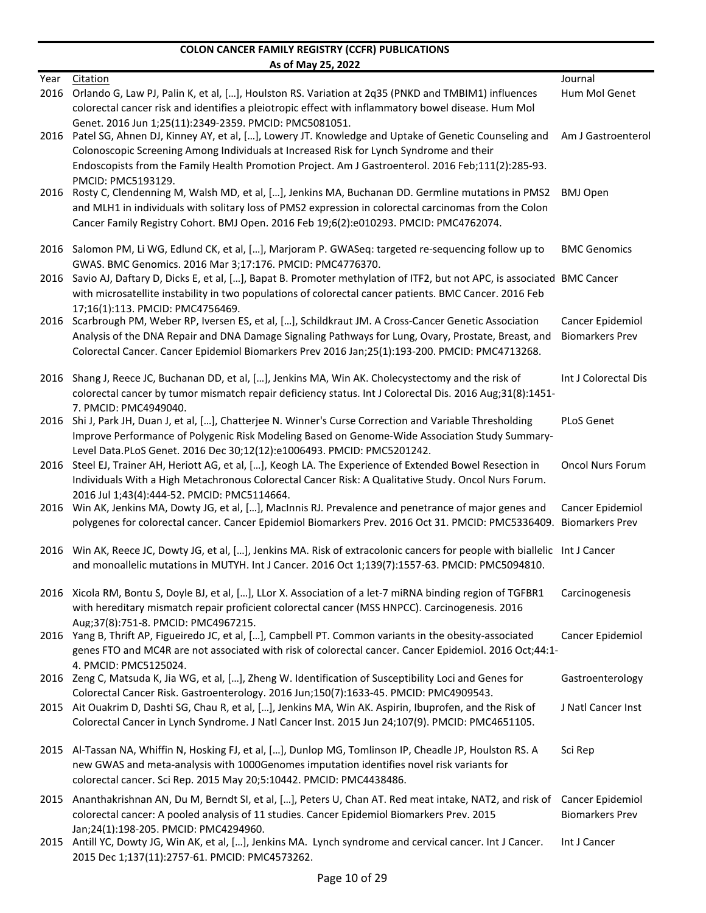|              | <u>AS ULIVIAY 23, ZUZZ</u>                                                                                                                                                                                                                                                                                                                                                                                                                                            |                                            |
|--------------|-----------------------------------------------------------------------------------------------------------------------------------------------------------------------------------------------------------------------------------------------------------------------------------------------------------------------------------------------------------------------------------------------------------------------------------------------------------------------|--------------------------------------------|
| Year<br>2016 | Citation<br>Orlando G, Law PJ, Palin K, et al, [], Houlston RS. Variation at 2q35 (PNKD and TMBIM1) influences                                                                                                                                                                                                                                                                                                                                                        | Journal<br>Hum Mol Genet                   |
| 2016         | colorectal cancer risk and identifies a pleiotropic effect with inflammatory bowel disease. Hum Mol<br>Genet. 2016 Jun 1:25(11):2349-2359. PMCID: PMC5081051.<br>Patel SG, Ahnen DJ, Kinney AY, et al, [], Lowery JT. Knowledge and Uptake of Genetic Counseling and<br>Colonoscopic Screening Among Individuals at Increased Risk for Lynch Syndrome and their<br>Endoscopists from the Family Health Promotion Project. Am J Gastroenterol. 2016 Feb;111(2):285-93. | Am J Gastroenterol                         |
| 2016         | PMCID: PMC5193129.<br>Rosty C, Clendenning M, Walsh MD, et al, [], Jenkins MA, Buchanan DD. Germline mutations in PMS2<br>and MLH1 in individuals with solitary loss of PMS2 expression in colorectal carcinomas from the Colon<br>Cancer Family Registry Cohort. BMJ Open. 2016 Feb 19;6(2):e010293. PMCID: PMC4762074.                                                                                                                                              | <b>BMJ Open</b>                            |
|              | 2016 Salomon PM, Li WG, Edlund CK, et al, [], Marjoram P. GWASeq: targeted re-sequencing follow up to<br>GWAS. BMC Genomics. 2016 Mar 3;17:176. PMCID: PMC4776370.                                                                                                                                                                                                                                                                                                    | <b>BMC Genomics</b>                        |
|              | 2016 Savio AJ, Daftary D, Dicks E, et al, [], Bapat B. Promoter methylation of ITF2, but not APC, is associated BMC Cancer<br>with microsatellite instability in two populations of colorectal cancer patients. BMC Cancer. 2016 Feb                                                                                                                                                                                                                                  |                                            |
| 2016         | 17:16(1):113. PMCID: PMC4756469.<br>Scarbrough PM, Weber RP, Iversen ES, et al, [], Schildkraut JM. A Cross-Cancer Genetic Association<br>Analysis of the DNA Repair and DNA Damage Signaling Pathways for Lung, Ovary, Prostate, Breast, and<br>Colorectal Cancer. Cancer Epidemiol Biomarkers Prev 2016 Jan;25(1):193-200. PMCID: PMC4713268.                                                                                                                       | Cancer Epidemiol<br><b>Biomarkers Prev</b> |
| 2016         | Shang J, Reece JC, Buchanan DD, et al, [], Jenkins MA, Win AK. Cholecystectomy and the risk of<br>colorectal cancer by tumor mismatch repair deficiency status. Int J Colorectal Dis. 2016 Aug;31(8):1451-                                                                                                                                                                                                                                                            | Int J Colorectal Dis                       |
| 2016         | 7. PMCID: PMC4949040.<br>Shi J, Park JH, Duan J, et al, [], Chatterjee N. Winner's Curse Correction and Variable Thresholding<br>Improve Performance of Polygenic Risk Modeling Based on Genome-Wide Association Study Summary-                                                                                                                                                                                                                                       | <b>PLoS Genet</b>                          |
| 2016         | Level Data.PLoS Genet. 2016 Dec 30;12(12):e1006493. PMCID: PMC5201242.<br>Steel EJ, Trainer AH, Heriott AG, et al, [], Keogh LA. The Experience of Extended Bowel Resection in<br>Individuals With a High Metachronous Colorectal Cancer Risk: A Qualitative Study. Oncol Nurs Forum.                                                                                                                                                                                 | <b>Oncol Nurs Forum</b>                    |
|              | 2016 Jul 1;43(4):444-52. PMCID: PMC5114664.<br>2016 Win AK, Jenkins MA, Dowty JG, et al, [], MacInnis RJ. Prevalence and penetrance of major genes and<br>polygenes for colorectal cancer. Cancer Epidemiol Biomarkers Prev. 2016 Oct 31. PMCID: PMC5336409. Biomarkers Prev                                                                                                                                                                                          | Cancer Epidemiol                           |
|              | 2016 Win AK, Reece JC, Dowty JG, et al, [], Jenkins MA. Risk of extracolonic cancers for people with biallelic Int J Cancer<br>and monoallelic mutations in MUTYH. Int J Cancer. 2016 Oct 1;139(7):1557-63. PMCID: PMC5094810.                                                                                                                                                                                                                                        |                                            |
|              | 2016 Xicola RM, Bontu S, Doyle BJ, et al, [], LLor X. Association of a let-7 miRNA binding region of TGFBR1<br>with hereditary mismatch repair proficient colorectal cancer (MSS HNPCC). Carcinogenesis. 2016                                                                                                                                                                                                                                                         | Carcinogenesis                             |
|              | Aug:37(8):751-8. PMCID: PMC4967215.<br>2016 Yang B, Thrift AP, Figueiredo JC, et al, [], Campbell PT. Common variants in the obesity-associated<br>genes FTO and MC4R are not associated with risk of colorectal cancer. Cancer Epidemiol. 2016 Oct;44:1-                                                                                                                                                                                                             | Cancer Epidemiol                           |
|              | 4. PMCID: PMC5125024.<br>2016 Zeng C, Matsuda K, Jia WG, et al, [], Zheng W. Identification of Susceptibility Loci and Genes for<br>Colorectal Cancer Risk. Gastroenterology. 2016 Jun;150(7):1633-45. PMCID: PMC4909543.                                                                                                                                                                                                                                             | Gastroenterology                           |
|              | 2015 Ait Ouakrim D, Dashti SG, Chau R, et al, [], Jenkins MA, Win AK. Aspirin, Ibuprofen, and the Risk of<br>Colorectal Cancer in Lynch Syndrome. J Natl Cancer Inst. 2015 Jun 24;107(9). PMCID: PMC4651105.                                                                                                                                                                                                                                                          | J Natl Cancer Inst                         |
|              | 2015 Al-Tassan NA, Whiffin N, Hosking FJ, et al, [], Dunlop MG, Tomlinson IP, Cheadle JP, Houlston RS. A<br>new GWAS and meta-analysis with 1000Genomes imputation identifies novel risk variants for<br>colorectal cancer. Sci Rep. 2015 May 20;5:10442. PMCID: PMC4438486.                                                                                                                                                                                          | Sci Rep                                    |
| 2015         | Ananthakrishnan AN, Du M, Berndt SI, et al, [], Peters U, Chan AT. Red meat intake, NAT2, and risk of<br>colorectal cancer: A pooled analysis of 11 studies. Cancer Epidemiol Biomarkers Prev. 2015<br>Jan;24(1):198-205. PMCID: PMC4294960.                                                                                                                                                                                                                          | Cancer Epidemiol<br><b>Biomarkers Prev</b> |
| 2015         | Antill YC, Dowty JG, Win AK, et al, [], Jenkins MA. Lynch syndrome and cervical cancer. Int J Cancer.<br>2015 Dec 1;137(11):2757-61. PMCID: PMC4573262.                                                                                                                                                                                                                                                                                                               | Int J Cancer                               |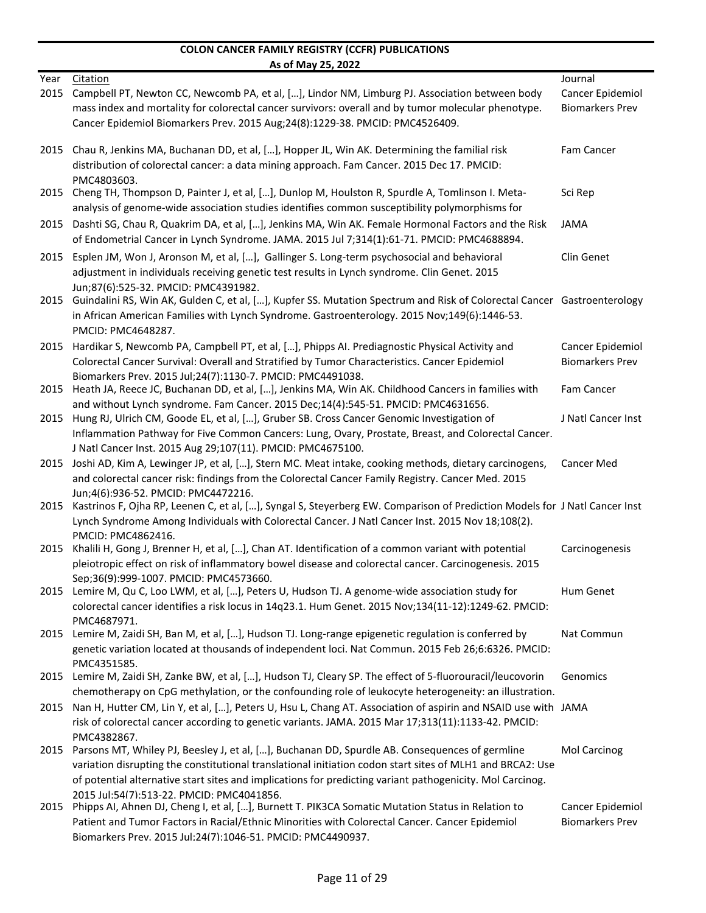|              | <u>AS ULIVIAY ZJ, ZUZZ</u>                                                                                                                                                                                                                                                                                                                                                           |                                            |
|--------------|--------------------------------------------------------------------------------------------------------------------------------------------------------------------------------------------------------------------------------------------------------------------------------------------------------------------------------------------------------------------------------------|--------------------------------------------|
| Year<br>2015 | <b>Citation</b><br>Campbell PT, Newton CC, Newcomb PA, et al, [], Lindor NM, Limburg PJ. Association between body                                                                                                                                                                                                                                                                    | Journal<br>Cancer Epidemiol                |
|              | mass index and mortality for colorectal cancer survivors: overall and by tumor molecular phenotype.<br>Cancer Epidemiol Biomarkers Prev. 2015 Aug;24(8):1229-38. PMCID: PMC4526409.                                                                                                                                                                                                  | <b>Biomarkers Prev</b>                     |
| 2015         | Chau R, Jenkins MA, Buchanan DD, et al, [], Hopper JL, Win AK. Determining the familial risk<br>distribution of colorectal cancer: a data mining approach. Fam Cancer. 2015 Dec 17. PMCID:<br>PMC4803603.                                                                                                                                                                            | Fam Cancer                                 |
| 2015         | Cheng TH, Thompson D, Painter J, et al, [], Dunlop M, Houlston R, Spurdle A, Tomlinson I. Meta-<br>analysis of genome-wide association studies identifies common susceptibility polymorphisms for                                                                                                                                                                                    | Sci Rep                                    |
| 2015         | Dashti SG, Chau R, Quakrim DA, et al, [], Jenkins MA, Win AK. Female Hormonal Factors and the Risk<br>of Endometrial Cancer in Lynch Syndrome. JAMA. 2015 Jul 7;314(1):61-71. PMCID: PMC4688894.                                                                                                                                                                                     | <b>JAMA</b>                                |
| 2015         | Esplen JM, Won J, Aronson M, et al, [], Gallinger S. Long-term psychosocial and behavioral<br>adjustment in individuals receiving genetic test results in Lynch syndrome. Clin Genet. 2015<br>Jun;87(6):525-32. PMCID: PMC4391982.                                                                                                                                                   | Clin Genet                                 |
| 2015         | Guindalini RS, Win AK, Gulden C, et al, [], Kupfer SS. Mutation Spectrum and Risk of Colorectal Cancer Gastroenterology<br>in African American Families with Lynch Syndrome. Gastroenterology. 2015 Nov;149(6):1446-53.<br>PMCID: PMC4648287.                                                                                                                                        |                                            |
| 2015         | Hardikar S, Newcomb PA, Campbell PT, et al, [], Phipps AI. Prediagnostic Physical Activity and<br>Colorectal Cancer Survival: Overall and Stratified by Tumor Characteristics. Cancer Epidemiol<br>Biomarkers Prev. 2015 Jul;24(7):1130-7. PMCID: PMC4491038.                                                                                                                        | Cancer Epidemiol<br><b>Biomarkers Prev</b> |
| 2015         | Heath JA, Reece JC, Buchanan DD, et al, [], Jenkins MA, Win AK. Childhood Cancers in families with<br>and without Lynch syndrome. Fam Cancer. 2015 Dec;14(4):545-51. PMCID: PMC4631656.                                                                                                                                                                                              | Fam Cancer                                 |
| 2015         | Hung RJ, Ulrich CM, Goode EL, et al, [], Gruber SB. Cross Cancer Genomic Investigation of<br>Inflammation Pathway for Five Common Cancers: Lung, Ovary, Prostate, Breast, and Colorectal Cancer.<br>J Natl Cancer Inst. 2015 Aug 29;107(11). PMCID: PMC4675100.                                                                                                                      | J Natl Cancer Inst                         |
| 2015         | Joshi AD, Kim A, Lewinger JP, et al, [], Stern MC. Meat intake, cooking methods, dietary carcinogens,<br>and colorectal cancer risk: findings from the Colorectal Cancer Family Registry. Cancer Med. 2015<br>Jun;4(6):936-52. PMCID: PMC4472216.                                                                                                                                    | <b>Cancer Med</b>                          |
| 2015         | Kastrinos F, Ojha RP, Leenen C, et al, [], Syngal S, Steyerberg EW. Comparison of Prediction Models for J Natl Cancer Inst<br>Lynch Syndrome Among Individuals with Colorectal Cancer. J Natl Cancer Inst. 2015 Nov 18;108(2).<br>PMCID: PMC4862416.                                                                                                                                 |                                            |
| 2015         | Khalili H, Gong J, Brenner H, et al, [], Chan AT. Identification of a common variant with potential<br>pleiotropic effect on risk of inflammatory bowel disease and colorectal cancer. Carcinogenesis. 2015<br>Sep;36(9):999-1007. PMCID: PMC4573660.                                                                                                                                | Carcinogenesis                             |
|              | 2015 Lemire M, Qu C, Loo LWM, et al, [], Peters U, Hudson TJ. A genome-wide association study for<br>colorectal cancer identifies a risk locus in 14q23.1. Hum Genet. 2015 Nov;134(11-12):1249-62. PMCID:<br>PMC4687971.                                                                                                                                                             | Hum Genet                                  |
| 2015         | Lemire M, Zaidi SH, Ban M, et al, [], Hudson TJ. Long-range epigenetic regulation is conferred by<br>genetic variation located at thousands of independent loci. Nat Commun. 2015 Feb 26;6:6326. PMCID:<br>PMC4351585.                                                                                                                                                               | Nat Commun                                 |
| 2015         | Lemire M, Zaidi SH, Zanke BW, et al, [], Hudson TJ, Cleary SP. The effect of 5-fluorouracil/leucovorin<br>chemotherapy on CpG methylation, or the confounding role of leukocyte heterogeneity: an illustration.                                                                                                                                                                      | Genomics                                   |
| 2015         | Nan H, Hutter CM, Lin Y, et al, [], Peters U, Hsu L, Chang AT. Association of aspirin and NSAID use with JAMA<br>risk of colorectal cancer according to genetic variants. JAMA. 2015 Mar 17;313(11):1133-42. PMCID:                                                                                                                                                                  |                                            |
| 2015         | PMC4382867.<br>Parsons MT, Whiley PJ, Beesley J, et al, [], Buchanan DD, Spurdle AB. Consequences of germline<br>variation disrupting the constitutional translational initiation codon start sites of MLH1 and BRCA2: Use<br>of potential alternative start sites and implications for predicting variant pathogenicity. Mol Carcinog.<br>2015 Jul:54(7):513-22. PMCID: PMC4041856. | Mol Carcinog                               |
| 2015         | Phipps AI, Ahnen DJ, Cheng I, et al, [], Burnett T. PIK3CA Somatic Mutation Status in Relation to<br>Patient and Tumor Factors in Racial/Ethnic Minorities with Colorectal Cancer. Cancer Epidemiol<br>Biomarkers Prev. 2015 Jul:24(7):1046-51. PMCID: PMC4490937.                                                                                                                   | Cancer Epidemiol<br><b>Biomarkers Prev</b> |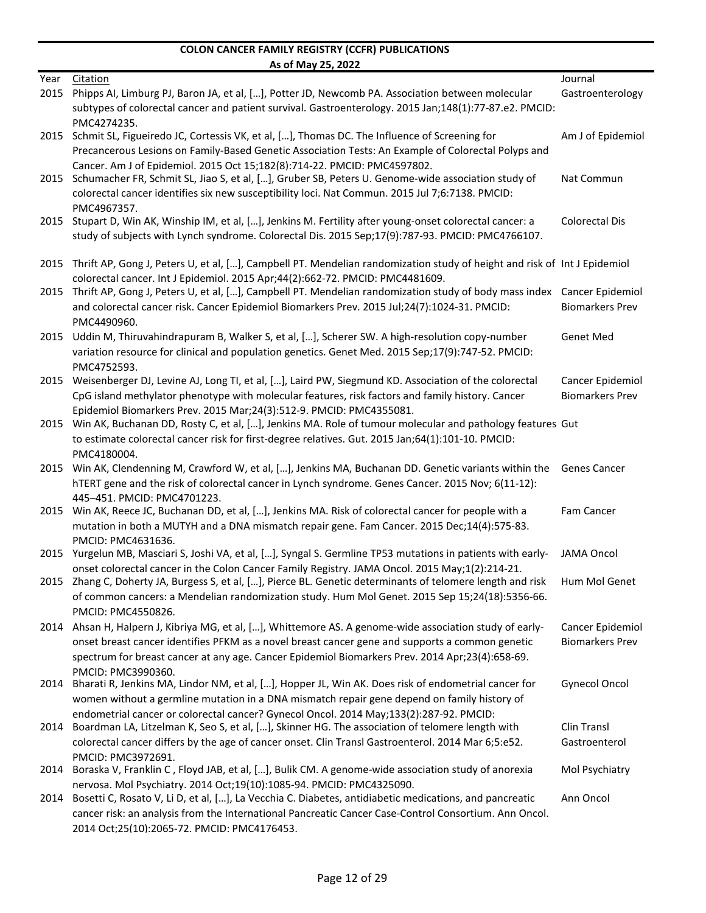| Journal<br>Year<br>Citation<br>Phipps AI, Limburg PJ, Baron JA, et al, [], Potter JD, Newcomb PA. Association between molecular<br>2015<br>subtypes of colorectal cancer and patient survival. Gastroenterology. 2015 Jan;148(1):77-87.e2. PMCID:<br>PMC4274235.<br>Schmit SL, Figueiredo JC, Cortessis VK, et al, [], Thomas DC. The Influence of Screening for<br>2015<br>Precancerous Lesions on Family-Based Genetic Association Tests: An Example of Colorectal Polyps and<br>Cancer. Am J of Epidemiol. 2015 Oct 15;182(8):714-22. PMCID: PMC4597802.<br>Schumacher FR, Schmit SL, Jiao S, et al, [], Gruber SB, Peters U. Genome-wide association study of<br>2015<br>colorectal cancer identifies six new susceptibility loci. Nat Commun. 2015 Jul 7;6:7138. PMCID: |                        |
|------------------------------------------------------------------------------------------------------------------------------------------------------------------------------------------------------------------------------------------------------------------------------------------------------------------------------------------------------------------------------------------------------------------------------------------------------------------------------------------------------------------------------------------------------------------------------------------------------------------------------------------------------------------------------------------------------------------------------------------------------------------------------|------------------------|
|                                                                                                                                                                                                                                                                                                                                                                                                                                                                                                                                                                                                                                                                                                                                                                              |                        |
|                                                                                                                                                                                                                                                                                                                                                                                                                                                                                                                                                                                                                                                                                                                                                                              | Gastroenterology       |
|                                                                                                                                                                                                                                                                                                                                                                                                                                                                                                                                                                                                                                                                                                                                                                              |                        |
|                                                                                                                                                                                                                                                                                                                                                                                                                                                                                                                                                                                                                                                                                                                                                                              |                        |
|                                                                                                                                                                                                                                                                                                                                                                                                                                                                                                                                                                                                                                                                                                                                                                              | Am J of Epidemiol      |
|                                                                                                                                                                                                                                                                                                                                                                                                                                                                                                                                                                                                                                                                                                                                                                              |                        |
|                                                                                                                                                                                                                                                                                                                                                                                                                                                                                                                                                                                                                                                                                                                                                                              |                        |
|                                                                                                                                                                                                                                                                                                                                                                                                                                                                                                                                                                                                                                                                                                                                                                              | Nat Commun             |
|                                                                                                                                                                                                                                                                                                                                                                                                                                                                                                                                                                                                                                                                                                                                                                              |                        |
| PMC4967357.                                                                                                                                                                                                                                                                                                                                                                                                                                                                                                                                                                                                                                                                                                                                                                  |                        |
| Stupart D, Win AK, Winship IM, et al, [], Jenkins M. Fertility after young-onset colorectal cancer: a<br>2015                                                                                                                                                                                                                                                                                                                                                                                                                                                                                                                                                                                                                                                                | Colorectal Dis         |
| study of subjects with Lynch syndrome. Colorectal Dis. 2015 Sep;17(9):787-93. PMCID: PMC4766107.                                                                                                                                                                                                                                                                                                                                                                                                                                                                                                                                                                                                                                                                             |                        |
|                                                                                                                                                                                                                                                                                                                                                                                                                                                                                                                                                                                                                                                                                                                                                                              |                        |
| 2015 Thrift AP, Gong J, Peters U, et al, [], Campbell PT. Mendelian randomization study of height and risk of Int J Epidemiol                                                                                                                                                                                                                                                                                                                                                                                                                                                                                                                                                                                                                                                |                        |
| colorectal cancer. Int J Epidemiol. 2015 Apr;44(2):662-72. PMCID: PMC4481609.                                                                                                                                                                                                                                                                                                                                                                                                                                                                                                                                                                                                                                                                                                |                        |
| 2015 Thrift AP, Gong J, Peters U, et al, [], Campbell PT. Mendelian randomization study of body mass index Cancer Epidemiol                                                                                                                                                                                                                                                                                                                                                                                                                                                                                                                                                                                                                                                  |                        |
| and colorectal cancer risk. Cancer Epidemiol Biomarkers Prev. 2015 Jul;24(7):1024-31. PMCID:                                                                                                                                                                                                                                                                                                                                                                                                                                                                                                                                                                                                                                                                                 | <b>Biomarkers Prev</b> |
| PMC4490960.                                                                                                                                                                                                                                                                                                                                                                                                                                                                                                                                                                                                                                                                                                                                                                  |                        |
| Uddin M, Thiruvahindrapuram B, Walker S, et al, [], Scherer SW. A high-resolution copy-number<br>2015                                                                                                                                                                                                                                                                                                                                                                                                                                                                                                                                                                                                                                                                        | <b>Genet Med</b>       |
| variation resource for clinical and population genetics. Genet Med. 2015 Sep;17(9):747-52. PMCID:                                                                                                                                                                                                                                                                                                                                                                                                                                                                                                                                                                                                                                                                            |                        |
| PMC4752593.                                                                                                                                                                                                                                                                                                                                                                                                                                                                                                                                                                                                                                                                                                                                                                  |                        |
| Weisenberger DJ, Levine AJ, Long TI, et al, [], Laird PW, Siegmund KD. Association of the colorectal<br>2015                                                                                                                                                                                                                                                                                                                                                                                                                                                                                                                                                                                                                                                                 | Cancer Epidemiol       |
| CpG island methylator phenotype with molecular features, risk factors and family history. Cancer                                                                                                                                                                                                                                                                                                                                                                                                                                                                                                                                                                                                                                                                             | <b>Biomarkers Prev</b> |
| Epidemiol Biomarkers Prev. 2015 Mar;24(3):512-9. PMCID: PMC4355081.                                                                                                                                                                                                                                                                                                                                                                                                                                                                                                                                                                                                                                                                                                          |                        |
| Win AK, Buchanan DD, Rosty C, et al, [], Jenkins MA. Role of tumour molecular and pathology features Gut                                                                                                                                                                                                                                                                                                                                                                                                                                                                                                                                                                                                                                                                     |                        |
| 2015                                                                                                                                                                                                                                                                                                                                                                                                                                                                                                                                                                                                                                                                                                                                                                         |                        |
| to estimate colorectal cancer risk for first-degree relatives. Gut. 2015 Jan;64(1):101-10. PMCID:                                                                                                                                                                                                                                                                                                                                                                                                                                                                                                                                                                                                                                                                            |                        |
| PMC4180004.                                                                                                                                                                                                                                                                                                                                                                                                                                                                                                                                                                                                                                                                                                                                                                  |                        |
| 2015 Win AK, Clendenning M, Crawford W, et al, [], Jenkins MA, Buchanan DD. Genetic variants within the Genes Cancer                                                                                                                                                                                                                                                                                                                                                                                                                                                                                                                                                                                                                                                         |                        |
| hTERT gene and the risk of colorectal cancer in Lynch syndrome. Genes Cancer. 2015 Nov; 6(11-12):                                                                                                                                                                                                                                                                                                                                                                                                                                                                                                                                                                                                                                                                            |                        |
| 445-451. PMCID: PMC4701223.                                                                                                                                                                                                                                                                                                                                                                                                                                                                                                                                                                                                                                                                                                                                                  |                        |
| 2015 Win AK, Reece JC, Buchanan DD, et al, [], Jenkins MA. Risk of colorectal cancer for people with a                                                                                                                                                                                                                                                                                                                                                                                                                                                                                                                                                                                                                                                                       | Fam Cancer             |
| mutation in both a MUTYH and a DNA mismatch repair gene. Fam Cancer. 2015 Dec;14(4):575-83.                                                                                                                                                                                                                                                                                                                                                                                                                                                                                                                                                                                                                                                                                  |                        |
| PMCID: PMC4631636.                                                                                                                                                                                                                                                                                                                                                                                                                                                                                                                                                                                                                                                                                                                                                           |                        |
| 2015 Yurgelun MB, Masciari S, Joshi VA, et al, [], Syngal S. Germline TP53 mutations in patients with early-                                                                                                                                                                                                                                                                                                                                                                                                                                                                                                                                                                                                                                                                 | <b>JAMA Oncol</b>      |
| onset colorectal cancer in the Colon Cancer Family Registry. JAMA Oncol. 2015 May;1(2):214-21.                                                                                                                                                                                                                                                                                                                                                                                                                                                                                                                                                                                                                                                                               |                        |
| 2015 Zhang C, Doherty JA, Burgess S, et al, [], Pierce BL. Genetic determinants of telomere length and risk                                                                                                                                                                                                                                                                                                                                                                                                                                                                                                                                                                                                                                                                  | Hum Mol Genet          |
| of common cancers: a Mendelian randomization study. Hum Mol Genet. 2015 Sep 15;24(18):5356-66.                                                                                                                                                                                                                                                                                                                                                                                                                                                                                                                                                                                                                                                                               |                        |
| PMCID: PMC4550826.                                                                                                                                                                                                                                                                                                                                                                                                                                                                                                                                                                                                                                                                                                                                                           |                        |
|                                                                                                                                                                                                                                                                                                                                                                                                                                                                                                                                                                                                                                                                                                                                                                              | Cancer Epidemiol       |
| Ahsan H, Halpern J, Kibriya MG, et al, [], Whittemore AS. A genome-wide association study of early-<br>2014                                                                                                                                                                                                                                                                                                                                                                                                                                                                                                                                                                                                                                                                  | <b>Biomarkers Prev</b> |
| onset breast cancer identifies PFKM as a novel breast cancer gene and supports a common genetic                                                                                                                                                                                                                                                                                                                                                                                                                                                                                                                                                                                                                                                                              |                        |
|                                                                                                                                                                                                                                                                                                                                                                                                                                                                                                                                                                                                                                                                                                                                                                              |                        |
| spectrum for breast cancer at any age. Cancer Epidemiol Biomarkers Prev. 2014 Apr;23(4):658-69.                                                                                                                                                                                                                                                                                                                                                                                                                                                                                                                                                                                                                                                                              |                        |
| PMCID: PMC3990360.<br>2014                                                                                                                                                                                                                                                                                                                                                                                                                                                                                                                                                                                                                                                                                                                                                   | <b>Gynecol Oncol</b>   |
| Bharati R, Jenkins MA, Lindor NM, et al, [], Hopper JL, Win AK. Does risk of endometrial cancer for                                                                                                                                                                                                                                                                                                                                                                                                                                                                                                                                                                                                                                                                          |                        |
| women without a germline mutation in a DNA mismatch repair gene depend on family history of                                                                                                                                                                                                                                                                                                                                                                                                                                                                                                                                                                                                                                                                                  |                        |
| endometrial cancer or colorectal cancer? Gynecol Oncol. 2014 May;133(2):287-92. PMCID:<br>2014                                                                                                                                                                                                                                                                                                                                                                                                                                                                                                                                                                                                                                                                               |                        |
| Boardman LA, Litzelman K, Seo S, et al, [], Skinner HG. The association of telomere length with                                                                                                                                                                                                                                                                                                                                                                                                                                                                                                                                                                                                                                                                              | Clin Transl            |
| colorectal cancer differs by the age of cancer onset. Clin Transl Gastroenterol. 2014 Mar 6;5:e52.                                                                                                                                                                                                                                                                                                                                                                                                                                                                                                                                                                                                                                                                           | Gastroenterol          |
| PMCID: PMC3972691.                                                                                                                                                                                                                                                                                                                                                                                                                                                                                                                                                                                                                                                                                                                                                           |                        |
| 2014 Boraska V, Franklin C, Floyd JAB, et al, [], Bulik CM. A genome-wide association study of anorexia                                                                                                                                                                                                                                                                                                                                                                                                                                                                                                                                                                                                                                                                      | Mol Psychiatry         |
| nervosa. Mol Psychiatry. 2014 Oct;19(10):1085-94. PMCID: PMC4325090.                                                                                                                                                                                                                                                                                                                                                                                                                                                                                                                                                                                                                                                                                                         | Ann Oncol              |
| 2014 Bosetti C, Rosato V, Li D, et al, [], La Vecchia C. Diabetes, antidiabetic medications, and pancreatic<br>cancer risk: an analysis from the International Pancreatic Cancer Case-Control Consortium. Ann Oncol.                                                                                                                                                                                                                                                                                                                                                                                                                                                                                                                                                         |                        |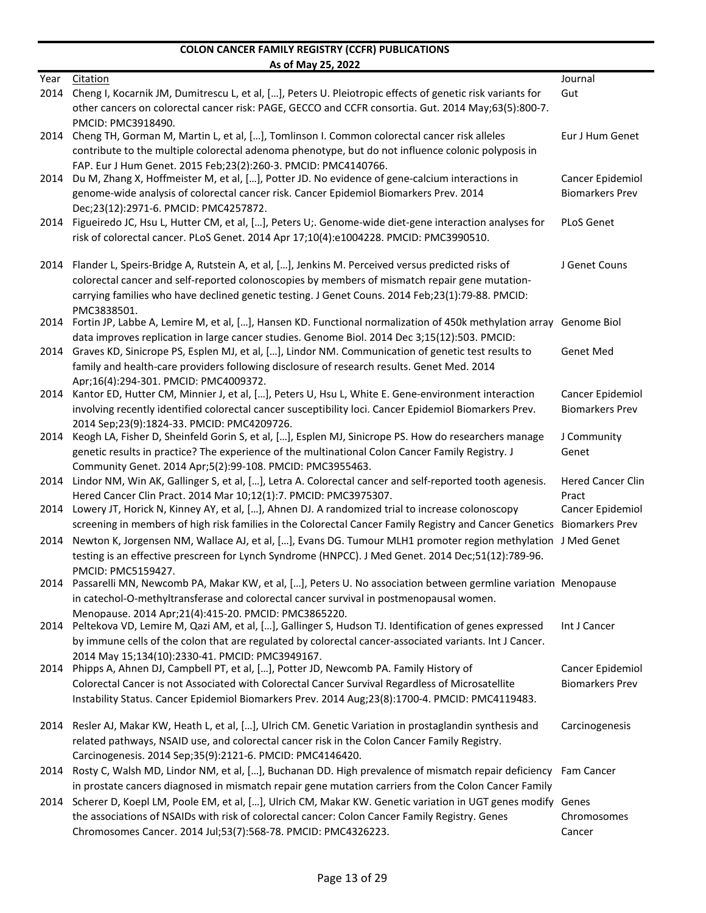|      | AS UI IVIAY LJ, LULL                                                                                                                               |                          |
|------|----------------------------------------------------------------------------------------------------------------------------------------------------|--------------------------|
| Year | Citation                                                                                                                                           | Journal                  |
| 2014 | Cheng I, Kocarnik JM, Dumitrescu L, et al, [], Peters U. Pleiotropic effects of genetic risk variants for                                          | Gut                      |
|      | other cancers on colorectal cancer risk: PAGE, GECCO and CCFR consortia. Gut. 2014 May;63(5):800-7.                                                |                          |
|      | PMCID: PMC3918490.                                                                                                                                 |                          |
| 2014 | Cheng TH, Gorman M, Martin L, et al, [], Tomlinson I. Common colorectal cancer risk alleles                                                        | Eur J Hum Genet          |
|      | contribute to the multiple colorectal adenoma phenotype, but do not influence colonic polyposis in                                                 |                          |
|      | FAP. Eur J Hum Genet. 2015 Feb;23(2):260-3. PMCID: PMC4140766.                                                                                     |                          |
| 2014 | Du M, Zhang X, Hoffmeister M, et al, [], Potter JD. No evidence of gene-calcium interactions in                                                    | Cancer Epidemiol         |
|      | genome-wide analysis of colorectal cancer risk. Cancer Epidemiol Biomarkers Prev. 2014                                                             | <b>Biomarkers Prev</b>   |
|      | Dec;23(12):2971-6. PMCID: PMC4257872.                                                                                                              |                          |
|      | 2014 Figueiredo JC, Hsu L, Hutter CM, et al, [], Peters U;. Genome-wide diet-gene interaction analyses for                                         | <b>PLoS Genet</b>        |
|      | risk of colorectal cancer. PLoS Genet. 2014 Apr 17;10(4):e1004228. PMCID: PMC3990510.                                                              |                          |
|      |                                                                                                                                                    |                          |
| 2014 | Flander L, Speirs-Bridge A, Rutstein A, et al, [], Jenkins M. Perceived versus predicted risks of                                                  | J Genet Couns            |
|      | colorectal cancer and self-reported colonoscopies by members of mismatch repair gene mutation-                                                     |                          |
|      | carrying families who have declined genetic testing. J Genet Couns. 2014 Feb;23(1):79-88. PMCID:                                                   |                          |
|      | PMC3838501.                                                                                                                                        |                          |
| 2014 | Fortin JP, Labbe A, Lemire M, et al, [], Hansen KD. Functional normalization of 450k methylation array Genome Biol                                 |                          |
|      | data improves replication in large cancer studies. Genome Biol. 2014 Dec 3;15(12):503. PMCID:                                                      |                          |
| 2014 | Graves KD, Sinicrope PS, Esplen MJ, et al, [], Lindor NM. Communication of genetic test results to                                                 | <b>Genet Med</b>         |
|      | family and health-care providers following disclosure of research results. Genet Med. 2014                                                         |                          |
|      | Apr:16(4):294-301. PMCID: PMC4009372.                                                                                                              |                          |
| 2014 | Kantor ED, Hutter CM, Minnier J, et al, [], Peters U, Hsu L, White E. Gene-environment interaction                                                 | Cancer Epidemiol         |
|      | involving recently identified colorectal cancer susceptibility loci. Cancer Epidemiol Biomarkers Prev.                                             | <b>Biomarkers Prev</b>   |
|      |                                                                                                                                                    |                          |
| 2014 | 2014 Sep;23(9):1824-33. PMCID: PMC4209726.<br>Keogh LA, Fisher D, Sheinfeld Gorin S, et al, [], Esplen MJ, Sinicrope PS. How do researchers manage | J Community              |
|      |                                                                                                                                                    |                          |
|      | genetic results in practice? The experience of the multinational Colon Cancer Family Registry. J                                                   | Genet                    |
|      | Community Genet. 2014 Apr;5(2):99-108. PMCID: PMC3955463.                                                                                          |                          |
|      | 2014 Lindor NM, Win AK, Gallinger S, et al, [], Letra A. Colorectal cancer and self-reported tooth agenesis.                                       | <b>Hered Cancer Clin</b> |
|      | Hered Cancer Clin Pract. 2014 Mar 10;12(1):7. PMCID: PMC3975307.                                                                                   | Pract                    |
|      | 2014 Lowery JT, Horick N, Kinney AY, et al, [], Ahnen DJ. A randomized trial to increase colonoscopy                                               | Cancer Epidemiol         |
|      | screening in members of high risk families in the Colorectal Cancer Family Registry and Cancer Genetics Biomarkers Prev                            |                          |
| 2014 | Newton K, Jorgensen NM, Wallace AJ, et al, [], Evans DG. Tumour MLH1 promoter region methylation J Med Genet                                       |                          |
|      | testing is an effective prescreen for Lynch Syndrome (HNPCC). J Med Genet. 2014 Dec;51(12):789-96.                                                 |                          |
|      | PMCID: PMC5159427.                                                                                                                                 |                          |
|      | 2014 Passarelli MN, Newcomb PA, Makar KW, et al, [], Peters U. No association between germline variation Menopause                                 |                          |
|      | in catechol-O-methyltransferase and colorectal cancer survival in postmenopausal women.                                                            |                          |
|      | Menopause. 2014 Apr;21(4):415-20. PMCID: PMC3865220.                                                                                               |                          |
|      | 2014 Peltekova VD, Lemire M, Qazi AM, et al, [], Gallinger S, Hudson TJ. Identification of genes expressed                                         | Int J Cancer             |
|      | by immune cells of the colon that are regulated by colorectal cancer-associated variants. Int J Cancer.                                            |                          |
|      | 2014 May 15:134(10):2330-41. PMCID: PMC3949167.                                                                                                    |                          |
|      | 2014 Phipps A, Ahnen DJ, Campbell PT, et al, [], Potter JD, Newcomb PA. Family History of                                                          | Cancer Epidemiol         |
|      | Colorectal Cancer is not Associated with Colorectal Cancer Survival Regardless of Microsatellite                                                   | <b>Biomarkers Prev</b>   |
|      | Instability Status. Cancer Epidemiol Biomarkers Prev. 2014 Aug;23(8):1700-4. PMCID: PMC4119483.                                                    |                          |
|      |                                                                                                                                                    |                          |
|      | 2014 Resler AJ, Makar KW, Heath L, et al, [], Ulrich CM. Genetic Variation in prostaglandin synthesis and                                          | Carcinogenesis           |
|      | related pathways, NSAID use, and colorectal cancer risk in the Colon Cancer Family Registry.                                                       |                          |
|      | Carcinogenesis. 2014 Sep;35(9):2121-6. PMCID: PMC4146420.                                                                                          |                          |
|      | 2014 Rosty C, Walsh MD, Lindor NM, et al, [], Buchanan DD. High prevalence of mismatch repair deficiency Fam Cancer                                |                          |
|      | in prostate cancers diagnosed in mismatch repair gene mutation carriers from the Colon Cancer Family                                               |                          |
|      | 2014 Scherer D, Koepl LM, Poole EM, et al, [], Ulrich CM, Makar KW. Genetic variation in UGT genes modify Genes                                    |                          |
|      | the associations of NSAIDs with risk of colorectal cancer: Colon Cancer Family Registry. Genes                                                     | Chromosomes              |
|      | Chromosomes Cancer. 2014 Jul;53(7):568-78. PMCID: PMC4326223.                                                                                      | Cancer                   |
|      |                                                                                                                                                    |                          |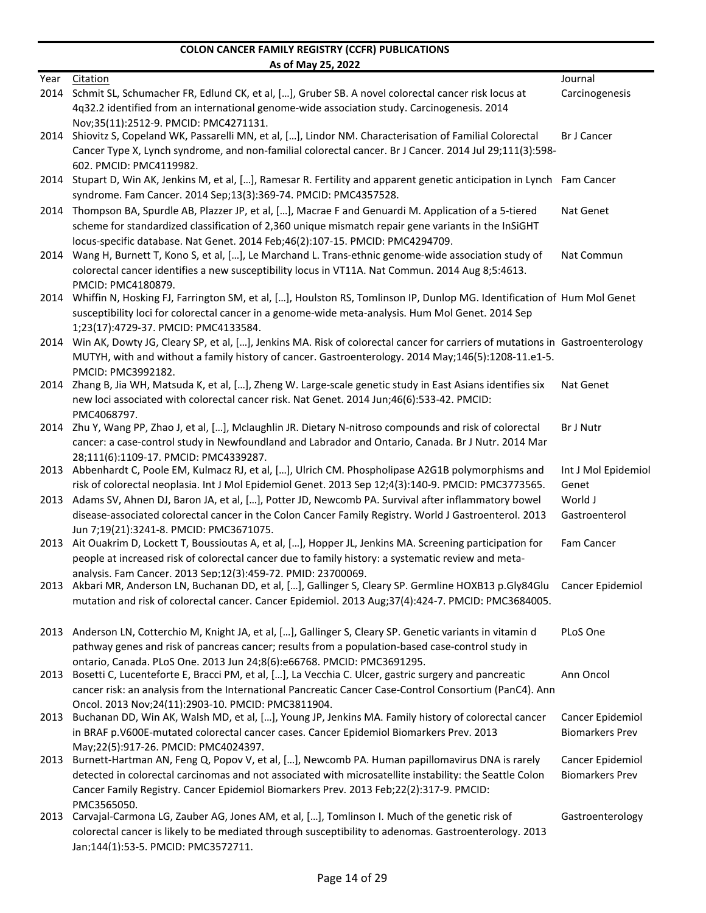|      | AS OT MAY 25, 2022                                                                                                               |                        |
|------|----------------------------------------------------------------------------------------------------------------------------------|------------------------|
| Year | Citation                                                                                                                         | Journal                |
| 2014 | Schmit SL, Schumacher FR, Edlund CK, et al, [], Gruber SB. A novel colorectal cancer risk locus at                               | Carcinogenesis         |
|      | 4q32.2 identified from an international genome-wide association study. Carcinogenesis. 2014                                      |                        |
|      | Nov:35(11):2512-9. PMCID: PMC4271131.                                                                                            |                        |
|      | 2014 Shiovitz S, Copeland WK, Passarelli MN, et al, [], Lindor NM. Characterisation of Familial Colorectal                       | <b>Br J Cancer</b>     |
|      | Cancer Type X, Lynch syndrome, and non-familial colorectal cancer. Br J Cancer. 2014 Jul 29;111(3):598-                          |                        |
|      | 602. PMCID: PMC4119982.                                                                                                          |                        |
|      | 2014 Stupart D, Win AK, Jenkins M, et al, [], Ramesar R. Fertility and apparent genetic anticipation in Lynch Fam Cancer         |                        |
|      | syndrome. Fam Cancer. 2014 Sep;13(3):369-74. PMCID: PMC4357528.                                                                  |                        |
| 2014 | Thompson BA, Spurdle AB, Plazzer JP, et al, [], Macrae F and Genuardi M. Application of a 5-tiered                               | Nat Genet              |
|      | scheme for standardized classification of 2,360 unique mismatch repair gene variants in the InSiGHT                              |                        |
|      | locus-specific database. Nat Genet. 2014 Feb;46(2):107-15. PMCID: PMC4294709.                                                    |                        |
| 2014 | Wang H, Burnett T, Kono S, et al, [], Le Marchand L. Trans-ethnic genome-wide association study of                               | Nat Commun             |
|      | colorectal cancer identifies a new susceptibility locus in VT11A. Nat Commun. 2014 Aug 8;5:4613.                                 |                        |
|      | PMCID: PMC4180879.                                                                                                               |                        |
| 2014 | Whiffin N, Hosking FJ, Farrington SM, et al, [], Houlston RS, Tomlinson IP, Dunlop MG. Identification of Hum Mol Genet           |                        |
|      | susceptibility loci for colorectal cancer in a genome-wide meta-analysis. Hum Mol Genet. 2014 Sep                                |                        |
|      | 1;23(17):4729-37. PMCID: PMC4133584.                                                                                             |                        |
|      | 2014 Win AK, Dowty JG, Cleary SP, et al, [], Jenkins MA. Risk of colorectal cancer for carriers of mutations in Gastroenterology |                        |
|      | MUTYH, with and without a family history of cancer. Gastroenterology. 2014 May;146(5):1208-11.e1-5.                              |                        |
| 2014 | PMCID: PMC3992182.<br>Zhang B, Jia WH, Matsuda K, et al, [], Zheng W. Large-scale genetic study in East Asians identifies six    | Nat Genet              |
|      | new loci associated with colorectal cancer risk. Nat Genet. 2014 Jun;46(6):533-42. PMCID:                                        |                        |
|      | PMC4068797.                                                                                                                      |                        |
| 2014 | Zhu Y, Wang PP, Zhao J, et al, [], Mclaughlin JR. Dietary N-nitroso compounds and risk of colorectal                             | Br J Nutr              |
|      | cancer: a case-control study in Newfoundland and Labrador and Ontario, Canada. Br J Nutr. 2014 Mar                               |                        |
|      | 28:111(6):1109-17. PMCID: PMC4339287.                                                                                            |                        |
|      | 2013 Abbenhardt C, Poole EM, Kulmacz RJ, et al, [], Ulrich CM. Phospholipase A2G1B polymorphisms and                             | Int J Mol Epidemiol    |
|      | risk of colorectal neoplasia. Int J Mol Epidemiol Genet. 2013 Sep 12;4(3):140-9. PMCID: PMC3773565.                              | Genet                  |
| 2013 | Adams SV, Ahnen DJ, Baron JA, et al, [], Potter JD, Newcomb PA. Survival after inflammatory bowel                                | World J                |
|      | disease-associated colorectal cancer in the Colon Cancer Family Registry. World J Gastroenterol. 2013                            | Gastroenterol          |
|      | Jun 7;19(21):3241-8. PMCID: PMC3671075.                                                                                          |                        |
| 2013 | Ait Ouakrim D, Lockett T, Boussioutas A, et al, [], Hopper JL, Jenkins MA. Screening participation for                           | Fam Cancer             |
|      | people at increased risk of colorectal cancer due to family history: a systematic review and meta-                               |                        |
|      | analysis. Fam Cancer. 2013 Sep;12(3):459-72. PMID: 23700069.                                                                     |                        |
|      | 2013 Akbari MR, Anderson LN, Buchanan DD, et al, [], Gallinger S, Cleary SP. Germline HOXB13 p.Gly84Glu                          | Cancer Epidemiol       |
|      | mutation and risk of colorectal cancer. Cancer Epidemiol. 2013 Aug;37(4):424-7. PMCID: PMC3684005.                               |                        |
|      |                                                                                                                                  |                        |
|      | 2013 Anderson LN, Cotterchio M, Knight JA, et al, [], Gallinger S, Cleary SP. Genetic variants in vitamin d                      | PLoS One               |
|      | pathway genes and risk of pancreas cancer; results from a population-based case-control study in                                 |                        |
|      | ontario, Canada. PLoS One. 2013 Jun 24:8(6):e66768. PMCID: PMC3691295.                                                           |                        |
| 2013 | Bosetti C, Lucenteforte E, Bracci PM, et al, [], La Vecchia C. Ulcer, gastric surgery and pancreatic                             | Ann Oncol              |
|      | cancer risk: an analysis from the International Pancreatic Cancer Case-Control Consortium (PanC4). Ann                           |                        |
|      | Oncol. 2013 Nov;24(11):2903-10. PMCID: PMC3811904.                                                                               |                        |
| 2013 | Buchanan DD, Win AK, Walsh MD, et al, [], Young JP, Jenkins MA. Family history of colorectal cancer                              | Cancer Epidemiol       |
|      | in BRAF p.V600E-mutated colorectal cancer cases. Cancer Epidemiol Biomarkers Prev. 2013                                          | <b>Biomarkers Prev</b> |
|      | May;22(5):917-26. PMCID: PMC4024397.                                                                                             |                        |
| 2013 | Burnett-Hartman AN, Feng Q, Popov V, et al, [], Newcomb PA. Human papillomavirus DNA is rarely                                   | Cancer Epidemiol       |
|      | detected in colorectal carcinomas and not associated with microsatellite instability: the Seattle Colon                          | <b>Biomarkers Prev</b> |
|      | Cancer Family Registry. Cancer Epidemiol Biomarkers Prev. 2013 Feb;22(2):317-9. PMCID:                                           |                        |
|      | PMC3565050.                                                                                                                      |                        |
|      | 2013 Carvajal-Carmona LG, Zauber AG, Jones AM, et al, [], Tomlinson I. Much of the genetic risk of                               | Gastroenterology       |
|      | colorectal cancer is likely to be mediated through susceptibility to adenomas. Gastroenterology. 2013                            |                        |
|      | Jan;144(1):53-5. PMCID: PMC3572711.                                                                                              |                        |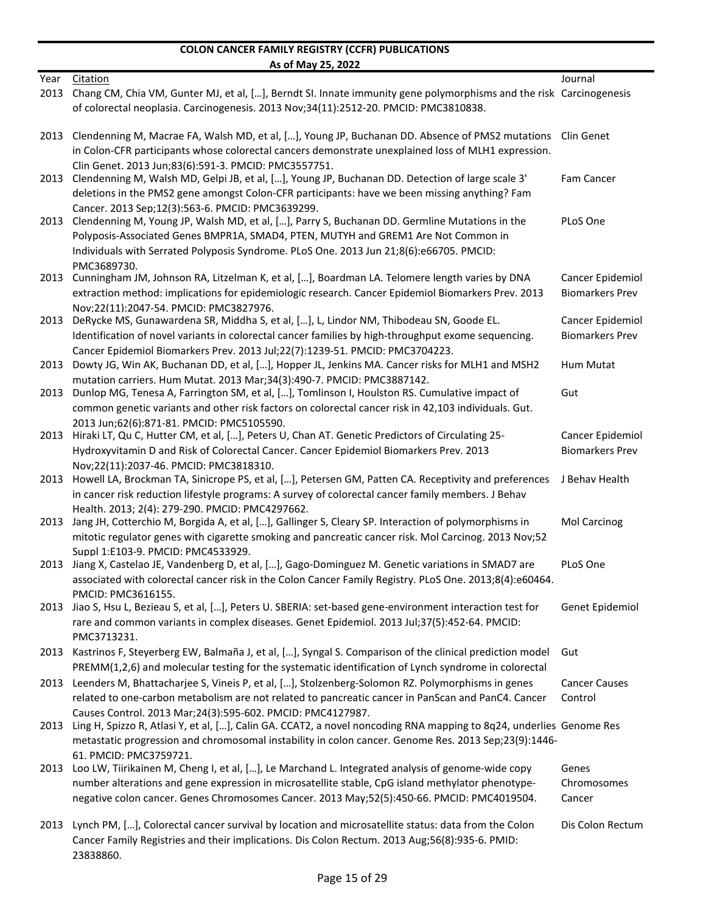|              | $100 - 1107 - 200$                                                                                                                                                                                                                                                                                                                |                                            |
|--------------|-----------------------------------------------------------------------------------------------------------------------------------------------------------------------------------------------------------------------------------------------------------------------------------------------------------------------------------|--------------------------------------------|
| Year<br>2013 | Citation<br>Chang CM, Chia VM, Gunter MJ, et al, [], Berndt SI. Innate immunity gene polymorphisms and the risk Carcinogenesis<br>of colorectal neoplasia. Carcinogenesis. 2013 Nov;34(11):2512-20. PMCID: PMC3810838.                                                                                                            | Journal                                    |
|              | 2013 Clendenning M, Macrae FA, Walsh MD, et al, [], Young JP, Buchanan DD. Absence of PMS2 mutations Clin Genet<br>in Colon-CFR participants whose colorectal cancers demonstrate unexplained loss of MLH1 expression.                                                                                                            |                                            |
| 2013         | Clin Genet. 2013 Jun;83(6):591-3. PMCID: PMC3557751.<br>Clendenning M, Walsh MD, Gelpi JB, et al, [], Young JP, Buchanan DD. Detection of large scale 3'<br>deletions in the PMS2 gene amongst Colon-CFR participants: have we been missing anything? Fam                                                                         | Fam Cancer                                 |
| 2013         | Cancer. 2013 Sep;12(3):563-6. PMCID: PMC3639299.<br>Clendenning M, Young JP, Walsh MD, et al, [], Parry S, Buchanan DD. Germline Mutations in the<br>Polyposis-Associated Genes BMPR1A, SMAD4, PTEN, MUTYH and GREM1 Are Not Common in<br>Individuals with Serrated Polyposis Syndrome. PLoS One. 2013 Jun 21;8(6):e66705. PMCID: | PLoS One                                   |
| 2013         | PMC3689730.<br>Cunningham JM, Johnson RA, Litzelman K, et al, [], Boardman LA. Telomere length varies by DNA<br>extraction method: implications for epidemiologic research. Cancer Epidemiol Biomarkers Prev. 2013                                                                                                                | Cancer Epidemiol<br><b>Biomarkers Prev</b> |
|              | Nov;22(11):2047-54. PMCID: PMC3827976.<br>2013 DeRycke MS, Gunawardena SR, Middha S, et al, [], L, Lindor NM, Thibodeau SN, Goode EL.<br>Identification of novel variants in colorectal cancer families by high-throughput exome sequencing.                                                                                      | Cancer Epidemiol<br><b>Biomarkers Prev</b> |
| 2013         | Cancer Epidemiol Biomarkers Prev. 2013 Jul;22(7):1239-51. PMCID: PMC3704223.<br>Dowty JG, Win AK, Buchanan DD, et al, [], Hopper JL, Jenkins MA. Cancer risks for MLH1 and MSH2<br>mutation carriers. Hum Mutat. 2013 Mar;34(3):490-7. PMCID: PMC3887142.                                                                         | Hum Mutat                                  |
| 2013         | Dunlop MG, Tenesa A, Farrington SM, et al, [], Tomlinson I, Houlston RS. Cumulative impact of<br>common genetic variants and other risk factors on colorectal cancer risk in 42,103 individuals. Gut.                                                                                                                             | Gut                                        |
| 2013         | 2013 Jun;62(6):871-81. PMCID: PMC5105590.<br>Hiraki LT, Qu C, Hutter CM, et al, [], Peters U, Chan AT. Genetic Predictors of Circulating 25-<br>Hydroxyvitamin D and Risk of Colorectal Cancer. Cancer Epidemiol Biomarkers Prev. 2013                                                                                            | Cancer Epidemiol<br><b>Biomarkers Prev</b> |
| 2013         | Nov;22(11):2037-46. PMCID: PMC3818310.<br>Howell LA, Brockman TA, Sinicrope PS, et al, [], Petersen GM, Patten CA. Receptivity and preferences<br>in cancer risk reduction lifestyle programs: A survey of colorectal cancer family members. J Behav                                                                              | J Behav Health                             |
| 2013         | Health. 2013; 2(4): 279-290. PMCID: PMC4297662.<br>Jang JH, Cotterchio M, Borgida A, et al, [], Gallinger S, Cleary SP. Interaction of polymorphisms in<br>mitotic regulator genes with cigarette smoking and pancreatic cancer risk. Mol Carcinog. 2013 Nov;52                                                                   | Mol Carcinog                               |
|              | Suppl 1:E103-9. PMCID: PMC4533929.<br>2013 Jiang X, Castelao JE, Vandenberg D, et al, [], Gago-Dominguez M. Genetic variations in SMAD7 are<br>associated with colorectal cancer risk in the Colon Cancer Family Registry. PLoS One. 2013;8(4):e60464.                                                                            | PLoS One                                   |
| 2013         | PMCID: PMC3616155.<br>Jiao S, Hsu L, Bezieau S, et al, [], Peters U. SBERIA: set-based gene-environment interaction test for                                                                                                                                                                                                      | Genet Epidemiol                            |
| 2013         | rare and common variants in complex diseases. Genet Epidemiol. 2013 Jul;37(5):452-64. PMCID:<br>PMC3713231.<br>Kastrinos F, Steyerberg EW, Balmaña J, et al, [], Syngal S. Comparison of the clinical prediction model                                                                                                            | Gut                                        |
| 2013         | PREMM(1,2,6) and molecular testing for the systematic identification of Lynch syndrome in colorectal<br>Leenders M, Bhattacharjee S, Vineis P, et al, [], Stolzenberg-Solomon RZ. Polymorphisms in genes                                                                                                                          | <b>Cancer Causes</b>                       |
|              | related to one-carbon metabolism are not related to pancreatic cancer in PanScan and PanC4. Cancer<br>Causes Control. 2013 Mar; 24(3): 595-602. PMCID: PMC4127987.                                                                                                                                                                | Control                                    |
| 2013         | Ling H, Spizzo R, Atlasi Y, et al, [], Calin GA. CCAT2, a novel noncoding RNA mapping to 8q24, underlies Genome Res<br>metastatic progression and chromosomal instability in colon cancer. Genome Res. 2013 Sep;23(9):1446-                                                                                                       |                                            |
| 2013         | 61. PMCID: PMC3759721.<br>Loo LW, Tiirikainen M, Cheng I, et al, [], Le Marchand L. Integrated analysis of genome-wide copy<br>number alterations and gene expression in microsatellite stable, CpG island methylator phenotype-<br>negative colon cancer. Genes Chromosomes Cancer. 2013 May;52(5):450-66. PMCID: PMC4019504.    | Genes<br>Chromosomes<br>Cancer             |
| 2013         | Lynch PM, [], Colorectal cancer survival by location and microsatellite status: data from the Colon<br>Cancer Family Registries and their implications. Dis Colon Rectum. 2013 Aug;56(8):935-6. PMID:<br>23838860.                                                                                                                | Dis Colon Rectum                           |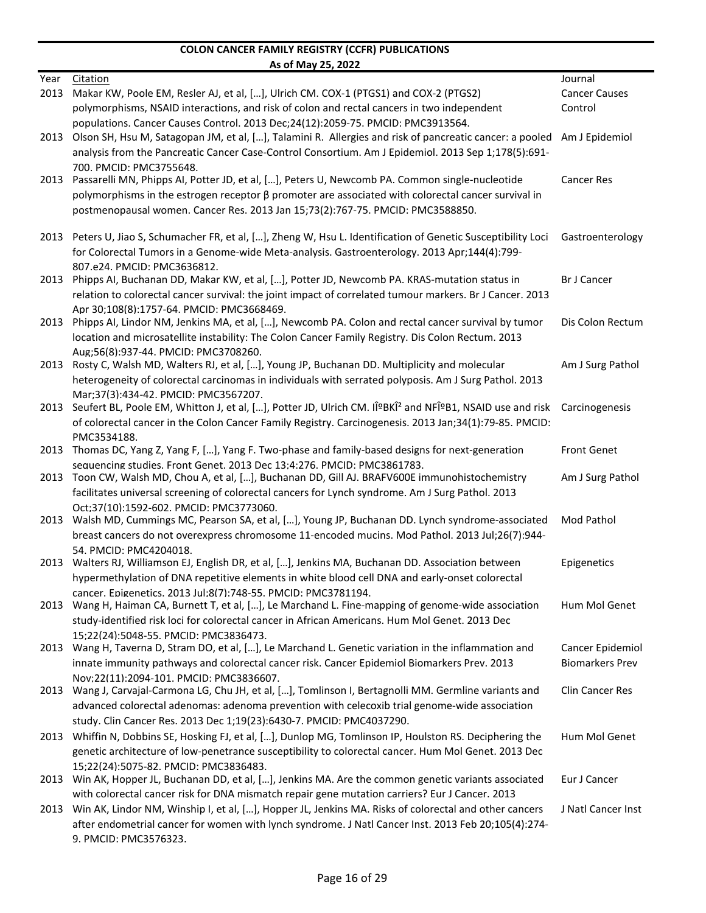|      | <u>AS UL IVIGY LY, LULL</u>                                                                                                                                                                                 |                        |
|------|-------------------------------------------------------------------------------------------------------------------------------------------------------------------------------------------------------------|------------------------|
| Year | Citation                                                                                                                                                                                                    | Journal                |
| 2013 | Makar KW, Poole EM, Resler AJ, et al, [], Ulrich CM. COX-1 (PTGS1) and COX-2 (PTGS2)                                                                                                                        | <b>Cancer Causes</b>   |
|      | polymorphisms, NSAID interactions, and risk of colon and rectal cancers in two independent                                                                                                                  | Control                |
|      | populations. Cancer Causes Control. 2013 Dec;24(12):2059-75. PMCID: PMC3913564.                                                                                                                             |                        |
| 2013 | Olson SH, Hsu M, Satagopan JM, et al, [], Talamini R. Allergies and risk of pancreatic cancer: a pooled Am J Epidemiol                                                                                      |                        |
|      | analysis from the Pancreatic Cancer Case-Control Consortium. Am J Epidemiol. 2013 Sep 1;178(5):691-                                                                                                         |                        |
|      | 700. PMCID: PMC3755648.                                                                                                                                                                                     |                        |
| 2013 | Passarelli MN, Phipps AI, Potter JD, et al, [], Peters U, Newcomb PA. Common single-nucleotide<br>polymorphisms in the estrogen receptor $\beta$ promoter are associated with colorectal cancer survival in | <b>Cancer Res</b>      |
|      | postmenopausal women. Cancer Res. 2013 Jan 15;73(2):767-75. PMCID: PMC3588850.                                                                                                                              |                        |
|      |                                                                                                                                                                                                             |                        |
| 2013 | Peters U, Jiao S, Schumacher FR, et al, [], Zheng W, Hsu L. Identification of Genetic Susceptibility Loci                                                                                                   | Gastroenterology       |
|      | for Colorectal Tumors in a Genome-wide Meta-analysis. Gastroenterology. 2013 Apr;144(4):799-                                                                                                                |                        |
|      | 807.e24. PMCID: PMC3636812.                                                                                                                                                                                 |                        |
| 2013 | Phipps AI, Buchanan DD, Makar KW, et al, [], Potter JD, Newcomb PA. KRAS-mutation status in                                                                                                                 | <b>Br J Cancer</b>     |
|      | relation to colorectal cancer survival: the joint impact of correlated tumour markers. Br J Cancer. 2013                                                                                                    |                        |
|      | Apr 30;108(8):1757-64. PMCID: PMC3668469.                                                                                                                                                                   |                        |
| 2013 | Phipps AI, Lindor NM, Jenkins MA, et al, [], Newcomb PA. Colon and rectal cancer survival by tumor                                                                                                          | Dis Colon Rectum       |
|      | location and microsatellite instability: The Colon Cancer Family Registry. Dis Colon Rectum. 2013                                                                                                           |                        |
| 2013 | Aug;56(8):937-44. PMCID: PMC3708260.<br>Rosty C, Walsh MD, Walters RJ, et al, [], Young JP, Buchanan DD. Multiplicity and molecular                                                                         | Am J Surg Pathol       |
|      | heterogeneity of colorectal carcinomas in individuals with serrated polyposis. Am J Surg Pathol. 2013                                                                                                       |                        |
|      | Mar;37(3):434-42. PMCID: PMC3567207.                                                                                                                                                                        |                        |
| 2013 | Seufert BL, Poole EM, Whitton J, et al, [], Potter JD, Ulrich CM. IκBKÎ <sup>2</sup> and NFκB1, NSAID use and risk                                                                                          | Carcinogenesis         |
|      | of colorectal cancer in the Colon Cancer Family Registry. Carcinogenesis. 2013 Jan;34(1):79-85. PMCID:                                                                                                      |                        |
|      | PMC3534188.                                                                                                                                                                                                 |                        |
| 2013 | Thomas DC, Yang Z, Yang F, [], Yang F. Two-phase and family-based designs for next-generation                                                                                                               | <b>Front Genet</b>     |
|      | sequencing studies. Front Genet. 2013 Dec 13;4:276. PMCID: PMC3861783.                                                                                                                                      |                        |
| 2013 | Toon CW, Walsh MD, Chou A, et al, [], Buchanan DD, Gill AJ. BRAFV600E immunohistochemistry                                                                                                                  | Am J Surg Pathol       |
|      | facilitates universal screening of colorectal cancers for Lynch syndrome. Am J Surg Pathol. 2013                                                                                                            |                        |
|      | Oct:37(10):1592-602. PMCID: PMC3773060.<br>2013 Walsh MD, Cummings MC, Pearson SA, et al, [], Young JP, Buchanan DD. Lynch syndrome-associated                                                              | Mod Pathol             |
|      | breast cancers do not overexpress chromosome 11-encoded mucins. Mod Pathol. 2013 Jul;26(7):944-                                                                                                             |                        |
|      | 54. PMCID: PMC4204018.                                                                                                                                                                                      |                        |
|      | 2013 Walters RJ, Williamson EJ, English DR, et al, [], Jenkins MA, Buchanan DD. Association between                                                                                                         | Epigenetics            |
|      | hypermethylation of DNA repetitive elements in white blood cell DNA and early-onset colorectal                                                                                                              |                        |
|      | cancer. Epigenetics. 2013 Jul:8(7):748-55. PMCID: PMC3781194.                                                                                                                                               |                        |
|      | 2013 Wang H, Haiman CA, Burnett T, et al, [], Le Marchand L. Fine-mapping of genome-wide association                                                                                                        | Hum Mol Genet          |
|      | study-identified risk loci for colorectal cancer in African Americans. Hum Mol Genet. 2013 Dec                                                                                                              |                        |
|      | 15;22(24):5048-55. PMCID: PMC3836473.                                                                                                                                                                       |                        |
|      | 2013 Wang H, Taverna D, Stram DO, et al, [], Le Marchand L. Genetic variation in the inflammation and                                                                                                       | Cancer Epidemiol       |
|      | innate immunity pathways and colorectal cancer risk. Cancer Epidemiol Biomarkers Prev. 2013<br>Nov;22(11):2094-101. PMCID: PMC3836607.                                                                      | <b>Biomarkers Prev</b> |
| 2013 | Wang J, Carvajal-Carmona LG, Chu JH, et al, [], Tomlinson I, Bertagnolli MM. Germline variants and                                                                                                          | Clin Cancer Res        |
|      | advanced colorectal adenomas: adenoma prevention with celecoxib trial genome-wide association                                                                                                               |                        |
|      | study. Clin Cancer Res. 2013 Dec 1;19(23):6430-7. PMCID: PMC4037290.                                                                                                                                        |                        |
|      | 2013 Whiffin N, Dobbins SE, Hosking FJ, et al, [], Dunlop MG, Tomlinson IP, Houlston RS. Deciphering the                                                                                                    | Hum Mol Genet          |
|      | genetic architecture of low-penetrance susceptibility to colorectal cancer. Hum Mol Genet. 2013 Dec                                                                                                         |                        |
|      | 15;22(24):5075-82. PMCID: PMC3836483.                                                                                                                                                                       |                        |
|      | 2013 Win AK, Hopper JL, Buchanan DD, et al, [], Jenkins MA. Are the common genetic variants associated                                                                                                      | Eur J Cancer           |
|      | with colorectal cancer risk for DNA mismatch repair gene mutation carriers? Eur J Cancer. 2013                                                                                                              |                        |
|      | 2013 Win AK, Lindor NM, Winship I, et al, [], Hopper JL, Jenkins MA. Risks of colorectal and other cancers                                                                                                  | J Natl Cancer Inst     |
|      | after endometrial cancer for women with lynch syndrome. J Natl Cancer Inst. 2013 Feb 20;105(4):274-                                                                                                         |                        |
|      | 9. PMCID: PMC3576323.                                                                                                                                                                                       |                        |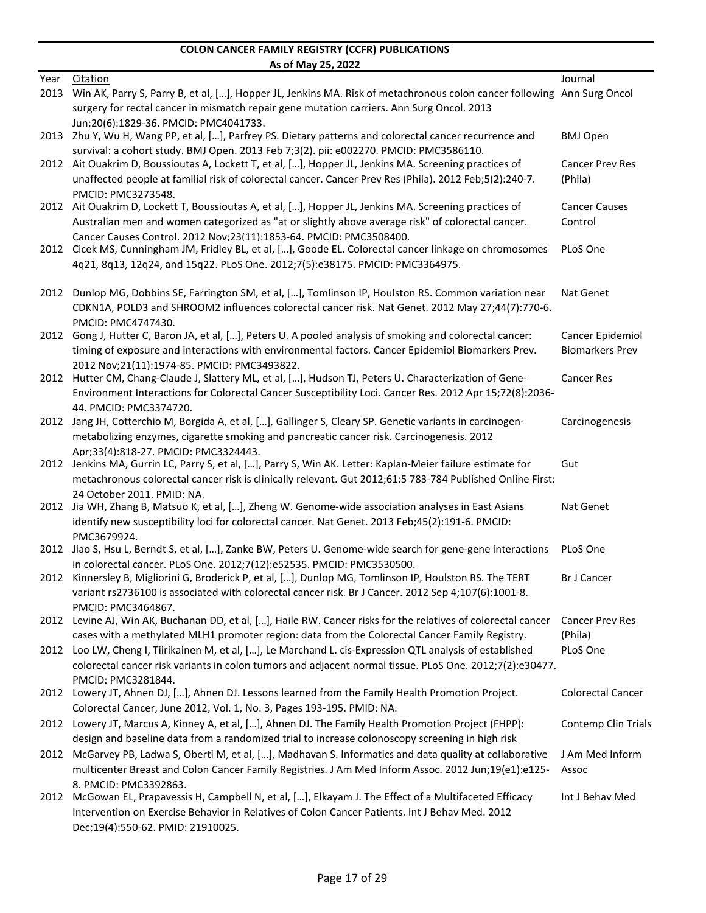| Year | 73 01 1110 <b>7 23</b> 102<br>Citation                                                                                 | Journal                    |
|------|------------------------------------------------------------------------------------------------------------------------|----------------------------|
| 2013 | Win AK, Parry S, Parry B, et al, [], Hopper JL, Jenkins MA. Risk of metachronous colon cancer following Ann Surg Oncol |                            |
|      | surgery for rectal cancer in mismatch repair gene mutation carriers. Ann Surg Oncol. 2013                              |                            |
|      | Jun:20(6):1829-36. PMCID: PMC4041733.                                                                                  |                            |
|      | 2013 Zhu Y, Wu H, Wang PP, et al, [], Parfrey PS. Dietary patterns and colorectal cancer recurrence and                | <b>BMJ Open</b>            |
|      | survival: a cohort study. BMJ Open. 2013 Feb 7;3(2). pii: e002270. PMCID: PMC3586110.                                  |                            |
|      | 2012 Ait Ouakrim D, Boussioutas A, Lockett T, et al, [], Hopper JL, Jenkins MA. Screening practices of                 | <b>Cancer Prev Res</b>     |
|      | unaffected people at familial risk of colorectal cancer. Cancer Prev Res (Phila). 2012 Feb;5(2):240-7.                 | (Phila)                    |
|      | PMCID: PMC3273548.                                                                                                     |                            |
| 2012 | Ait Ouakrim D, Lockett T, Boussioutas A, et al, [], Hopper JL, Jenkins MA. Screening practices of                      | <b>Cancer Causes</b>       |
|      | Australian men and women categorized as "at or slightly above average risk" of colorectal cancer.                      | Control                    |
|      | Cancer Causes Control. 2012 Nov:23(11):1853-64. PMCID: PMC3508400.                                                     |                            |
|      | 2012 Cicek MS, Cunningham JM, Fridley BL, et al, [], Goode EL. Colorectal cancer linkage on chromosomes                | PLoS One                   |
|      | 4q21, 8q13, 12q24, and 15q22. PLoS One. 2012;7(5):e38175. PMCID: PMC3364975.                                           |                            |
|      |                                                                                                                        |                            |
|      | 2012 Dunlop MG, Dobbins SE, Farrington SM, et al, [], Tomlinson IP, Houlston RS. Common variation near                 | Nat Genet                  |
|      | CDKN1A, POLD3 and SHROOM2 influences colorectal cancer risk. Nat Genet. 2012 May 27;44(7):770-6.                       |                            |
|      | PMCID: PMC4747430.                                                                                                     |                            |
|      | 2012 Gong J, Hutter C, Baron JA, et al, [], Peters U. A pooled analysis of smoking and colorectal cancer:              | Cancer Epidemiol           |
|      | timing of exposure and interactions with environmental factors. Cancer Epidemiol Biomarkers Prev.                      | <b>Biomarkers Prev</b>     |
|      | 2012 Nov;21(11):1974-85. PMCID: PMC3493822.                                                                            |                            |
|      | 2012 Hutter CM, Chang-Claude J, Slattery ML, et al, [], Hudson TJ, Peters U. Characterization of Gene-                 | <b>Cancer Res</b>          |
|      | Environment Interactions for Colorectal Cancer Susceptibility Loci. Cancer Res. 2012 Apr 15;72(8):2036-                |                            |
|      | 44. PMCID: PMC3374720.                                                                                                 |                            |
| 2012 | Jang JH, Cotterchio M, Borgida A, et al, [], Gallinger S, Cleary SP. Genetic variants in carcinogen-                   | Carcinogenesis             |
|      | metabolizing enzymes, cigarette smoking and pancreatic cancer risk. Carcinogenesis. 2012                               |                            |
|      | Apr;33(4):818-27. PMCID: PMC3324443.                                                                                   |                            |
| 2012 | Jenkins MA, Gurrin LC, Parry S, et al, [], Parry S, Win AK. Letter: Kaplan-Meier failure estimate for                  | Gut                        |
|      | metachronous colorectal cancer risk is clinically relevant. Gut 2012;61:5 783-784 Published Online First:              |                            |
|      | 24 October 2011. PMID: NA.                                                                                             |                            |
| 2012 | Jia WH, Zhang B, Matsuo K, et al, [], Zheng W. Genome-wide association analyses in East Asians                         | Nat Genet                  |
|      | identify new susceptibility loci for colorectal cancer. Nat Genet. 2013 Feb;45(2):191-6. PMCID:                        |                            |
|      | PMC3679924.                                                                                                            |                            |
| 2012 | Jiao S, Hsu L, Berndt S, et al, [], Zanke BW, Peters U. Genome-wide search for gene-gene interactions                  | PLoS One                   |
|      | in colorectal cancer. PLoS One. 2012;7(12):e52535. PMCID: PMC3530500.                                                  |                            |
|      | 2012 Kinnersley B, Migliorini G, Broderick P, et al, [], Dunlop MG, Tomlinson IP, Houlston RS. The TERT                | <b>Br J Cancer</b>         |
|      | variant rs2736100 is associated with colorectal cancer risk. Br J Cancer. 2012 Sep 4;107(6):1001-8.                    |                            |
|      | PMCID: PMC3464867.                                                                                                     |                            |
|      | 2012 Levine AJ, Win AK, Buchanan DD, et al, [], Haile RW. Cancer risks for the relatives of colorectal cancer          | <b>Cancer Prev Res</b>     |
|      | cases with a methylated MLH1 promoter region: data from the Colorectal Cancer Family Registry.                         | (Phila)                    |
| 2012 | Loo LW, Cheng I, Tiirikainen M, et al, [], Le Marchand L. cis-Expression QTL analysis of established                   | PLoS One                   |
|      | colorectal cancer risk variants in colon tumors and adjacent normal tissue. PLoS One. 2012;7(2):e30477.                |                            |
|      | PMCID: PMC3281844.                                                                                                     |                            |
|      | 2012 Lowery JT, Ahnen DJ, [], Ahnen DJ. Lessons learned from the Family Health Promotion Project.                      | Colorectal Cancer          |
|      | Colorectal Cancer, June 2012, Vol. 1, No. 3, Pages 193-195. PMID: NA.                                                  |                            |
|      | 2012 Lowery JT, Marcus A, Kinney A, et al, [], Ahnen DJ. The Family Health Promotion Project (FHPP):                   | <b>Contemp Clin Trials</b> |
|      | design and baseline data from a randomized trial to increase colonoscopy screening in high risk                        |                            |
|      | 2012 McGarvey PB, Ladwa S, Oberti M, et al, [], Madhavan S. Informatics and data quality at collaborative              | J Am Med Inform            |
|      | multicenter Breast and Colon Cancer Family Registries. J Am Med Inform Assoc. 2012 Jun;19(e1):e125-                    | Assoc                      |
|      | 8. PMCID: PMC3392863.                                                                                                  |                            |
|      | 2012 McGowan EL, Prapavessis H, Campbell N, et al, [], Elkayam J. The Effect of a Multifaceted Efficacy                | Int J Behav Med            |
|      | Intervention on Exercise Behavior in Relatives of Colon Cancer Patients. Int J Behav Med. 2012                         |                            |
|      | Dec;19(4):550-62. PMID: 21910025.                                                                                      |                            |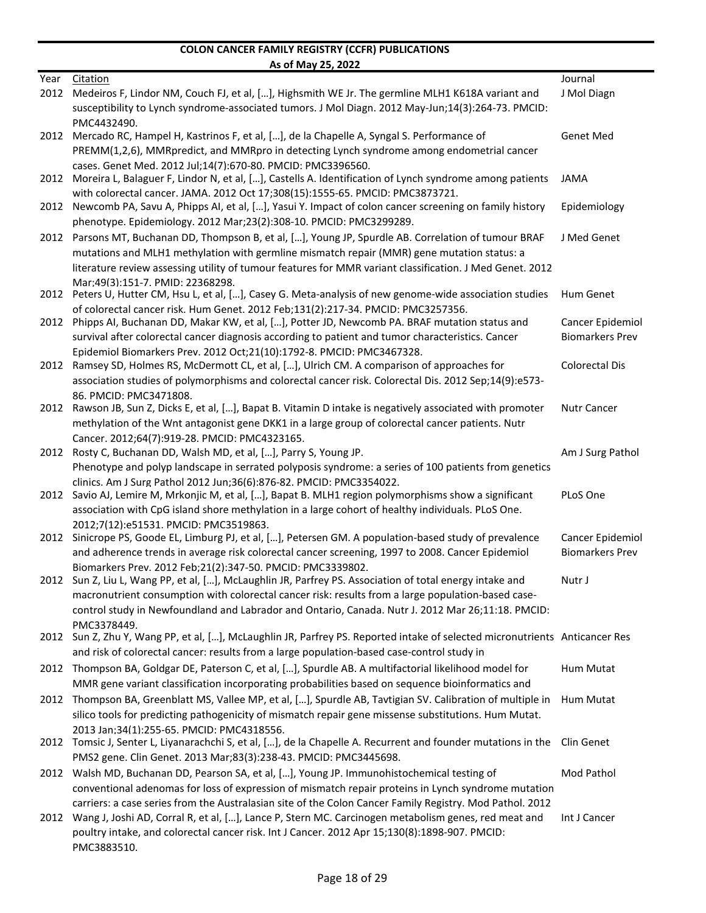|      | <u>AS ULIVIAY ZJ, ZUZZ</u>                                                                                                                                                                             |                        |
|------|--------------------------------------------------------------------------------------------------------------------------------------------------------------------------------------------------------|------------------------|
| Year | Citation                                                                                                                                                                                               | Journal                |
| 2012 | Medeiros F, Lindor NM, Couch FJ, et al, [], Highsmith WE Jr. The germline MLH1 K618A variant and<br>susceptibility to Lynch syndrome-associated tumors. J Mol Diagn. 2012 May-Jun;14(3):264-73. PMCID: | J Mol Diagn            |
|      | PMC4432490.                                                                                                                                                                                            |                        |
| 2012 | Mercado RC, Hampel H, Kastrinos F, et al, [], de la Chapelle A, Syngal S. Performance of                                                                                                               | Genet Med              |
|      | PREMM(1,2,6), MMRpredict, and MMRpro in detecting Lynch syndrome among endometrial cancer                                                                                                              |                        |
|      | cases. Genet Med. 2012 Jul;14(7):670-80. PMCID: PMC3396560.                                                                                                                                            |                        |
| 2012 | Moreira L, Balaguer F, Lindor N, et al, [], Castells A. Identification of Lynch syndrome among patients                                                                                                | <b>JAMA</b>            |
| 2012 | with colorectal cancer. JAMA. 2012 Oct 17;308(15):1555-65. PMCID: PMC3873721.<br>Newcomb PA, Savu A, Phipps AI, et al, [], Yasui Y. Impact of colon cancer screening on family history                 | Epidemiology           |
|      | phenotype. Epidemiology. 2012 Mar;23(2):308-10. PMCID: PMC3299289.                                                                                                                                     |                        |
|      | 2012 Parsons MT, Buchanan DD, Thompson B, et al, [], Young JP, Spurdle AB. Correlation of tumour BRAF                                                                                                  | J Med Genet            |
|      | mutations and MLH1 methylation with germline mismatch repair (MMR) gene mutation status: a                                                                                                             |                        |
|      | literature review assessing utility of tumour features for MMR variant classification. J Med Genet. 2012                                                                                               |                        |
|      | Mar:49(3):151-7. PMID: 22368298.                                                                                                                                                                       |                        |
|      | 2012 Peters U, Hutter CM, Hsu L, et al, [], Casey G. Meta-analysis of new genome-wide association studies<br>of colorectal cancer risk. Hum Genet. 2012 Feb;131(2):217-34. PMCID: PMC3257356.          | <b>Hum Genet</b>       |
| 2012 | Phipps AI, Buchanan DD, Makar KW, et al, [], Potter JD, Newcomb PA. BRAF mutation status and                                                                                                           | Cancer Epidemiol       |
|      | survival after colorectal cancer diagnosis according to patient and tumor characteristics. Cancer                                                                                                      | <b>Biomarkers Prev</b> |
|      | Epidemiol Biomarkers Prev. 2012 Oct;21(10):1792-8. PMCID: PMC3467328.                                                                                                                                  |                        |
| 2012 | Ramsey SD, Holmes RS, McDermott CL, et al, [], Ulrich CM. A comparison of approaches for                                                                                                               | <b>Colorectal Dis</b>  |
|      | association studies of polymorphisms and colorectal cancer risk. Colorectal Dis. 2012 Sep;14(9):e573-                                                                                                  |                        |
| 2012 | 86. PMCID: PMC3471808.<br>Rawson JB, Sun Z, Dicks E, et al, [], Bapat B. Vitamin D intake is negatively associated with promoter                                                                       | <b>Nutr Cancer</b>     |
|      | methylation of the Wnt antagonist gene DKK1 in a large group of colorectal cancer patients. Nutr                                                                                                       |                        |
|      | Cancer. 2012;64(7):919-28. PMCID: PMC4323165.                                                                                                                                                          |                        |
|      | 2012 Rosty C, Buchanan DD, Walsh MD, et al, [], Parry S, Young JP.                                                                                                                                     | Am J Surg Pathol       |
|      | Phenotype and polyp landscape in serrated polyposis syndrome: a series of 100 patients from genetics                                                                                                   |                        |
|      | clinics. Am J Surg Pathol 2012 Jun:36(6):876-82. PMCID: PMC3354022.                                                                                                                                    |                        |
| 2012 | Savio AJ, Lemire M, Mrkonjic M, et al, [], Bapat B. MLH1 region polymorphisms show a significant                                                                                                       | PLoS One               |
|      | association with CpG island shore methylation in a large cohort of healthy individuals. PLoS One.<br>2012;7(12):e51531. PMCID: PMC3519863.                                                             |                        |
| 2012 | Sinicrope PS, Goode EL, Limburg PJ, et al, [], Petersen GM. A population-based study of prevalence                                                                                                     | Cancer Epidemiol       |
|      | and adherence trends in average risk colorectal cancer screening, 1997 to 2008. Cancer Epidemiol                                                                                                       | <b>Biomarkers Prev</b> |
|      | Biomarkers Prev. 2012 Feb;21(2):347-50. PMCID: PMC3339802.                                                                                                                                             |                        |
|      | 2012 Sun Z, Liu L, Wang PP, et al, [], McLaughlin JR, Parfrey PS. Association of total energy intake and                                                                                               | Nutr J                 |
|      | macronutrient consumption with colorectal cancer risk: results from a large population-based case-                                                                                                     |                        |
|      | control study in Newfoundland and Labrador and Ontario, Canada. Nutr J. 2012 Mar 26;11:18. PMCID:<br>PMC3378449.                                                                                       |                        |
|      | 2012 Sun Z, Zhu Y, Wang PP, et al, [], McLaughlin JR, Parfrey PS. Reported intake of selected micronutrients Anticancer Res                                                                            |                        |
|      | and risk of colorectal cancer: results from a large population-based case-control study in                                                                                                             |                        |
|      | 2012 Thompson BA, Goldgar DE, Paterson C, et al, [], Spurdle AB. A multifactorial likelihood model for                                                                                                 | <b>Hum Mutat</b>       |
|      | MMR gene variant classification incorporating probabilities based on sequence bioinformatics and                                                                                                       |                        |
|      | 2012 Thompson BA, Greenblatt MS, Vallee MP, et al, [], Spurdle AB, Tavtigian SV. Calibration of multiple in                                                                                            | Hum Mutat              |
|      | silico tools for predicting pathogenicity of mismatch repair gene missense substitutions. Hum Mutat.                                                                                                   |                        |
|      | 2013 Jan;34(1):255-65. PMCID: PMC4318556.                                                                                                                                                              |                        |
|      | 2012 Tomsic J, Senter L, Liyanarachchi S, et al, [], de la Chapelle A. Recurrent and founder mutations in the Clin Genet<br>PMS2 gene. Clin Genet. 2013 Mar;83(3):238-43. PMCID: PMC3445698.           |                        |
|      | 2012 Walsh MD, Buchanan DD, Pearson SA, et al, [], Young JP. Immunohistochemical testing of                                                                                                            | Mod Pathol             |
|      | conventional adenomas for loss of expression of mismatch repair proteins in Lynch syndrome mutation                                                                                                    |                        |
|      | carriers: a case series from the Australasian site of the Colon Cancer Family Registry. Mod Pathol. 2012                                                                                               |                        |
|      | 2012 Wang J, Joshi AD, Corral R, et al, [], Lance P, Stern MC. Carcinogen metabolism genes, red meat and                                                                                               | Int J Cancer           |
|      | poultry intake, and colorectal cancer risk. Int J Cancer. 2012 Apr 15;130(8):1898-907. PMCID:                                                                                                          |                        |
|      | PMC3883510.                                                                                                                                                                                            |                        |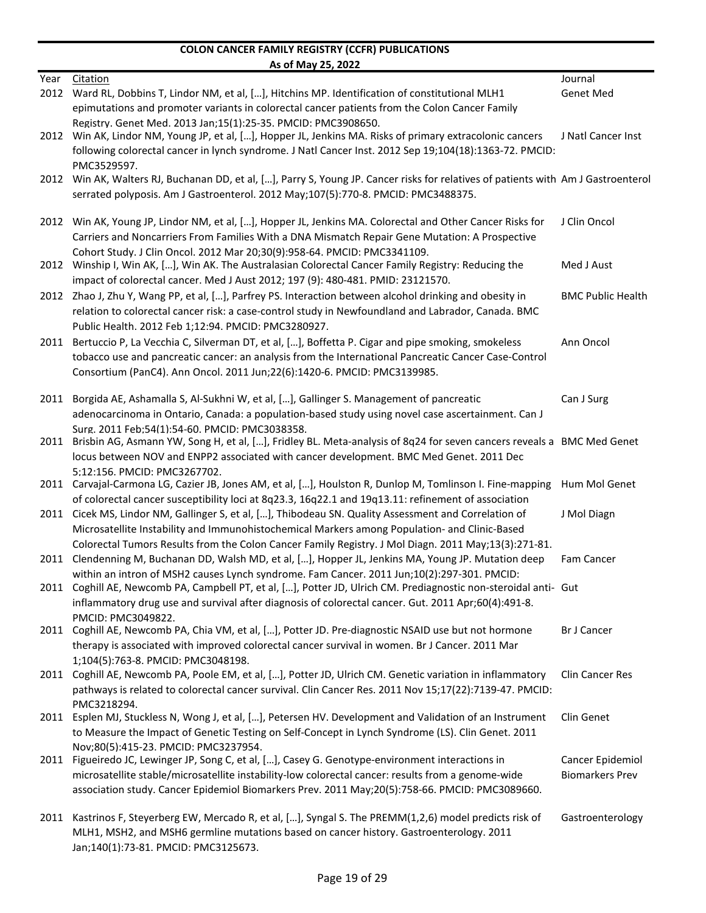|      | <u>AS ULIVIAY ZJ, ZUZZ</u>                                                                                                         |                          |
|------|------------------------------------------------------------------------------------------------------------------------------------|--------------------------|
| Year | Citation                                                                                                                           | Journal                  |
|      | 2012 Ward RL, Dobbins T, Lindor NM, et al, [], Hitchins MP. Identification of constitutional MLH1                                  | <b>Genet Med</b>         |
|      | epimutations and promoter variants in colorectal cancer patients from the Colon Cancer Family                                      |                          |
|      | Registry. Genet Med. 2013 Jan:15(1):25-35. PMCID: PMC3908650.                                                                      |                          |
| 2012 | Win AK, Lindor NM, Young JP, et al, [], Hopper JL, Jenkins MA. Risks of primary extracolonic cancers                               | J Natl Cancer Inst       |
|      | following colorectal cancer in lynch syndrome. J Natl Cancer Inst. 2012 Sep 19;104(18):1363-72. PMCID:                             |                          |
|      | PMC3529597.                                                                                                                        |                          |
|      | 2012 Win AK, Walters RJ, Buchanan DD, et al, [], Parry S, Young JP. Cancer risks for relatives of patients with Am J Gastroenterol |                          |
|      | serrated polyposis. Am J Gastroenterol. 2012 May;107(5):770-8. PMCID: PMC3488375.                                                  |                          |
|      |                                                                                                                                    |                          |
|      | 2012 Win AK, Young JP, Lindor NM, et al, [], Hopper JL, Jenkins MA. Colorectal and Other Cancer Risks for                          | J Clin Oncol             |
|      | Carriers and Noncarriers From Families With a DNA Mismatch Repair Gene Mutation: A Prospective                                     |                          |
|      | Cohort Study. J Clin Oncol. 2012 Mar 20;30(9):958-64. PMCID: PMC3341109.                                                           |                          |
|      | 2012 Winship I, Win AK, [], Win AK. The Australasian Colorectal Cancer Family Registry: Reducing the                               | Med J Aust               |
|      | impact of colorectal cancer. Med J Aust 2012; 197 (9): 480-481. PMID: 23121570.                                                    |                          |
|      |                                                                                                                                    |                          |
|      | 2012 Zhao J, Zhu Y, Wang PP, et al, [], Parfrey PS. Interaction between alcohol drinking and obesity in                            | <b>BMC Public Health</b> |
|      | relation to colorectal cancer risk: a case-control study in Newfoundland and Labrador, Canada. BMC                                 |                          |
|      | Public Health. 2012 Feb 1;12:94. PMCID: PMC3280927.                                                                                |                          |
| 2011 | Bertuccio P, La Vecchia C, Silverman DT, et al, [], Boffetta P. Cigar and pipe smoking, smokeless                                  | Ann Oncol                |
|      | tobacco use and pancreatic cancer: an analysis from the International Pancreatic Cancer Case-Control                               |                          |
|      | Consortium (PanC4). Ann Oncol. 2011 Jun;22(6):1420-6. PMCID: PMC3139985.                                                           |                          |
|      |                                                                                                                                    |                          |
| 2011 | Borgida AE, Ashamalla S, Al-Sukhni W, et al, [], Gallinger S. Management of pancreatic                                             | Can J Surg               |
|      | adenocarcinoma in Ontario, Canada: a population-based study using novel case ascertainment. Can J                                  |                          |
|      | Surg. 2011 Feb;54(1):54-60. PMCID: PMC3038358.                                                                                     |                          |
|      | 2011 Brisbin AG, Asmann YW, Song H, et al, [], Fridley BL. Meta-analysis of 8q24 for seven cancers reveals a BMC Med Genet         |                          |
|      | locus between NOV and ENPP2 associated with cancer development. BMC Med Genet. 2011 Dec                                            |                          |
|      | 5;12:156. PMCID: PMC3267702.                                                                                                       |                          |
|      | 2011 Carvajal-Carmona LG, Cazier JB, Jones AM, et al, [], Houlston R, Dunlop M, Tomlinson I. Fine-mapping                          | Hum Mol Genet            |
|      | of colorectal cancer susceptibility loci at 8q23.3, 16q22.1 and 19q13.11: refinement of association                                |                          |
|      | 2011 Cicek MS, Lindor NM, Gallinger S, et al, [], Thibodeau SN. Quality Assessment and Correlation of                              | J Mol Diagn              |
|      | Microsatellite Instability and Immunohistochemical Markers among Population- and Clinic-Based                                      |                          |
|      | Colorectal Tumors Results from the Colon Cancer Family Registry. J Mol Diagn. 2011 May;13(3):271-81.                               |                          |
| 2011 | Clendenning M, Buchanan DD, Walsh MD, et al, [], Hopper JL, Jenkins MA, Young JP. Mutation deep                                    | <b>Fam Cancer</b>        |
|      | within an intron of MSH2 causes Lynch syndrome. Fam Cancer. 2011 Jun;10(2):297-301. PMCID:                                         |                          |
|      | 2011 Coghill AE, Newcomb PA, Campbell PT, et al, [], Potter JD, Ulrich CM. Prediagnostic non-steroidal anti- Gut                   |                          |
|      |                                                                                                                                    |                          |
|      | inflammatory drug use and survival after diagnosis of colorectal cancer. Gut. 2011 Apr;60(4):491-8.                                |                          |
|      | PMCID: PMC3049822.<br>2011 Coghill AE, Newcomb PA, Chia VM, et al, [], Potter JD. Pre-diagnostic NSAID use but not hormone         | <b>Br J Cancer</b>       |
|      | therapy is associated with improved colorectal cancer survival in women. Br J Cancer. 2011 Mar                                     |                          |
|      |                                                                                                                                    |                          |
|      | 1;104(5):763-8. PMCID: PMC3048198.                                                                                                 |                          |
|      | 2011 Coghill AE, Newcomb PA, Poole EM, et al, [], Potter JD, Ulrich CM. Genetic variation in inflammatory                          | <b>Clin Cancer Res</b>   |
|      | pathways is related to colorectal cancer survival. Clin Cancer Res. 2011 Nov 15;17(22):7139-47. PMCID:                             |                          |
|      | PMC3218294.                                                                                                                        |                          |
| 2011 | Esplen MJ, Stuckless N, Wong J, et al, [], Petersen HV. Development and Validation of an Instrument                                | Clin Genet               |
|      | to Measure the Impact of Genetic Testing on Self-Concept in Lynch Syndrome (LS). Clin Genet. 2011                                  |                          |
|      | Nov;80(5):415-23. PMCID: PMC3237954.                                                                                               |                          |
| 2011 | Figueiredo JC, Lewinger JP, Song C, et al, [], Casey G. Genotype-environment interactions in                                       | Cancer Epidemiol         |
|      | microsatellite stable/microsatellite instability-low colorectal cancer: results from a genome-wide                                 | <b>Biomarkers Prev</b>   |
|      | association study. Cancer Epidemiol Biomarkers Prev. 2011 May;20(5):758-66. PMCID: PMC3089660.                                     |                          |
|      |                                                                                                                                    |                          |
| 2011 | Kastrinos F, Steyerberg EW, Mercado R, et al, [], Syngal S. The PREMM(1,2,6) model predicts risk of                                | Gastroenterology         |
|      | MLH1, MSH2, and MSH6 germline mutations based on cancer history. Gastroenterology. 2011                                            |                          |
|      | Jan;140(1):73-81. PMCID: PMC3125673.                                                                                               |                          |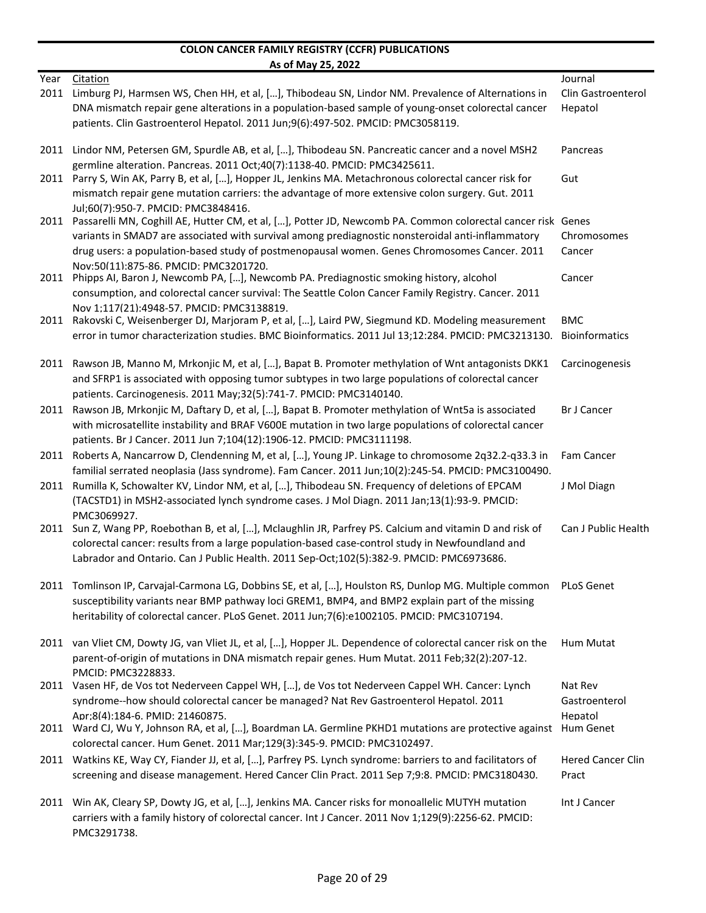|      | As of May 25, 2022                                                                                                                               |                          |
|------|--------------------------------------------------------------------------------------------------------------------------------------------------|--------------------------|
| Year | Citation                                                                                                                                         | Journal                  |
| 2011 | Limburg PJ, Harmsen WS, Chen HH, et al, [], Thibodeau SN, Lindor NM. Prevalence of Alternations in                                               | Clin Gastroenterol       |
|      | DNA mismatch repair gene alterations in a population-based sample of young-onset colorectal cancer                                               | Hepatol                  |
|      | patients. Clin Gastroenterol Hepatol. 2011 Jun;9(6):497-502. PMCID: PMC3058119.                                                                  |                          |
|      | 2011 Lindor NM, Petersen GM, Spurdle AB, et al, [], Thibodeau SN. Pancreatic cancer and a novel MSH2                                             | Pancreas                 |
|      | germline alteration. Pancreas. 2011 Oct;40(7):1138-40. PMCID: PMC3425611.                                                                        |                          |
|      | 2011 Parry S, Win AK, Parry B, et al, [], Hopper JL, Jenkins MA. Metachronous colorectal cancer risk for                                         | Gut                      |
|      | mismatch repair gene mutation carriers: the advantage of more extensive colon surgery. Gut. 2011                                                 |                          |
|      | Jul;60(7):950-7. PMCID: PMC3848416.                                                                                                              |                          |
|      | 2011 Passarelli MN, Coghill AE, Hutter CM, et al, [], Potter JD, Newcomb PA. Common colorectal cancer risk Genes                                 |                          |
|      | variants in SMAD7 are associated with survival among prediagnostic nonsteroidal anti-inflammatory                                                | Chromosomes              |
|      | drug users: a population-based study of postmenopausal women. Genes Chromosomes Cancer. 2011                                                     | Cancer                   |
|      | Nov:50(11):875-86. PMCID: PMC3201720.                                                                                                            |                          |
| 2011 | Phipps AI, Baron J, Newcomb PA, [], Newcomb PA. Prediagnostic smoking history, alcohol                                                           | Cancer                   |
|      | consumption, and colorectal cancer survival: The Seattle Colon Cancer Family Registry. Cancer. 2011<br>Nov 1;117(21):4948-57. PMCID: PMC3138819. |                          |
| 2011 | Rakovski C, Weisenberger DJ, Marjoram P, et al, [], Laird PW, Siegmund KD. Modeling measurement                                                  | <b>BMC</b>               |
|      | error in tumor characterization studies. BMC Bioinformatics. 2011 Jul 13;12:284. PMCID: PMC3213130.                                              | <b>Bioinformatics</b>    |
|      |                                                                                                                                                  |                          |
| 2011 | Rawson JB, Manno M, Mrkonjic M, et al, [], Bapat B. Promoter methylation of Wnt antagonists DKK1                                                 | Carcinogenesis           |
|      | and SFRP1 is associated with opposing tumor subtypes in two large populations of colorectal cancer                                               |                          |
|      | patients. Carcinogenesis. 2011 May;32(5):741-7. PMCID: PMC3140140.                                                                               |                          |
|      | 2011 Rawson JB, Mrkonjic M, Daftary D, et al, [], Bapat B. Promoter methylation of Wnt5a is associated                                           | <b>Br J Cancer</b>       |
|      | with microsatellite instability and BRAF V600E mutation in two large populations of colorectal cancer                                            |                          |
|      | patients. Br J Cancer. 2011 Jun 7;104(12):1906-12. PMCID: PMC3111198.                                                                            |                          |
|      | 2011 Roberts A, Nancarrow D, Clendenning M, et al, [], Young JP. Linkage to chromosome 2q32.2-q33.3 in                                           | Fam Cancer               |
|      | familial serrated neoplasia (Jass syndrome). Fam Cancer. 2011 Jun;10(2):245-54. PMCID: PMC3100490.                                               |                          |
| 2011 | Rumilla K, Schowalter KV, Lindor NM, et al, [], Thibodeau SN. Frequency of deletions of EPCAM                                                    | J Mol Diagn              |
|      | (TACSTD1) in MSH2-associated lynch syndrome cases. J Mol Diagn. 2011 Jan;13(1):93-9. PMCID:                                                      |                          |
|      | PMC3069927.                                                                                                                                      |                          |
| 2011 | Sun Z, Wang PP, Roebothan B, et al, [], Mclaughlin JR, Parfrey PS. Calcium and vitamin D and risk of                                             | Can J Public Health      |
|      | colorectal cancer: results from a large population-based case-control study in Newfoundland and                                                  |                          |
|      | Labrador and Ontario. Can J Public Health. 2011 Sep-Oct;102(5):382-9. PMCID: PMC6973686.                                                         |                          |
|      | 2011 Tomlinson IP, Carvajal-Carmona LG, Dobbins SE, et al, [], Houlston RS, Dunlop MG. Multiple common PLoS Genet                                |                          |
|      | susceptibility variants near BMP pathway loci GREM1, BMP4, and BMP2 explain part of the missing                                                  |                          |
|      | heritability of colorectal cancer. PLoS Genet. 2011 Jun;7(6):e1002105. PMCID: PMC3107194.                                                        |                          |
|      | 2011 van Vliet CM, Dowty JG, van Vliet JL, et al, [], Hopper JL. Dependence of colorectal cancer risk on the                                     | Hum Mutat                |
|      | parent-of-origin of mutations in DNA mismatch repair genes. Hum Mutat. 2011 Feb;32(2):207-12.                                                    |                          |
|      | PMCID: PMC3228833.                                                                                                                               |                          |
|      | 2011 Vasen HF, de Vos tot Nederveen Cappel WH, [], de Vos tot Nederveen Cappel WH. Cancer: Lynch                                                 | Nat Rev                  |
|      | syndrome--how should colorectal cancer be managed? Nat Rev Gastroenterol Hepatol. 2011                                                           | Gastroenterol            |
|      | Apr;8(4):184-6. PMID: 21460875.                                                                                                                  | Hepatol                  |
|      | 2011 Ward CJ, Wu Y, Johnson RA, et al, [], Boardman LA. Germline PKHD1 mutations are protective against Hum Genet                                |                          |
|      | colorectal cancer. Hum Genet. 2011 Mar;129(3):345-9. PMCID: PMC3102497.                                                                          |                          |
|      | 2011 Watkins KE, Way CY, Fiander JJ, et al, [], Parfrey PS. Lynch syndrome: barriers to and facilitators of                                      | <b>Hered Cancer Clin</b> |
|      | screening and disease management. Hered Cancer Clin Pract. 2011 Sep 7;9:8. PMCID: PMC3180430.                                                    | Pract                    |
|      | 2011 Win AK, Cleary SP, Dowty JG, et al, [], Jenkins MA. Cancer risks for monoallelic MUTYH mutation                                             | Int J Cancer             |
|      | carriers with a family history of colorectal cancer. Int J Cancer. 2011 Nov 1;129(9):2256-62. PMCID:                                             |                          |
|      | PMC3291738.                                                                                                                                      |                          |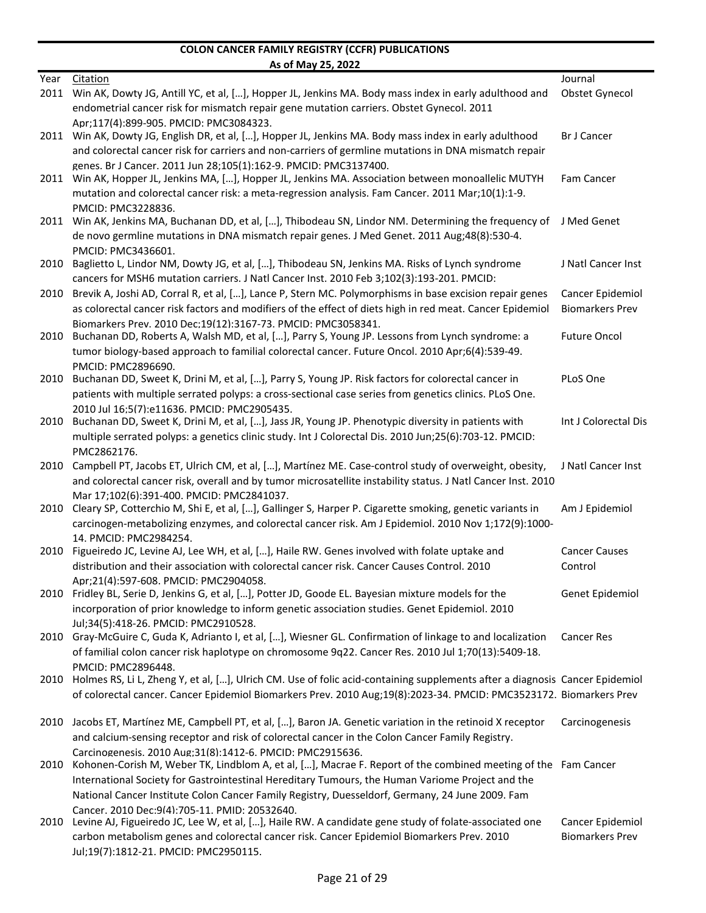|      | AS OT MAY 25, 2022                                                                                                                            |                        |
|------|-----------------------------------------------------------------------------------------------------------------------------------------------|------------------------|
| Year | <b>Citation</b>                                                                                                                               | Journal                |
| 2011 | Win AK, Dowty JG, Antill YC, et al, [], Hopper JL, Jenkins MA. Body mass index in early adulthood and                                         | Obstet Gynecol         |
|      | endometrial cancer risk for mismatch repair gene mutation carriers. Obstet Gynecol. 2011                                                      |                        |
|      | Apr;117(4):899-905. PMCID: PMC3084323.                                                                                                        |                        |
|      | 2011 Win AK, Dowty JG, English DR, et al, [], Hopper JL, Jenkins MA. Body mass index in early adulthood                                       | <b>Br J Cancer</b>     |
|      | and colorectal cancer risk for carriers and non-carriers of germline mutations in DNA mismatch repair                                         |                        |
|      | genes. Br J Cancer. 2011 Jun 28;105(1):162-9. PMCID: PMC3137400.                                                                              |                        |
|      | 2011 Win AK, Hopper JL, Jenkins MA, [], Hopper JL, Jenkins MA. Association between monoallelic MUTYH                                          | Fam Cancer             |
|      | mutation and colorectal cancer risk: a meta-regression analysis. Fam Cancer. 2011 Mar;10(1):1-9.                                              |                        |
|      | PMCID: PMC3228836.                                                                                                                            | J Med Genet            |
|      | 2011 Win AK, Jenkins MA, Buchanan DD, et al, [], Thibodeau SN, Lindor NM. Determining the frequency of                                        |                        |
|      | de novo germline mutations in DNA mismatch repair genes. J Med Genet. 2011 Aug;48(8):530-4.                                                   |                        |
| 2010 | PMCID: PMC3436601.<br>Baglietto L, Lindor NM, Dowty JG, et al, [], Thibodeau SN, Jenkins MA. Risks of Lynch syndrome                          | J Natl Cancer Inst     |
|      | cancers for MSH6 mutation carriers. J Natl Cancer Inst. 2010 Feb 3;102(3):193-201. PMCID:                                                     |                        |
| 2010 | Brevik A, Joshi AD, Corral R, et al, [], Lance P, Stern MC. Polymorphisms in base excision repair genes                                       | Cancer Epidemiol       |
|      | as colorectal cancer risk factors and modifiers of the effect of diets high in red meat. Cancer Epidemiol                                     | <b>Biomarkers Prev</b> |
|      | Biomarkers Prev. 2010 Dec;19(12):3167-73. PMCID: PMC3058341.                                                                                  |                        |
| 2010 | Buchanan DD, Roberts A, Walsh MD, et al, [], Parry S, Young JP. Lessons from Lynch syndrome: a                                                | <b>Future Oncol</b>    |
|      | tumor biology-based approach to familial colorectal cancer. Future Oncol. 2010 Apr;6(4):539-49.                                               |                        |
|      | PMCID: PMC2896690.                                                                                                                            |                        |
| 2010 | Buchanan DD, Sweet K, Drini M, et al, [], Parry S, Young JP. Risk factors for colorectal cancer in                                            | PLoS One               |
|      | patients with multiple serrated polyps: a cross-sectional case series from genetics clinics. PLoS One.                                        |                        |
|      | 2010 Jul 16;5(7):e11636. PMCID: PMC2905435.                                                                                                   |                        |
| 2010 | Buchanan DD, Sweet K, Drini M, et al, [], Jass JR, Young JP. Phenotypic diversity in patients with                                            | Int J Colorectal Dis   |
|      | multiple serrated polyps: a genetics clinic study. Int J Colorectal Dis. 2010 Jun;25(6):703-12. PMCID:                                        |                        |
|      | PMC2862176.                                                                                                                                   |                        |
| 2010 | Campbell PT, Jacobs ET, Ulrich CM, et al, [], Martínez ME. Case-control study of overweight, obesity,                                         | J Natl Cancer Inst     |
|      | and colorectal cancer risk, overall and by tumor microsatellite instability status. J Natl Cancer Inst. 2010                                  |                        |
|      | Mar 17:102(6):391-400. PMCID: PMC2841037.                                                                                                     |                        |
| 2010 | Cleary SP, Cotterchio M, Shi E, et al, [], Gallinger S, Harper P. Cigarette smoking, genetic variants in                                      | Am J Epidemiol         |
|      | carcinogen-metabolizing enzymes, and colorectal cancer risk. Am J Epidemiol. 2010 Nov 1;172(9):1000-                                          |                        |
|      | 14. PMCID: PMC2984254.                                                                                                                        |                        |
| 2010 | Figueiredo JC, Levine AJ, Lee WH, et al, [], Haile RW. Genes involved with folate uptake and                                                  | <b>Cancer Causes</b>   |
|      | distribution and their association with colorectal cancer risk. Cancer Causes Control. 2010                                                   | Control                |
|      | Apr;21(4):597-608. PMCID: PMC2904058.<br>2010 Fridley BL, Serie D, Jenkins G, et al, [], Potter JD, Goode EL. Bayesian mixture models for the | Genet Epidemiol        |
|      | incorporation of prior knowledge to inform genetic association studies. Genet Epidemiol. 2010                                                 |                        |
|      | Jul;34(5):418-26. PMCID: PMC2910528.                                                                                                          |                        |
|      | 2010 Gray-McGuire C, Guda K, Adrianto I, et al, [], Wiesner GL. Confirmation of linkage to and localization                                   | <b>Cancer Res</b>      |
|      | of familial colon cancer risk haplotype on chromosome 9q22. Cancer Res. 2010 Jul 1;70(13):5409-18.                                            |                        |
|      | PMCID: PMC2896448.                                                                                                                            |                        |
|      | 2010 Holmes RS, Li L, Zheng Y, et al, [], Ulrich CM. Use of folic acid-containing supplements after a diagnosis Cancer Epidemiol              |                        |
|      | of colorectal cancer. Cancer Epidemiol Biomarkers Prev. 2010 Aug;19(8):2023-34. PMCID: PMC3523172. Biomarkers Prev                            |                        |
|      |                                                                                                                                               |                        |
| 2010 | Jacobs ET, Martínez ME, Campbell PT, et al, [], Baron JA. Genetic variation in the retinoid X receptor                                        | Carcinogenesis         |
|      | and calcium-sensing receptor and risk of colorectal cancer in the Colon Cancer Family Registry.                                               |                        |
|      | Carcinogenesis. 2010 Aug;31(8):1412-6. PMCID: PMC2915636.                                                                                     |                        |
| 2010 | Kohonen-Corish M, Weber TK, Lindblom A, et al, [], Macrae F. Report of the combined meeting of the Fam Cancer                                 |                        |
|      | International Society for Gastrointestinal Hereditary Tumours, the Human Variome Project and the                                              |                        |
|      | National Cancer Institute Colon Cancer Family Registry, Duesseldorf, Germany, 24 June 2009. Fam                                               |                        |
|      | Cancer. 2010 Dec: 9(4): 705-11. PMID: 20532640.                                                                                               |                        |
|      | 2010 Levine AJ, Figueiredo JC, Lee W, et al, [], Haile RW. A candidate gene study of folate-associated one                                    | Cancer Epidemiol       |
|      | carbon metabolism genes and colorectal cancer risk. Cancer Epidemiol Biomarkers Prev. 2010                                                    | <b>Biomarkers Prev</b> |
|      | Jul;19(7):1812-21. PMCID: PMC2950115.                                                                                                         |                        |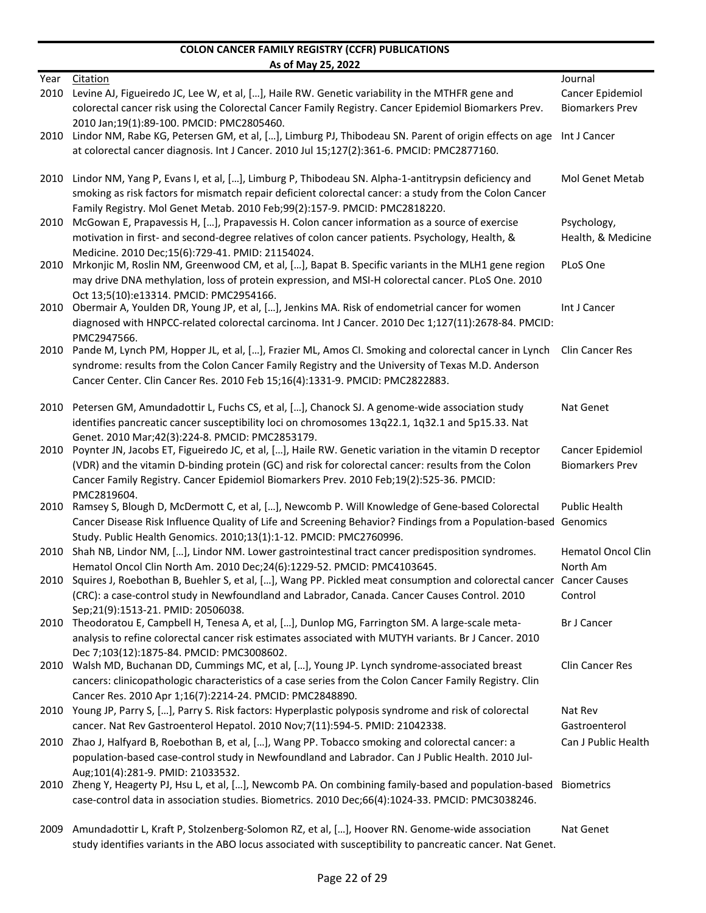|      | <u>AS ULIVIAY ZJ, ZUZZ</u>                                                                                               |                           |
|------|--------------------------------------------------------------------------------------------------------------------------|---------------------------|
| Year | Citation                                                                                                                 | Journal                   |
| 2010 | Levine AJ, Figueiredo JC, Lee W, et al, [], Haile RW. Genetic variability in the MTHFR gene and                          | Cancer Epidemiol          |
|      | colorectal cancer risk using the Colorectal Cancer Family Registry. Cancer Epidemiol Biomarkers Prev.                    | <b>Biomarkers Prev</b>    |
|      | 2010 Jan;19(1):89-100. PMCID: PMC2805460.                                                                                |                           |
| 2010 | Lindor NM, Rabe KG, Petersen GM, et al, [], Limburg PJ, Thibodeau SN. Parent of origin effects on age                    | Int J Cancer              |
|      | at colorectal cancer diagnosis. Int J Cancer. 2010 Jul 15;127(2):361-6. PMCID: PMC2877160.                               |                           |
|      |                                                                                                                          |                           |
| 2010 | Lindor NM, Yang P, Evans I, et al, [], Limburg P, Thibodeau SN. Alpha-1-antitrypsin deficiency and                       | Mol Genet Metab           |
|      | smoking as risk factors for mismatch repair deficient colorectal cancer: a study from the Colon Cancer                   |                           |
|      | Family Registry. Mol Genet Metab. 2010 Feb;99(2):157-9. PMCID: PMC2818220.                                               |                           |
| 2010 | McGowan E, Prapavessis H, [], Prapavessis H. Colon cancer information as a source of exercise                            | Psychology,               |
|      | motivation in first- and second-degree relatives of colon cancer patients. Psychology, Health, &                         | Health, & Medicine        |
|      | Medicine. 2010 Dec;15(6):729-41. PMID: 21154024.                                                                         |                           |
| 2010 | Mrkonjic M, Roslin NM, Greenwood CM, et al, [], Bapat B. Specific variants in the MLH1 gene region                       | PLoS One                  |
|      | may drive DNA methylation, loss of protein expression, and MSI-H colorectal cancer. PLoS One. 2010                       |                           |
|      | Oct 13;5(10):e13314. PMCID: PMC2954166.                                                                                  |                           |
| 2010 | Obermair A, Youlden DR, Young JP, et al, [], Jenkins MA. Risk of endometrial cancer for women                            | Int J Cancer              |
|      | diagnosed with HNPCC-related colorectal carcinoma. Int J Cancer. 2010 Dec 1;127(11):2678-84. PMCID:                      |                           |
|      | PMC2947566.                                                                                                              |                           |
| 2010 | Pande M, Lynch PM, Hopper JL, et al, [], Frazier ML, Amos CI. Smoking and colorectal cancer in Lynch                     | <b>Clin Cancer Res</b>    |
|      | syndrome: results from the Colon Cancer Family Registry and the University of Texas M.D. Anderson                        |                           |
|      | Cancer Center. Clin Cancer Res. 2010 Feb 15;16(4):1331-9. PMCID: PMC2822883.                                             |                           |
|      |                                                                                                                          |                           |
| 2010 | Petersen GM, Amundadottir L, Fuchs CS, et al, [], Chanock SJ. A genome-wide association study                            | Nat Genet                 |
|      | identifies pancreatic cancer susceptibility loci on chromosomes 13q22.1, 1q32.1 and 5p15.33. Nat                         |                           |
|      | Genet. 2010 Mar: 42(3): 224-8. PMCID: PMC2853179.                                                                        |                           |
| 2010 | Poynter JN, Jacobs ET, Figueiredo JC, et al, [], Haile RW. Genetic variation in the vitamin D receptor                   | Cancer Epidemiol          |
|      | (VDR) and the vitamin D-binding protein (GC) and risk for colorectal cancer: results from the Colon                      | <b>Biomarkers Prev</b>    |
|      | Cancer Family Registry. Cancer Epidemiol Biomarkers Prev. 2010 Feb;19(2):525-36. PMCID:                                  |                           |
|      | PMC2819604.                                                                                                              |                           |
| 2010 | Ramsey S, Blough D, McDermott C, et al, [], Newcomb P. Will Knowledge of Gene-based Colorectal                           | <b>Public Health</b>      |
|      | Cancer Disease Risk Influence Quality of Life and Screening Behavior? Findings from a Population-based Genomics          |                           |
|      | Study. Public Health Genomics. 2010;13(1):1-12. PMCID: PMC2760996.                                                       |                           |
| 2010 | Shah NB, Lindor NM, [], Lindor NM. Lower gastrointestinal tract cancer predisposition syndromes.                         | <b>Hematol Oncol Clin</b> |
|      | Hematol Oncol Clin North Am. 2010 Dec;24(6):1229-52. PMCID: PMC4103645.                                                  | North Am                  |
|      | 2010 Squires J, Roebothan B, Buehler S, et al, [], Wang PP. Pickled meat consumption and colorectal cancer Cancer Causes |                           |
|      | (CRC): a case-control study in Newfoundland and Labrador, Canada. Cancer Causes Control. 2010                            | Control                   |
|      | Sep;21(9):1513-21. PMID: 20506038.                                                                                       |                           |
|      | 2010 Theodoratou E, Campbell H, Tenesa A, et al, [], Dunlop MG, Farrington SM. A large-scale meta-                       | <b>Br J Cancer</b>        |
|      | analysis to refine colorectal cancer risk estimates associated with MUTYH variants. Br J Cancer. 2010                    |                           |
|      | Dec 7;103(12):1875-84. PMCID: PMC3008602.                                                                                |                           |
|      | 2010 Walsh MD, Buchanan DD, Cummings MC, et al, [], Young JP. Lynch syndrome-associated breast                           | Clin Cancer Res           |
|      | cancers: clinicopathologic characteristics of a case series from the Colon Cancer Family Registry. Clin                  |                           |
|      | Cancer Res. 2010 Apr 1;16(7):2214-24. PMCID: PMC2848890.                                                                 |                           |
|      | 2010 Young JP, Parry S, [], Parry S. Risk factors: Hyperplastic polyposis syndrome and risk of colorectal                | Nat Rev                   |
|      | cancer. Nat Rev Gastroenterol Hepatol. 2010 Nov;7(11):594-5. PMID: 21042338.                                             | Gastroenterol             |
| 2010 | Zhao J, Halfyard B, Roebothan B, et al, [], Wang PP. Tobacco smoking and colorectal cancer: a                            | Can J Public Health       |
|      | population-based case-control study in Newfoundland and Labrador. Can J Public Health. 2010 Jul-                         |                           |
|      | Aug:101(4):281-9. PMID: 21033532.                                                                                        |                           |
| 2010 | Zheng Y, Heagerty PJ, Hsu L, et al, [], Newcomb PA. On combining family-based and population-based                       | Biometrics                |
|      | case-control data in association studies. Biometrics. 2010 Dec;66(4):1024-33. PMCID: PMC3038246.                         |                           |
|      |                                                                                                                          |                           |
| 2009 | Amundadottir L, Kraft P, Stolzenberg-Solomon RZ, et al, [], Hoover RN. Genome-wide association                           | Nat Genet                 |
|      | study identifies variants in the ABO locus associated with susceptibility to pancreatic cancer. Nat Genet.               |                           |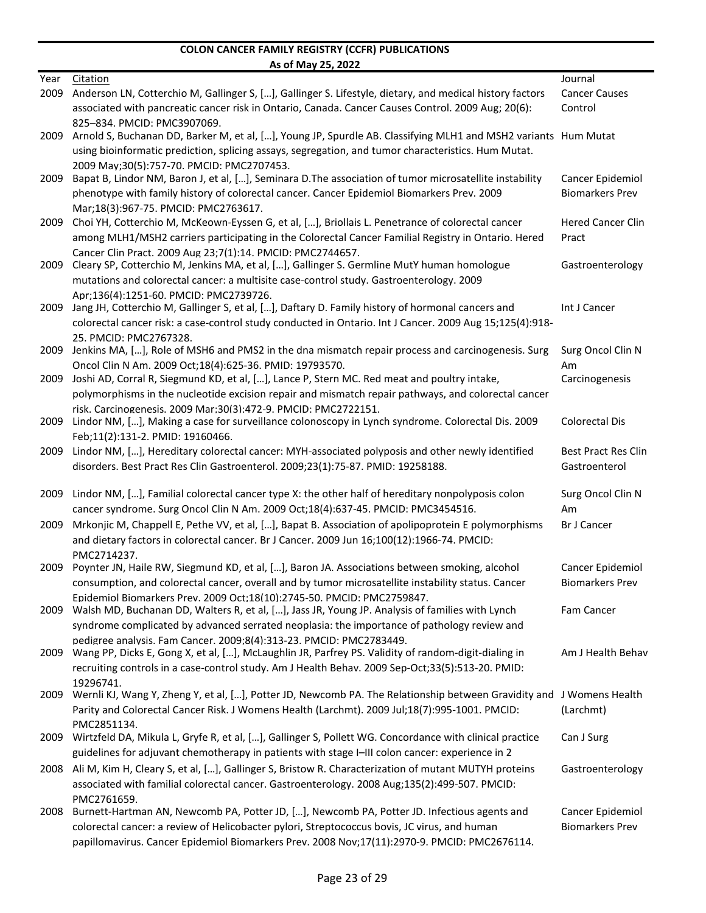|      | <u>AS ULIVIAY ZJ, ZUZZ</u>                                                                                                                               |                                            |
|------|----------------------------------------------------------------------------------------------------------------------------------------------------------|--------------------------------------------|
| Year | Citation                                                                                                                                                 | Journal                                    |
| 2009 | Anderson LN, Cotterchio M, Gallinger S, [], Gallinger S. Lifestyle, dietary, and medical history factors                                                 | <b>Cancer Causes</b>                       |
|      | associated with pancreatic cancer risk in Ontario, Canada. Cancer Causes Control. 2009 Aug; 20(6):                                                       | Control                                    |
|      | 825-834. PMCID: PMC3907069.                                                                                                                              |                                            |
| 2009 | Arnold S, Buchanan DD, Barker M, et al, [], Young JP, Spurdle AB. Classifying MLH1 and MSH2 variants Hum Mutat                                           |                                            |
|      | using bioinformatic prediction, splicing assays, segregation, and tumor characteristics. Hum Mutat.                                                      |                                            |
|      | 2009 May;30(5):757-70. PMCID: PMC2707453.                                                                                                                |                                            |
| 2009 | Bapat B, Lindor NM, Baron J, et al, [], Seminara D. The association of tumor microsatellite instability                                                  | Cancer Epidemiol<br><b>Biomarkers Prev</b> |
|      | phenotype with family history of colorectal cancer. Cancer Epidemiol Biomarkers Prev. 2009                                                               |                                            |
|      | Mar;18(3):967-75. PMCID: PMC2763617.                                                                                                                     |                                            |
| 2009 | Choi YH, Cotterchio M, McKeown-Eyssen G, et al, [], Briollais L. Penetrance of colorectal cancer                                                         | <b>Hered Cancer Clin</b>                   |
|      | among MLH1/MSH2 carriers participating in the Colorectal Cancer Familial Registry in Ontario. Hered                                                      | Pract                                      |
|      | Cancer Clin Pract. 2009 Aug 23;7(1):14. PMCID: PMC2744657.<br>Cleary SP, Cotterchio M, Jenkins MA, et al, [], Gallinger S. Germline MutY human homologue |                                            |
| 2009 |                                                                                                                                                          | Gastroenterology                           |
|      | mutations and colorectal cancer: a multisite case-control study. Gastroenterology. 2009<br>Apr:136(4):1251-60. PMCID: PMC2739726.                        |                                            |
| 2009 | Jang JH, Cotterchio M, Gallinger S, et al, [], Daftary D. Family history of hormonal cancers and                                                         | Int J Cancer                               |
|      | colorectal cancer risk: a case-control study conducted in Ontario. Int J Cancer. 2009 Aug 15;125(4):918-                                                 |                                            |
|      | 25. PMCID: PMC2767328.                                                                                                                                   |                                            |
| 2009 | Jenkins MA, [], Role of MSH6 and PMS2 in the dna mismatch repair process and carcinogenesis. Surg                                                        | Surg Oncol Clin N                          |
|      | Oncol Clin N Am. 2009 Oct;18(4):625-36. PMID: 19793570.                                                                                                  | Am                                         |
| 2009 | Joshi AD, Corral R, Siegmund KD, et al, [], Lance P, Stern MC. Red meat and poultry intake,                                                              | Carcinogenesis                             |
|      | polymorphisms in the nucleotide excision repair and mismatch repair pathways, and colorectal cancer                                                      |                                            |
|      | risk. Carcinogenesis. 2009 Mar;30(3):472-9. PMCID: PMC2722151.                                                                                           |                                            |
| 2009 | Lindor NM, [], Making a case for surveillance colonoscopy in Lynch syndrome. Colorectal Dis. 2009                                                        | <b>Colorectal Dis</b>                      |
|      | Feb;11(2):131-2. PMID: 19160466.                                                                                                                         |                                            |
| 2009 | Lindor NM, [], Hereditary colorectal cancer: MYH-associated polyposis and other newly identified                                                         | <b>Best Pract Res Clin</b>                 |
|      | disorders. Best Pract Res Clin Gastroenterol. 2009;23(1):75-87. PMID: 19258188.                                                                          | Gastroenterol                              |
|      |                                                                                                                                                          |                                            |
| 2009 | Lindor NM, [], Familial colorectal cancer type X: the other half of hereditary nonpolyposis colon                                                        | Surg Oncol Clin N                          |
|      | cancer syndrome. Surg Oncol Clin N Am. 2009 Oct;18(4):637-45. PMCID: PMC3454516.                                                                         | Am                                         |
| 2009 | Mrkonjic M, Chappell E, Pethe VV, et al, [], Bapat B. Association of apolipoprotein E polymorphisms                                                      | <b>Br J Cancer</b>                         |
|      | and dietary factors in colorectal cancer. Br J Cancer. 2009 Jun 16;100(12):1966-74. PMCID:                                                               |                                            |
|      | PMC2714237.                                                                                                                                              |                                            |
| 2009 | Poynter JN, Haile RW, Siegmund KD, et al, [], Baron JA. Associations between smoking, alcohol                                                            | Cancer Epidemiol                           |
|      | consumption, and colorectal cancer, overall and by tumor microsatellite instability status. Cancer                                                       | Biomarkers Prev                            |
|      | Epidemiol Biomarkers Prev. 2009 Oct;18(10):2745-50. PMCID: PMC2759847.                                                                                   |                                            |
|      | 2009 Walsh MD, Buchanan DD, Walters R, et al, [], Jass JR, Young JP. Analysis of families with Lynch                                                     | Fam Cancer                                 |
|      | syndrome complicated by advanced serrated neoplasia: the importance of pathology review and                                                              |                                            |
|      | pedigree analysis. Fam Cancer. 2009;8(4):313-23. PMCID: PMC2783449.                                                                                      |                                            |
| 2009 | Wang PP, Dicks E, Gong X, et al, [], McLaughlin JR, Parfrey PS. Validity of random-digit-dialing in                                                      | Am J Health Behav                          |
|      | recruiting controls in a case-control study. Am J Health Behav. 2009 Sep-Oct;33(5):513-20. PMID:                                                         |                                            |
|      | 19296741.                                                                                                                                                |                                            |
|      | 2009 Wernli KJ, Wang Y, Zheng Y, et al, [], Potter JD, Newcomb PA. The Relationship between Gravidity and J Womens Health                                |                                            |
|      | Parity and Colorectal Cancer Risk. J Womens Health (Larchmt). 2009 Jul;18(7):995-1001. PMCID:                                                            | (Larchmt)                                  |
|      | PMC2851134.                                                                                                                                              |                                            |
|      | 2009 Wirtzfeld DA, Mikula L, Gryfe R, et al, [], Gallinger S, Pollett WG. Concordance with clinical practice                                             | Can J Surg                                 |
|      | guidelines for adjuvant chemotherapy in patients with stage I-III colon cancer: experience in 2                                                          |                                            |
|      | 2008 Ali M, Kim H, Cleary S, et al, [], Gallinger S, Bristow R. Characterization of mutant MUTYH proteins                                                | Gastroenterology                           |
|      | associated with familial colorectal cancer. Gastroenterology. 2008 Aug;135(2):499-507. PMCID:                                                            |                                            |
|      | PMC2761659.                                                                                                                                              |                                            |
| 2008 | Burnett-Hartman AN, Newcomb PA, Potter JD, [], Newcomb PA, Potter JD. Infectious agents and                                                              | Cancer Epidemiol                           |
|      | colorectal cancer: a review of Helicobacter pylori, Streptococcus bovis, JC virus, and human                                                             | <b>Biomarkers Prev</b>                     |
|      | papillomavirus. Cancer Epidemiol Biomarkers Prev. 2008 Nov;17(11):2970-9. PMCID: PMC2676114.                                                             |                                            |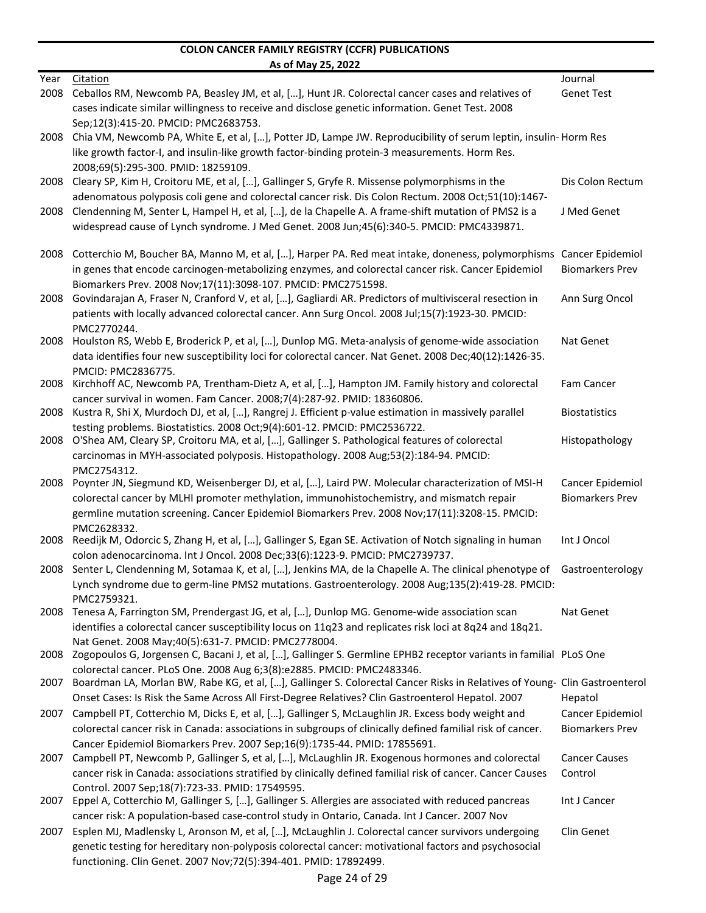|              | AS OT MAY 25, 2022                                                                                                                                                                                          |                              |
|--------------|-------------------------------------------------------------------------------------------------------------------------------------------------------------------------------------------------------------|------------------------------|
| Year<br>2008 | <b>Citation</b><br>Ceballos RM, Newcomb PA, Beasley JM, et al, [], Hunt JR. Colorectal cancer cases and relatives of                                                                                        | Journal<br><b>Genet Test</b> |
|              | cases indicate similar willingness to receive and disclose genetic information. Genet Test. 2008                                                                                                            |                              |
| 2008         | Sep;12(3):415-20. PMCID: PMC2683753.<br>Chia VM, Newcomb PA, White E, et al, [], Potter JD, Lampe JW. Reproducibility of serum leptin, insulin-Horm Res                                                     |                              |
|              | like growth factor-I, and insulin-like growth factor-binding protein-3 measurements. Horm Res.                                                                                                              |                              |
| 2008         | 2008;69(5):295-300. PMID: 18259109.<br>Cleary SP, Kim H, Croitoru ME, et al, [], Gallinger S, Gryfe R. Missense polymorphisms in the                                                                        | Dis Colon Rectum             |
|              | adenomatous polyposis coli gene and colorectal cancer risk. Dis Colon Rectum. 2008 Oct;51(10):1467-                                                                                                         |                              |
| 2008         | Clendenning M, Senter L, Hampel H, et al, [], de la Chapelle A. A frame-shift mutation of PMS2 is a                                                                                                         | J Med Genet                  |
|              | widespread cause of Lynch syndrome. J Med Genet. 2008 Jun;45(6):340-5. PMCID: PMC4339871.                                                                                                                   |                              |
| 2008         | Cotterchio M, Boucher BA, Manno M, et al, [], Harper PA. Red meat intake, doneness, polymorphisms Cancer Epidemiol                                                                                          |                              |
|              | in genes that encode carcinogen-metabolizing enzymes, and colorectal cancer risk. Cancer Epidemiol                                                                                                          | <b>Biomarkers Prev</b>       |
| 2008         | Biomarkers Prev. 2008 Nov;17(11):3098-107. PMCID: PMC2751598.<br>Govindarajan A, Fraser N, Cranford V, et al, [], Gagliardi AR. Predictors of multivisceral resection in                                    | Ann Surg Oncol               |
|              | patients with locally advanced colorectal cancer. Ann Surg Oncol. 2008 Jul;15(7):1923-30. PMCID:                                                                                                            |                              |
|              | PMC2770244.                                                                                                                                                                                                 |                              |
| 2008         | Houlston RS, Webb E, Broderick P, et al, [], Dunlop MG. Meta-analysis of genome-wide association                                                                                                            | Nat Genet                    |
|              | data identifies four new susceptibility loci for colorectal cancer. Nat Genet. 2008 Dec;40(12):1426-35.                                                                                                     |                              |
| 2008         | PMCID: PMC2836775.<br>Kirchhoff AC, Newcomb PA, Trentham-Dietz A, et al, [], Hampton JM. Family history and colorectal                                                                                      | Fam Cancer                   |
|              | cancer survival in women. Fam Cancer. 2008;7(4):287-92. PMID: 18360806.                                                                                                                                     |                              |
| 2008         | Kustra R, Shi X, Murdoch DJ, et al, [], Rangrej J. Efficient p-value estimation in massively parallel                                                                                                       | <b>Biostatistics</b>         |
|              | testing problems. Biostatistics. 2008 Oct;9(4):601-12. PMCID: PMC2536722.                                                                                                                                   |                              |
| 2008         | O'Shea AM, Cleary SP, Croitoru MA, et al, [], Gallinger S. Pathological features of colorectal                                                                                                              | Histopathology               |
|              | carcinomas in MYH-associated polyposis. Histopathology. 2008 Aug;53(2):184-94. PMCID:<br>PMC2754312.                                                                                                        |                              |
| 2008         | Poynter JN, Siegmund KD, Weisenberger DJ, et al, [], Laird PW. Molecular characterization of MSI-H                                                                                                          | Cancer Epidemiol             |
|              | colorectal cancer by MLHI promoter methylation, immunohistochemistry, and mismatch repair                                                                                                                   | <b>Biomarkers Prev</b>       |
|              | germline mutation screening. Cancer Epidemiol Biomarkers Prev. 2008 Nov;17(11):3208-15. PMCID:                                                                                                              |                              |
|              | PMC2628332.                                                                                                                                                                                                 | Int J Oncol                  |
| 2008         | Reedijk M, Odorcic S, Zhang H, et al, [], Gallinger S, Egan SE. Activation of Notch signaling in human<br>colon adenocarcinoma. Int J Oncol. 2008 Dec;33(6):1223-9. PMCID: PMC2739737.                      |                              |
|              | 2008 Senter L, Clendenning M, Sotamaa K, et al, [], Jenkins MA, de la Chapelle A. The clinical phenotype of Gastroenterology                                                                                |                              |
|              | Lynch syndrome due to germ-line PMS2 mutations. Gastroenterology. 2008 Aug;135(2):419-28. PMCID:                                                                                                            |                              |
|              | PMC2759321.                                                                                                                                                                                                 |                              |
| 2008         | Tenesa A, Farrington SM, Prendergast JG, et al, [], Dunlop MG. Genome-wide association scan                                                                                                                 | Nat Genet                    |
|              | identifies a colorectal cancer susceptibility locus on 11q23 and replicates risk loci at 8q24 and 18q21.<br>Nat Genet. 2008 May: 40(5): 631-7. PMCID: PMC2778004.                                           |                              |
|              | 2008 Zogopoulos G, Jorgensen C, Bacani J, et al, [], Gallinger S. Germline EPHB2 receptor variants in familial PLoS One                                                                                     |                              |
|              | colorectal cancer. PLoS One. 2008 Aug 6;3(8):e2885. PMCID: PMC2483346.                                                                                                                                      |                              |
| 2007         | Boardman LA, Morlan BW, Rabe KG, et al, [], Gallinger S. Colorectal Cancer Risks in Relatives of Young- Clin Gastroenterol                                                                                  |                              |
|              | Onset Cases: Is Risk the Same Across All First-Degree Relatives? Clin Gastroenterol Hepatol. 2007                                                                                                           | Hepatol                      |
|              | 2007 Campbell PT, Cotterchio M, Dicks E, et al, [], Gallinger S, McLaughlin JR. Excess body weight and                                                                                                      | Cancer Epidemiol             |
|              | colorectal cancer risk in Canada: associations in subgroups of clinically defined familial risk of cancer.<br>Cancer Epidemiol Biomarkers Prev. 2007 Sep;16(9):1735-44. PMID: 17855691.                     | <b>Biomarkers Prev</b>       |
| 2007         | Campbell PT, Newcomb P, Gallinger S, et al, [], McLaughlin JR. Exogenous hormones and colorectal                                                                                                            | <b>Cancer Causes</b>         |
|              | cancer risk in Canada: associations stratified by clinically defined familial risk of cancer. Cancer Causes                                                                                                 | Control                      |
|              | Control. 2007 Sep:18(7):723-33. PMID: 17549595.                                                                                                                                                             |                              |
| 2007         | Eppel A, Cotterchio M, Gallinger S, [], Gallinger S. Allergies are associated with reduced pancreas                                                                                                         | Int J Cancer                 |
|              | cancer risk: A population-based case-control study in Ontario, Canada. Int J Cancer. 2007 Nov                                                                                                               |                              |
| 2007         | Esplen MJ, Madlensky L, Aronson M, et al, [], McLaughlin J. Colorectal cancer survivors undergoing<br>genetic testing for hereditary non-polyposis colorectal cancer: motivational factors and psychosocial | Clin Genet                   |
|              | functioning. Clin Genet. 2007 Nov; 72(5): 394-401. PMID: 17892499.                                                                                                                                          |                              |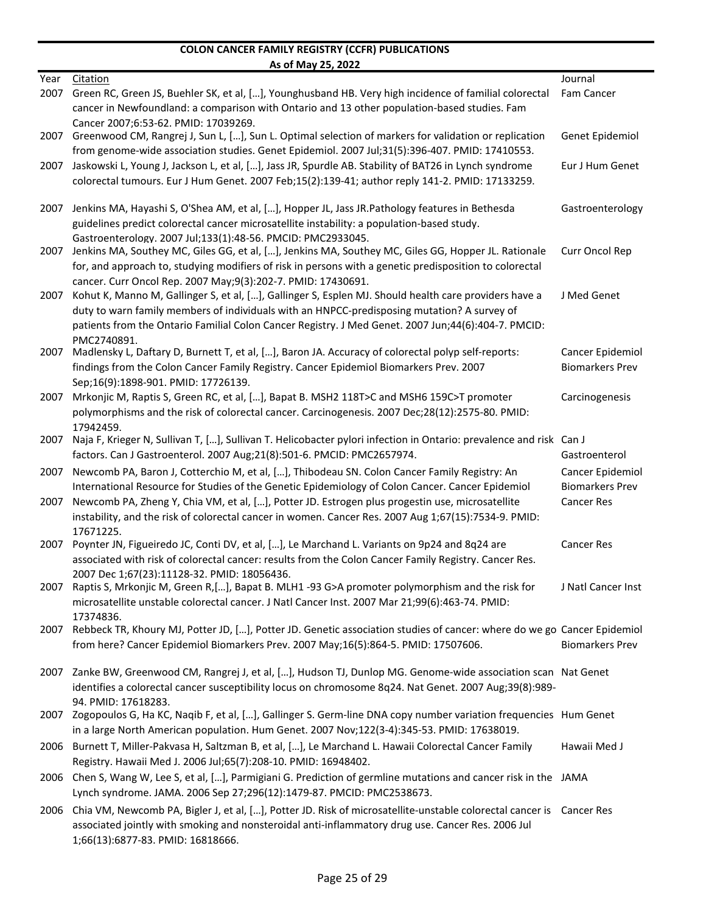٠

| Year | <b>Citation</b>                                                                                                                 | Journal                |
|------|---------------------------------------------------------------------------------------------------------------------------------|------------------------|
| 2007 | Green RC, Green JS, Buehler SK, et al, [], Younghusband HB. Very high incidence of familial colorectal                          | Fam Cancer             |
|      | cancer in Newfoundland: a comparison with Ontario and 13 other population-based studies. Fam                                    |                        |
|      | Cancer 2007;6:53-62. PMID: 17039269.                                                                                            |                        |
| 2007 | Greenwood CM, Rangrej J, Sun L, [], Sun L. Optimal selection of markers for validation or replication                           | Genet Epidemiol        |
|      | from genome-wide association studies. Genet Epidemiol. 2007 Jul;31(5):396-407. PMID: 17410553.                                  |                        |
| 2007 | Jaskowski L, Young J, Jackson L, et al, [], Jass JR, Spurdle AB. Stability of BAT26 in Lynch syndrome                           | Eur J Hum Genet        |
|      | colorectal tumours. Eur J Hum Genet. 2007 Feb;15(2):139-41; author reply 141-2. PMID: 17133259.                                 |                        |
|      |                                                                                                                                 |                        |
| 2007 | Jenkins MA, Hayashi S, O'Shea AM, et al, [], Hopper JL, Jass JR.Pathology features in Bethesda                                  | Gastroenterology       |
|      | guidelines predict colorectal cancer microsatellite instability: a population-based study.                                      |                        |
|      | Gastroenterology. 2007 Jul;133(1):48-56. PMCID: PMC2933045.                                                                     |                        |
|      | 2007 Jenkins MA, Southey MC, Giles GG, et al, [], Jenkins MA, Southey MC, Giles GG, Hopper JL. Rationale                        | Curr Oncol Rep         |
|      | for, and approach to, studying modifiers of risk in persons with a genetic predisposition to colorectal                         |                        |
|      | cancer. Curr Oncol Rep. 2007 May;9(3):202-7. PMID: 17430691.                                                                    |                        |
| 2007 | Kohut K, Manno M, Gallinger S, et al, [], Gallinger S, Esplen MJ. Should health care providers have a                           | J Med Genet            |
|      | duty to warn family members of individuals with an HNPCC-predisposing mutation? A survey of                                     |                        |
|      | patients from the Ontario Familial Colon Cancer Registry. J Med Genet. 2007 Jun;44(6):404-7. PMCID:                             |                        |
|      | PMC2740891.                                                                                                                     |                        |
| 2007 | Madlensky L, Daftary D, Burnett T, et al, [], Baron JA. Accuracy of colorectal polyp self-reports:                              | Cancer Epidemiol       |
|      | findings from the Colon Cancer Family Registry. Cancer Epidemiol Biomarkers Prev. 2007                                          | <b>Biomarkers Prev</b> |
|      | Sep;16(9):1898-901. PMID: 17726139.                                                                                             |                        |
| 2007 | Mrkonjic M, Raptis S, Green RC, et al, [], Bapat B. MSH2 118T>C and MSH6 159C>T promoter                                        | Carcinogenesis         |
|      | polymorphisms and the risk of colorectal cancer. Carcinogenesis. 2007 Dec;28(12):2575-80. PMID:                                 |                        |
| 2007 | 17942459.<br>Naja F, Krieger N, Sullivan T, [], Sullivan T. Helicobacter pylori infection in Ontario: prevalence and risk Can J |                        |
|      | factors. Can J Gastroenterol. 2007 Aug;21(8):501-6. PMCID: PMC2657974.                                                          | Gastroenterol          |
|      |                                                                                                                                 |                        |
| 2007 | Newcomb PA, Baron J, Cotterchio M, et al, [], Thibodeau SN. Colon Cancer Family Registry: An                                    | Cancer Epidemiol       |
|      | International Resource for Studies of the Genetic Epidemiology of Colon Cancer. Cancer Epidemiol                                | <b>Biomarkers Prev</b> |
| 2007 | Newcomb PA, Zheng Y, Chia VM, et al, [], Potter JD. Estrogen plus progestin use, microsatellite                                 | <b>Cancer Res</b>      |
|      | instability, and the risk of colorectal cancer in women. Cancer Res. 2007 Aug 1;67(15):7534-9. PMID:<br>17671225.               |                        |
| 2007 | Poynter JN, Figueiredo JC, Conti DV, et al, [], Le Marchand L. Variants on 9p24 and 8q24 are                                    | <b>Cancer Res</b>      |
|      | associated with risk of colorectal cancer: results from the Colon Cancer Family Registry. Cancer Res.                           |                        |
|      | 2007 Dec 1;67(23):11128-32. PMID: 18056436.                                                                                     |                        |
|      | 2007 Raptis S, Mrkonjic M, Green R, [], Bapat B. MLH1 -93 G>A promoter polymorphism and the risk for                            | J Natl Cancer Inst     |
|      | microsatellite unstable colorectal cancer. J Natl Cancer Inst. 2007 Mar 21;99(6):463-74. PMID:                                  |                        |
|      | 17374836.                                                                                                                       |                        |
|      | 2007 Rebbeck TR, Khoury MJ, Potter JD, [], Potter JD. Genetic association studies of cancer: where do we go Cancer Epidemiol    |                        |
|      | from here? Cancer Epidemiol Biomarkers Prev. 2007 May;16(5):864-5. PMID: 17507606.                                              | <b>Biomarkers Prev</b> |
|      |                                                                                                                                 |                        |
|      | 2007 Zanke BW, Greenwood CM, Rangrej J, et al, [], Hudson TJ, Dunlop MG. Genome-wide association scan Nat Genet                 |                        |
|      | identifies a colorectal cancer susceptibility locus on chromosome 8q24. Nat Genet. 2007 Aug;39(8):989-                          |                        |
|      | 94. PMID: 17618283.                                                                                                             |                        |
|      | 2007 Zogopoulos G, Ha KC, Naqib F, et al, [], Gallinger S. Germ-line DNA copy number variation frequencies Hum Genet            |                        |
|      | in a large North American population. Hum Genet. 2007 Nov;122(3-4):345-53. PMID: 17638019.                                      |                        |
| 2006 | Burnett T, Miller-Pakvasa H, Saltzman B, et al, [], Le Marchand L. Hawaii Colorectal Cancer Family                              | Hawaii Med J           |
|      | Registry. Hawaii Med J. 2006 Jul;65(7):208-10. PMID: 16948402.                                                                  |                        |
|      | 2006 Chen S, Wang W, Lee S, et al, [], Parmigiani G. Prediction of germline mutations and cancer risk in the JAMA               |                        |
|      | Lynch syndrome. JAMA. 2006 Sep 27;296(12):1479-87. PMCID: PMC2538673.                                                           |                        |
| 2006 | Chia VM, Newcomb PA, Bigler J, et al, [], Potter JD. Risk of microsatellite-unstable colorectal cancer is Cancer Res            |                        |
|      | associated jointly with smoking and nonsteroidal anti-inflammatory drug use. Cancer Res. 2006 Jul                               |                        |
|      | 1;66(13):6877-83. PMID: 16818666.                                                                                               |                        |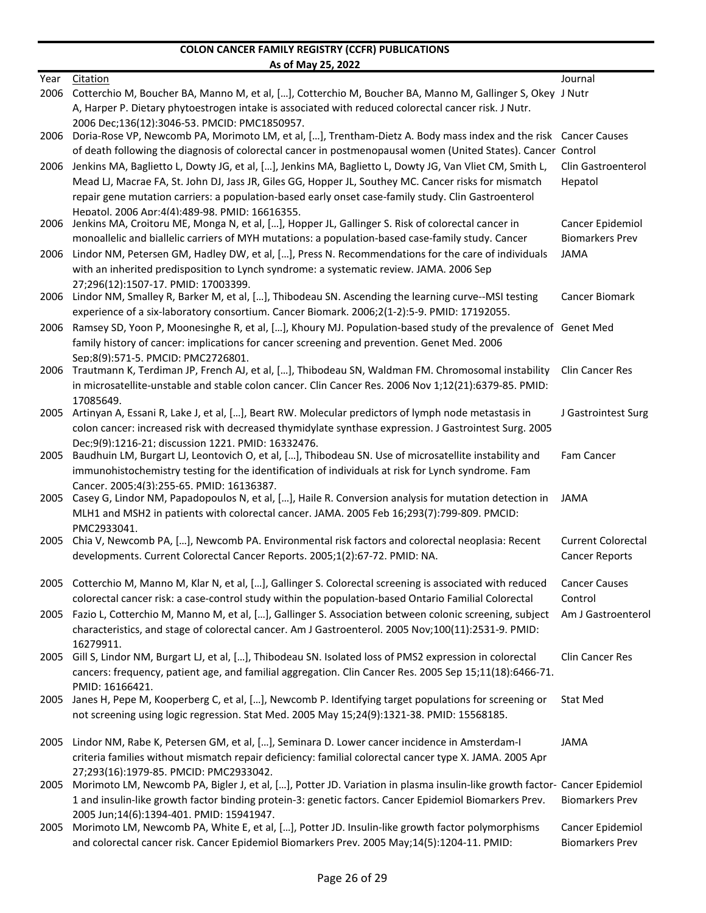|      | AS UI IVIAY 23, ZUZZ                                                                                                                                                                                        |                           |
|------|-------------------------------------------------------------------------------------------------------------------------------------------------------------------------------------------------------------|---------------------------|
| Year | Citation                                                                                                                                                                                                    | Journal                   |
| 2006 | Cotterchio M, Boucher BA, Manno M, et al, [], Cotterchio M, Boucher BA, Manno M, Gallinger S, Okey J Nutr                                                                                                   |                           |
|      | A, Harper P. Dietary phytoestrogen intake is associated with reduced colorectal cancer risk. J Nutr.<br>2006 Dec:136(12):3046-53. PMCID: PMC1850957.                                                        |                           |
| 2006 | Doria-Rose VP, Newcomb PA, Morimoto LM, et al, [], Trentham-Dietz A. Body mass index and the risk Cancer Causes                                                                                             |                           |
|      | of death following the diagnosis of colorectal cancer in postmenopausal women (United States). Cancer Control                                                                                               |                           |
| 2006 | Jenkins MA, Baglietto L, Dowty JG, et al, [], Jenkins MA, Baglietto L, Dowty JG, Van Vliet CM, Smith L,                                                                                                     | Clin Gastroenterol        |
|      | Mead LJ, Macrae FA, St. John DJ, Jass JR, Giles GG, Hopper JL, Southey MC. Cancer risks for mismatch                                                                                                        | Hepatol                   |
|      | repair gene mutation carriers: a population-based early onset case-family study. Clin Gastroenterol                                                                                                         |                           |
| 2006 | Hepatol. 2006 Apr:4(4):489-98. PMID: 16616355.<br>Jenkins MA, Croitoru ME, Monga N, et al, [], Hopper JL, Gallinger S. Risk of colorectal cancer in                                                         | Cancer Epidemiol          |
|      | monoallelic and biallelic carriers of MYH mutations: a population-based case-family study. Cancer                                                                                                           | <b>Biomarkers Prev</b>    |
| 2006 | Lindor NM, Petersen GM, Hadley DW, et al, [], Press N. Recommendations for the care of individuals                                                                                                          | JAMA                      |
|      | with an inherited predisposition to Lynch syndrome: a systematic review. JAMA. 2006 Sep                                                                                                                     |                           |
|      | 27:296(12):1507-17. PMID: 17003399.                                                                                                                                                                         |                           |
| 2006 | Lindor NM, Smalley R, Barker M, et al, [], Thibodeau SN. Ascending the learning curve--MSI testing                                                                                                          | Cancer Biomark            |
|      | experience of a six-laboratory consortium. Cancer Biomark. 2006;2(1-2):5-9. PMID: 17192055.                                                                                                                 |                           |
| 2006 | Ramsey SD, Yoon P, Moonesinghe R, et al, [], Khoury MJ. Population-based study of the prevalence of Genet Med                                                                                               |                           |
|      | family history of cancer: implications for cancer screening and prevention. Genet Med. 2006                                                                                                                 |                           |
| 2006 | Sep:8(9):571-5. PMCID: PMC2726801.<br>Trautmann K, Terdiman JP, French AJ, et al, [], Thibodeau SN, Waldman FM. Chromosomal instability                                                                     | <b>Clin Cancer Res</b>    |
|      | in microsatellite-unstable and stable colon cancer. Clin Cancer Res. 2006 Nov 1;12(21):6379-85. PMID:                                                                                                       |                           |
|      | 17085649.                                                                                                                                                                                                   |                           |
| 2005 | Artinyan A, Essani R, Lake J, et al, [], Beart RW. Molecular predictors of lymph node metastasis in                                                                                                         | J Gastrointest Surg       |
|      | colon cancer: increased risk with decreased thymidylate synthase expression. J Gastrointest Surg. 2005                                                                                                      |                           |
|      | Dec: 9(9): 1216-21; discussion 1221. PMID: 16332476.                                                                                                                                                        |                           |
| 2005 | Baudhuin LM, Burgart LJ, Leontovich O, et al, [], Thibodeau SN. Use of microsatellite instability and<br>immunohistochemistry testing for the identification of individuals at risk for Lynch syndrome. Fam | Fam Cancer                |
|      | Cancer. 2005;4(3):255-65. PMID: 16136387.                                                                                                                                                                   |                           |
| 2005 | Casey G, Lindor NM, Papadopoulos N, et al, [], Haile R. Conversion analysis for mutation detection in                                                                                                       | JAMA                      |
|      | MLH1 and MSH2 in patients with colorectal cancer. JAMA. 2005 Feb 16;293(7):799-809. PMCID:                                                                                                                  |                           |
|      | PMC2933041.                                                                                                                                                                                                 |                           |
| 2005 | Chia V, Newcomb PA, [], Newcomb PA. Environmental risk factors and colorectal neoplasia: Recent                                                                                                             | <b>Current Colorectal</b> |
|      | developments. Current Colorectal Cancer Reports. 2005;1(2):67-72. PMID: NA.                                                                                                                                 | <b>Cancer Reports</b>     |
|      | 2005 Cotterchio M, Manno M, Klar N, et al, [], Gallinger S. Colorectal screening is associated with reduced Cancer Causes                                                                                   |                           |
|      | colorectal cancer risk: a case-control study within the population-based Ontario Familial Colorectal                                                                                                        | Control                   |
| 2005 | Fazio L, Cotterchio M, Manno M, et al, [], Gallinger S. Association between colonic screening, subject                                                                                                      | Am J Gastroenterol        |
|      | characteristics, and stage of colorectal cancer. Am J Gastroenterol. 2005 Nov;100(11):2531-9. PMID:                                                                                                         |                           |
|      | 16279911.                                                                                                                                                                                                   |                           |
|      | 2005 Gill S, Lindor NM, Burgart LJ, et al, [], Thibodeau SN. Isolated loss of PMS2 expression in colorectal                                                                                                 | <b>Clin Cancer Res</b>    |
|      | cancers: frequency, patient age, and familial aggregation. Clin Cancer Res. 2005 Sep 15;11(18):6466-71.                                                                                                     |                           |
|      | PMID: 16166421.<br>2005 Janes H, Pepe M, Kooperberg C, et al, [], Newcomb P. Identifying target populations for screening or                                                                                | <b>Stat Med</b>           |
|      | not screening using logic regression. Stat Med. 2005 May 15;24(9):1321-38. PMID: 15568185.                                                                                                                  |                           |
|      |                                                                                                                                                                                                             |                           |
|      | 2005 Lindor NM, Rabe K, Petersen GM, et al, [], Seminara D. Lower cancer incidence in Amsterdam-I                                                                                                           | <b>JAMA</b>               |
|      | criteria families without mismatch repair deficiency: familial colorectal cancer type X. JAMA. 2005 Apr                                                                                                     |                           |
|      | 27;293(16):1979-85. PMCID: PMC2933042.                                                                                                                                                                      |                           |
| 2005 | Morimoto LM, Newcomb PA, Bigler J, et al, [], Potter JD. Variation in plasma insulin-like growth factor- Cancer Epidemiol                                                                                   |                           |
|      | 1 and insulin-like growth factor binding protein-3: genetic factors. Cancer Epidemiol Biomarkers Prev.<br>2005 Jun;14(6):1394-401. PMID: 15941947.                                                          | <b>Biomarkers Prev</b>    |
| 2005 | Morimoto LM, Newcomb PA, White E, et al, [], Potter JD. Insulin-like growth factor polymorphisms                                                                                                            | Cancer Epidemiol          |
|      | and colorectal cancer risk. Cancer Epidemiol Biomarkers Prev. 2005 May;14(5):1204-11. PMID:                                                                                                                 | <b>Biomarkers Prev</b>    |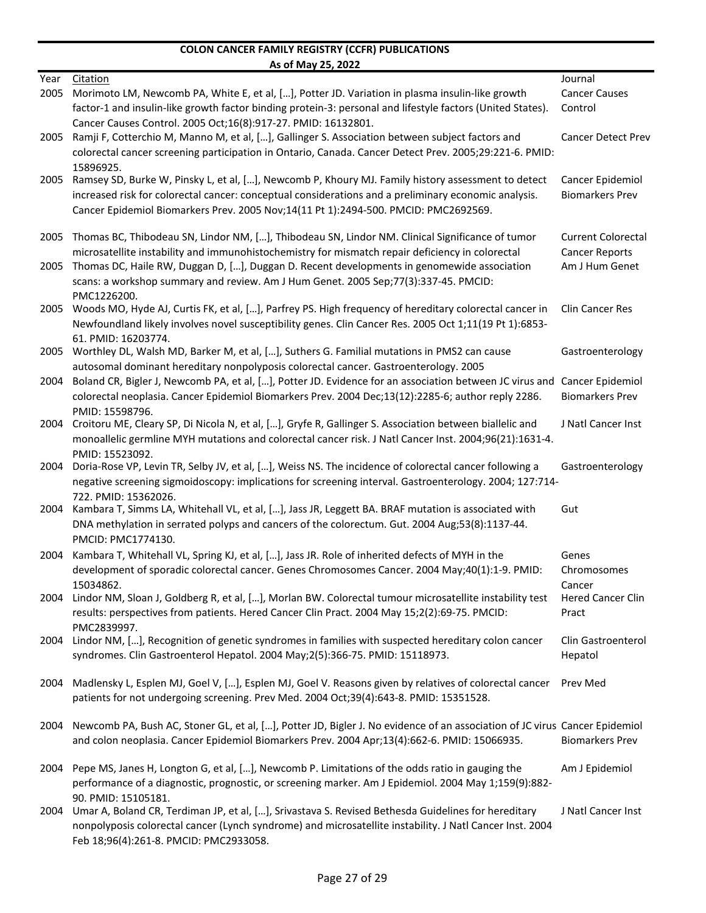|      | <u>AS OF MAY 25, 2022</u>                                                                                                                                                                                                  |                             |
|------|----------------------------------------------------------------------------------------------------------------------------------------------------------------------------------------------------------------------------|-----------------------------|
| Year | Citation                                                                                                                                                                                                                   | Journal                     |
| 2005 | Morimoto LM, Newcomb PA, White E, et al, [], Potter JD. Variation in plasma insulin-like growth                                                                                                                            | <b>Cancer Causes</b>        |
|      | factor-1 and insulin-like growth factor binding protein-3: personal and lifestyle factors (United States).                                                                                                                 | Control                     |
|      | Cancer Causes Control. 2005 Oct;16(8):917-27. PMID: 16132801.                                                                                                                                                              |                             |
| 2005 | Ramji F, Cotterchio M, Manno M, et al, [], Gallinger S. Association between subject factors and                                                                                                                            | <b>Cancer Detect Prev</b>   |
|      | colorectal cancer screening participation in Ontario, Canada. Cancer Detect Prev. 2005;29:221-6. PMID:                                                                                                                     |                             |
| 2005 | 15896925.<br>Ramsey SD, Burke W, Pinsky L, et al, [], Newcomb P, Khoury MJ. Family history assessment to detect                                                                                                            | Cancer Epidemiol            |
|      | increased risk for colorectal cancer: conceptual considerations and a preliminary economic analysis.                                                                                                                       | <b>Biomarkers Prev</b>      |
|      | Cancer Epidemiol Biomarkers Prev. 2005 Nov;14(11 Pt 1):2494-500. PMCID: PMC2692569.                                                                                                                                        |                             |
|      |                                                                                                                                                                                                                            |                             |
| 2005 | Thomas BC, Thibodeau SN, Lindor NM, [], Thibodeau SN, Lindor NM. Clinical Significance of tumor                                                                                                                            | <b>Current Colorectal</b>   |
|      | microsatellite instability and immunohistochemistry for mismatch repair deficiency in colorectal                                                                                                                           | <b>Cancer Reports</b>       |
| 2005 | Thomas DC, Haile RW, Duggan D, [], Duggan D. Recent developments in genomewide association                                                                                                                                 | Am J Hum Genet              |
|      | scans: a workshop summary and review. Am J Hum Genet. 2005 Sep;77(3):337-45. PMCID:                                                                                                                                        |                             |
|      | PMC1226200.                                                                                                                                                                                                                |                             |
| 2005 | Woods MO, Hyde AJ, Curtis FK, et al, [], Parfrey PS. High frequency of hereditary colorectal cancer in                                                                                                                     | <b>Clin Cancer Res</b>      |
|      | Newfoundland likely involves novel susceptibility genes. Clin Cancer Res. 2005 Oct 1;11(19 Pt 1):6853-                                                                                                                     |                             |
| 2005 | 61. PMID: 16203774.<br>Worthley DL, Walsh MD, Barker M, et al, [], Suthers G. Familial mutations in PMS2 can cause                                                                                                         | Gastroenterology            |
|      | autosomal dominant hereditary nonpolyposis colorectal cancer. Gastroenterology. 2005                                                                                                                                       |                             |
| 2004 | Boland CR, Bigler J, Newcomb PA, et al, [], Potter JD. Evidence for an association between JC virus and Cancer Epidemiol                                                                                                   |                             |
|      | colorectal neoplasia. Cancer Epidemiol Biomarkers Prev. 2004 Dec;13(12):2285-6; author reply 2286.                                                                                                                         | <b>Biomarkers Prev</b>      |
|      | PMID: 15598796.                                                                                                                                                                                                            |                             |
| 2004 | Croitoru ME, Cleary SP, Di Nicola N, et al, [], Gryfe R, Gallinger S. Association between biallelic and                                                                                                                    | J Natl Cancer Inst          |
|      | monoallelic germline MYH mutations and colorectal cancer risk. J Natl Cancer Inst. 2004;96(21):1631-4.                                                                                                                     |                             |
|      | PMID: 15523092.                                                                                                                                                                                                            |                             |
| 2004 | Doria-Rose VP, Levin TR, Selby JV, et al, [], Weiss NS. The incidence of colorectal cancer following a                                                                                                                     | Gastroenterology            |
|      | negative screening sigmoidoscopy: implications for screening interval. Gastroenterology. 2004; 127:714-                                                                                                                    |                             |
|      | 722. PMID: 15362026.                                                                                                                                                                                                       |                             |
| 2004 | Kambara T, Simms LA, Whitehall VL, et al, [], Jass JR, Leggett BA. BRAF mutation is associated with                                                                                                                        | Gut                         |
|      | DNA methylation in serrated polyps and cancers of the colorectum. Gut. 2004 Aug;53(8):1137-44.<br>PMCID: PMC1774130.                                                                                                       |                             |
|      |                                                                                                                                                                                                                            |                             |
| 2004 | Kambara T, Whitehall VL, Spring KJ, et al, [], Jass JR. Role of inherited defects of MYH in the                                                                                                                            | Genes                       |
|      | development of sporadic colorectal cancer. Genes Chromosomes Cancer. 2004 May;40(1):1-9. PMID:                                                                                                                             | Chromosomes                 |
| 2004 | 15034862.<br>Lindor NM, Sloan J, Goldberg R, et al, [], Morlan BW. Colorectal tumour microsatellite instability test                                                                                                       | Cancer<br>Hered Cancer Clin |
|      | results: perspectives from patients. Hered Cancer Clin Pract. 2004 May 15;2(2):69-75. PMCID:                                                                                                                               | Pract                       |
|      | PMC2839997.                                                                                                                                                                                                                |                             |
| 2004 | Lindor NM, [], Recognition of genetic syndromes in families with suspected hereditary colon cancer                                                                                                                         | Clin Gastroenterol          |
|      | syndromes. Clin Gastroenterol Hepatol. 2004 May;2(5):366-75. PMID: 15118973.                                                                                                                                               | Hepatol                     |
|      |                                                                                                                                                                                                                            |                             |
| 2004 | Madlensky L, Esplen MJ, Goel V, [], Esplen MJ, Goel V. Reasons given by relatives of colorectal cancer                                                                                                                     | Prev Med                    |
|      | patients for not undergoing screening. Prev Med. 2004 Oct;39(4):643-8. PMID: 15351528.                                                                                                                                     |                             |
|      |                                                                                                                                                                                                                            |                             |
| 2004 | Newcomb PA, Bush AC, Stoner GL, et al, [], Potter JD, Bigler J. No evidence of an association of JC virus Cancer Epidemiol<br>and colon neoplasia. Cancer Epidemiol Biomarkers Prev. 2004 Apr;13(4):662-6. PMID: 15066935. | <b>Biomarkers Prev</b>      |
|      |                                                                                                                                                                                                                            |                             |
| 2004 | Pepe MS, Janes H, Longton G, et al, [], Newcomb P. Limitations of the odds ratio in gauging the                                                                                                                            | Am J Epidemiol              |
|      | performance of a diagnostic, prognostic, or screening marker. Am J Epidemiol. 2004 May 1;159(9):882-                                                                                                                       |                             |
|      | 90. PMID: 15105181.                                                                                                                                                                                                        |                             |
| 2004 | Umar A, Boland CR, Terdiman JP, et al, [], Srivastava S. Revised Bethesda Guidelines for hereditary                                                                                                                        | J Natl Cancer Inst          |
|      | nonpolyposis colorectal cancer (Lynch syndrome) and microsatellite instability. J Natl Cancer Inst. 2004                                                                                                                   |                             |
|      | Feb 18:96(4):261-8. PMCID: PMC2933058.                                                                                                                                                                                     |                             |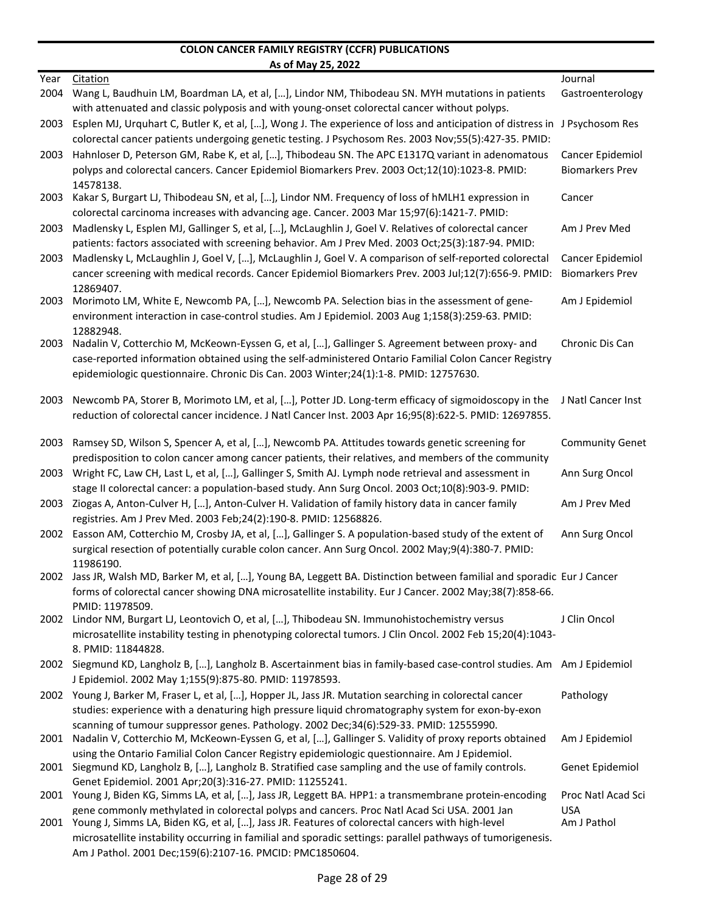|      | <u>As of May 25, 2022</u>                                                                                                                                                                                                         |                        |
|------|-----------------------------------------------------------------------------------------------------------------------------------------------------------------------------------------------------------------------------------|------------------------|
| Year | <b>Citation</b>                                                                                                                                                                                                                   | Journal                |
| 2004 | Wang L, Baudhuin LM, Boardman LA, et al, [], Lindor NM, Thibodeau SN. MYH mutations in patients                                                                                                                                   | Gastroenterology       |
|      | with attenuated and classic polyposis and with young-onset colorectal cancer without polyps.                                                                                                                                      |                        |
| 2003 | Esplen MJ, Urquhart C, Butler K, et al, [], Wong J. The experience of loss and anticipation of distress in JPsychosom Res<br>colorectal cancer patients undergoing genetic testing. J Psychosom Res. 2003 Nov;55(5):427-35. PMID: |                        |
| 2003 | Hahnloser D, Peterson GM, Rabe K, et al, [], Thibodeau SN. The APC E1317Q variant in adenomatous                                                                                                                                  | Cancer Epidemiol       |
|      | polyps and colorectal cancers. Cancer Epidemiol Biomarkers Prev. 2003 Oct;12(10):1023-8. PMID:                                                                                                                                    | <b>Biomarkers Prev</b> |
|      | 14578138.                                                                                                                                                                                                                         |                        |
| 2003 | Kakar S, Burgart LJ, Thibodeau SN, et al, [], Lindor NM. Frequency of loss of hMLH1 expression in                                                                                                                                 | Cancer                 |
|      | colorectal carcinoma increases with advancing age. Cancer. 2003 Mar 15;97(6):1421-7. PMID:                                                                                                                                        |                        |
| 2003 | Madlensky L, Esplen MJ, Gallinger S, et al, [], McLaughlin J, Goel V. Relatives of colorectal cancer                                                                                                                              | Am J Prev Med          |
|      | patients: factors associated with screening behavior. Am J Prev Med. 2003 Oct;25(3):187-94. PMID:                                                                                                                                 |                        |
| 2003 | Madlensky L, McLaughlin J, Goel V, [], McLaughlin J, Goel V. A comparison of self-reported colorectal                                                                                                                             | Cancer Epidemiol       |
|      | cancer screening with medical records. Cancer Epidemiol Biomarkers Prev. 2003 Jul;12(7):656-9. PMID:<br>12869407.                                                                                                                 | <b>Biomarkers Prev</b> |
| 2003 | Morimoto LM, White E, Newcomb PA, [], Newcomb PA. Selection bias in the assessment of gene-                                                                                                                                       | Am J Epidemiol         |
|      | environment interaction in case-control studies. Am J Epidemiol. 2003 Aug 1;158(3):259-63. PMID:                                                                                                                                  |                        |
|      | 12882948.                                                                                                                                                                                                                         |                        |
| 2003 | Nadalin V, Cotterchio M, McKeown-Eyssen G, et al, [], Gallinger S. Agreement between proxy- and                                                                                                                                   | Chronic Dis Can        |
|      | case-reported information obtained using the self-administered Ontario Familial Colon Cancer Registry                                                                                                                             |                        |
|      | epidemiologic questionnaire. Chronic Dis Can. 2003 Winter; 24(1): 1-8. PMID: 12757630.                                                                                                                                            |                        |
| 2003 | Newcomb PA, Storer B, Morimoto LM, et al, [], Potter JD. Long-term efficacy of sigmoidoscopy in the                                                                                                                               | J Natl Cancer Inst     |
|      | reduction of colorectal cancer incidence. J Natl Cancer Inst. 2003 Apr 16;95(8):622-5. PMID: 12697855.                                                                                                                            |                        |
|      |                                                                                                                                                                                                                                   |                        |
| 2003 | Ramsey SD, Wilson S, Spencer A, et al, [], Newcomb PA. Attitudes towards genetic screening for                                                                                                                                    | <b>Community Genet</b> |
|      | predisposition to colon cancer among cancer patients, their relatives, and members of the community                                                                                                                               |                        |
| 2003 | Wright FC, Law CH, Last L, et al, [], Gallinger S, Smith AJ. Lymph node retrieval and assessment in                                                                                                                               | Ann Surg Oncol         |
|      | stage II colorectal cancer: a population-based study. Ann Surg Oncol. 2003 Oct;10(8):903-9. PMID:                                                                                                                                 |                        |
| 2003 | Ziogas A, Anton-Culver H, [], Anton-Culver H. Validation of family history data in cancer family                                                                                                                                  | Am J Prev Med          |
|      | registries. Am J Prev Med. 2003 Feb;24(2):190-8. PMID: 12568826.                                                                                                                                                                  |                        |
|      | 2002 Easson AM, Cotterchio M, Crosby JA, et al, [], Gallinger S. A population-based study of the extent of                                                                                                                        | Ann Surg Oncol         |
|      | surgical resection of potentially curable colon cancer. Ann Surg Oncol. 2002 May;9(4):380-7. PMID:<br>11986190.                                                                                                                   |                        |
|      | 2002 Jass JR, Walsh MD, Barker M, et al, [], Young BA, Leggett BA. Distinction between familial and sporadic Eur J Cancer                                                                                                         |                        |
|      | forms of colorectal cancer showing DNA microsatellite instability. Eur J Cancer. 2002 May;38(7):858-66.                                                                                                                           |                        |
|      | PMID: 11978509.                                                                                                                                                                                                                   |                        |
| 2002 | Lindor NM, Burgart LJ, Leontovich O, et al, [], Thibodeau SN. Immunohistochemistry versus                                                                                                                                         | J Clin Oncol           |
|      | microsatellite instability testing in phenotyping colorectal tumors. J Clin Oncol. 2002 Feb 15;20(4):1043-                                                                                                                        |                        |
|      | 8. PMID: 11844828.                                                                                                                                                                                                                |                        |
|      | 2002 Siegmund KD, Langholz B, [], Langholz B. Ascertainment bias in family-based case-control studies. Am Am J Epidemiol                                                                                                          |                        |
|      | J Epidemiol. 2002 May 1;155(9):875-80. PMID: 11978593.                                                                                                                                                                            |                        |
|      | 2002 Young J, Barker M, Fraser L, et al, [], Hopper JL, Jass JR. Mutation searching in colorectal cancer                                                                                                                          | Pathology              |
|      | studies: experience with a denaturing high pressure liquid chromatography system for exon-by-exon                                                                                                                                 |                        |
|      | scanning of tumour suppressor genes. Pathology. 2002 Dec;34(6):529-33. PMID: 12555990.<br>2001 Nadalin V, Cotterchio M, McKeown-Eyssen G, et al, [], Gallinger S. Validity of proxy reports obtained                              | Am J Epidemiol         |
|      | using the Ontario Familial Colon Cancer Registry epidemiologic questionnaire. Am J Epidemiol.                                                                                                                                     |                        |
|      | 2001 Siegmund KD, Langholz B, [], Langholz B. Stratified case sampling and the use of family controls.                                                                                                                            | Genet Epidemiol        |
|      | Genet Epidemiol. 2001 Apr;20(3):316-27. PMID: 11255241.                                                                                                                                                                           |                        |
|      | 2001 Young J, Biden KG, Simms LA, et al, [], Jass JR, Leggett BA. HPP1: a transmembrane protein-encoding                                                                                                                          | Proc Natl Acad Sci     |
|      | gene commonly methylated in colorectal polyps and cancers. Proc Natl Acad Sci USA. 2001 Jan                                                                                                                                       | <b>USA</b>             |
|      | 2001 Young J, Simms LA, Biden KG, et al, [], Jass JR. Features of colorectal cancers with high-level                                                                                                                              | Am J Pathol            |
|      | microsatellite instability occurring in familial and sporadic settings: parallel pathways of tumorigenesis.                                                                                                                       |                        |
|      | Am J Pathol. 2001 Dec:159(6):2107-16. PMCID: PMC1850604.                                                                                                                                                                          |                        |